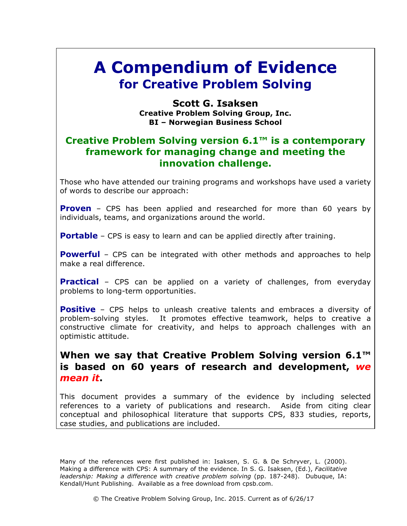# **A Compendium of Evidence for Creative Problem Solving**

**Scott G. Isaksen Creative Problem Solving Group, Inc. BI – Norwegian Business School**

### **Creative Problem Solving version 6.1™ is a contemporary framework for managing change and meeting the innovation challenge.**

Those who have attended our training programs and workshops have used a variety of words to describe our approach:

**Proven** – CPS has been applied and researched for more than 60 years by individuals, teams, and organizations around the world.

**Portable** – CPS is easy to learn and can be applied directly after training.

**Powerful** – CPS can be integrated with other methods and approaches to help make a real difference.

**Practical** – CPS can be applied on a variety of challenges, from everyday problems to long-term opportunities.

**Positive** – CPS helps to unleash creative talents and embraces a diversity of problem-solving styles. It promotes effective teamwork, helps to creative a constructive climate for creativity, and helps to approach challenges with an optimistic attitude.

### **When we say that Creative Problem Solving version 6.1™ is based on 60 years of research and development,** *we mean it***.**

This document provides a summary of the evidence by including selected references to a variety of publications and research. Aside from citing clear conceptual and philosophical literature that supports CPS, 833 studies, reports, case studies, and publications are included.

Many of the references were first published in: Isaksen, S. G. & De Schryver, L. (2000). Making a difference with CPS: A summary of the evidence. In S. G. Isaksen, (Ed.), *Facilitative leadership: Making a difference with creative problem solving* (pp. 187-248). Dubuque, IA: Kendall/Hunt Publishing. Available as a free download from cpsb.com.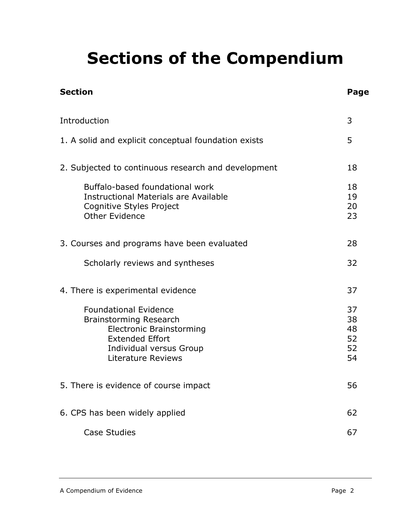# **Sections of the Compendium**

| <b>Section</b>                                                                                                                                                              | Page                             |
|-----------------------------------------------------------------------------------------------------------------------------------------------------------------------------|----------------------------------|
| Introduction                                                                                                                                                                | 3                                |
| 1. A solid and explicit conceptual foundation exists                                                                                                                        | 5                                |
| 2. Subjected to continuous research and development                                                                                                                         | 18                               |
| Buffalo-based foundational work<br><b>Instructional Materials are Available</b><br>Cognitive Styles Project<br><b>Other Evidence</b>                                        | 18<br>19<br>20<br>23             |
| 3. Courses and programs have been evaluated                                                                                                                                 | 28                               |
| Scholarly reviews and syntheses                                                                                                                                             | 32                               |
| 4. There is experimental evidence                                                                                                                                           | 37                               |
| <b>Foundational Evidence</b><br><b>Brainstorming Research</b><br><b>Electronic Brainstorming</b><br><b>Extended Effort</b><br>Individual versus Group<br>Literature Reviews | 37<br>38<br>48<br>52<br>52<br>54 |
| 5. There is evidence of course impact                                                                                                                                       | 56                               |
| 6. CPS has been widely applied                                                                                                                                              | 62                               |
| <b>Case Studies</b>                                                                                                                                                         | 67                               |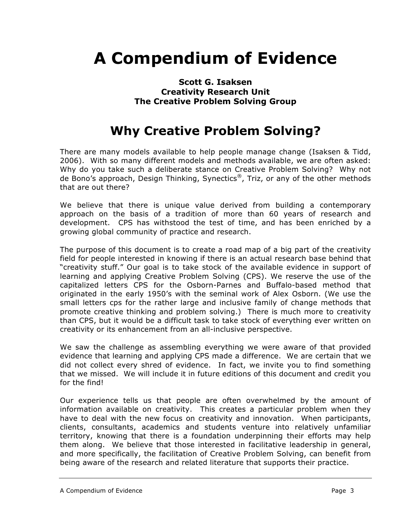# **A Compendium of Evidence**

### **Scott G. Isaksen Creativity Research Unit The Creative Problem Solving Group**

# **Why Creative Problem Solving?**

There are many models available to help people manage change (Isaksen & Tidd, 2006). With so many different models and methods available, we are often asked: Why do you take such a deliberate stance on Creative Problem Solving? Why not de Bono's approach, Design Thinking, Synectics®, Triz, or any of the other methods that are out there?

We believe that there is unique value derived from building a contemporary approach on the basis of a tradition of more than 60 years of research and development. CPS has withstood the test of time, and has been enriched by a growing global community of practice and research.

The purpose of this document is to create a road map of a big part of the creativity field for people interested in knowing if there is an actual research base behind that "creativity stuff." Our goal is to take stock of the available evidence in support of learning and applying Creative Problem Solving (CPS). We reserve the use of the capitalized letters CPS for the Osborn-Parnes and Buffalo-based method that originated in the early 1950's with the seminal work of Alex Osborn. (We use the small letters cps for the rather large and inclusive family of change methods that promote creative thinking and problem solving.) There is much more to creativity than CPS, but it would be a difficult task to take stock of everything ever written on creativity or its enhancement from an all-inclusive perspective.

We saw the challenge as assembling everything we were aware of that provided evidence that learning and applying CPS made a difference. We are certain that we did not collect every shred of evidence. In fact, we invite you to find something that we missed. We will include it in future editions of this document and credit you for the find!

Our experience tells us that people are often overwhelmed by the amount of information available on creativity. This creates a particular problem when they have to deal with the new focus on creativity and innovation. When participants, clients, consultants, academics and students venture into relatively unfamiliar territory, knowing that there is a foundation underpinning their efforts may help them along. We believe that those interested in facilitative leadership in general, and more specifically, the facilitation of Creative Problem Solving, can benefit from being aware of the research and related literature that supports their practice.

A Compendium of Evidence **Page 3**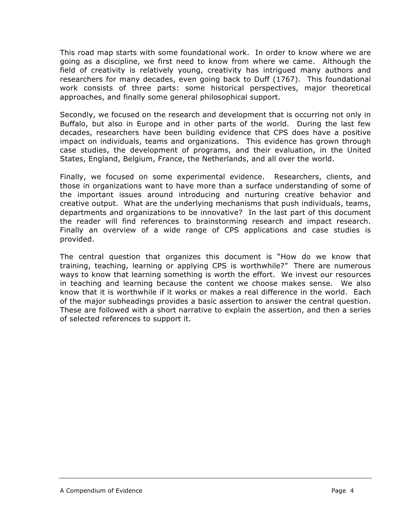This road map starts with some foundational work. In order to know where we are going as a discipline, we first need to know from where we came. Although the field of creativity is relatively young, creativity has intrigued many authors and researchers for many decades, even going back to Duff (1767). This foundational work consists of three parts: some historical perspectives, major theoretical approaches, and finally some general philosophical support.

Secondly, we focused on the research and development that is occurring not only in Buffalo, but also in Europe and in other parts of the world. During the last few decades, researchers have been building evidence that CPS does have a positive impact on individuals, teams and organizations. This evidence has grown through case studies, the development of programs, and their evaluation, in the United States, England, Belgium, France, the Netherlands, and all over the world.

Finally, we focused on some experimental evidence. Researchers, clients, and those in organizations want to have more than a surface understanding of some of the important issues around introducing and nurturing creative behavior and creative output. What are the underlying mechanisms that push individuals, teams, departments and organizations to be innovative? In the last part of this document the reader will find references to brainstorming research and impact research. Finally an overview of a wide range of CPS applications and case studies is provided.

The central question that organizes this document is "How do we know that training, teaching, learning or applying CPS is worthwhile?" There are numerous ways to know that learning something is worth the effort. We invest our resources in teaching and learning because the content we choose makes sense. We also know that it is worthwhile if it works or makes a real difference in the world. Each of the major subheadings provides a basic assertion to answer the central question. These are followed with a short narrative to explain the assertion, and then a series of selected references to support it.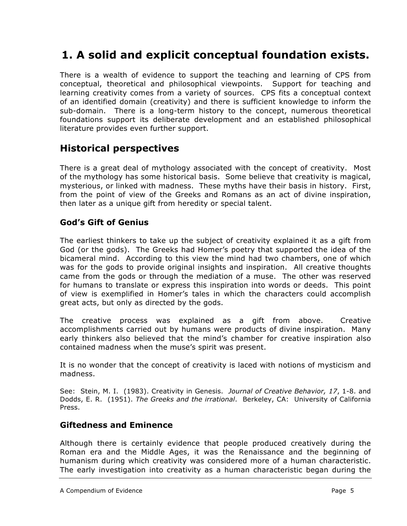## **1. A solid and explicit conceptual foundation exists.**

There is a wealth of evidence to support the teaching and learning of CPS from conceptual, theoretical and philosophical viewpoints. Support for teaching and learning creativity comes from a variety of sources. CPS fits a conceptual context of an identified domain (creativity) and there is sufficient knowledge to inform the sub-domain. There is a long-term history to the concept, numerous theoretical foundations support its deliberate development and an established philosophical literature provides even further support.

### **Historical perspectives**

There is a great deal of mythology associated with the concept of creativity. Most of the mythology has some historical basis. Some believe that creativity is magical, mysterious, or linked with madness. These myths have their basis in history. First, from the point of view of the Greeks and Romans as an act of divine inspiration, then later as a unique gift from heredity or special talent.

### **God's Gift of Genius**

The earliest thinkers to take up the subject of creativity explained it as a gift from God (or the gods). The Greeks had Homer's poetry that supported the idea of the bicameral mind. According to this view the mind had two chambers, one of which was for the gods to provide original insights and inspiration. All creative thoughts came from the gods or through the mediation of a muse. The other was reserved for humans to translate or express this inspiration into words or deeds. This point of view is exemplified in Homer's tales in which the characters could accomplish great acts, but only as directed by the gods.

The creative process was explained as a gift from above. Creative accomplishments carried out by humans were products of divine inspiration. Many early thinkers also believed that the mind's chamber for creative inspiration also contained madness when the muse's spirit was present.

It is no wonder that the concept of creativity is laced with notions of mysticism and madness.

See: Stein, M. I. (1983). Creativity in Genesis. *Journal of Creative Behavior, 17*, 1-8. and Dodds, E. R. (1951). *The Greeks and the irrational*. Berkeley, CA: University of California Press.

### **Giftedness and Eminence**

Although there is certainly evidence that people produced creatively during the Roman era and the Middle Ages, it was the Renaissance and the beginning of humanism during which creativity was considered more of a human characteristic. The early investigation into creativity as a human characteristic began during the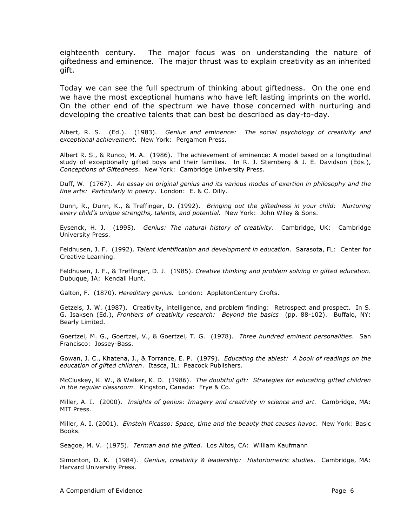eighteenth century. The major focus was on understanding the nature of giftedness and eminence. The major thrust was to explain creativity as an inherited gift.

Today we can see the full spectrum of thinking about giftedness. On the one end we have the most exceptional humans who have left lasting imprints on the world. On the other end of the spectrum we have those concerned with nurturing and developing the creative talents that can best be described as day-to-day.

Albert, R. S. (Ed.). (1983). *Genius and eminence: The social psychology of creativity and exceptional achievement*. New York: Pergamon Press.

Albert R. S., & Runco, M. A. (1986). The achievement of eminence: A model based on a longitudinal study of exceptionally gifted boys and their families. In R. J. Sternberg & J. E. Davidson (Eds.), *Conceptions of Giftedness*. New York: Cambridge University Press.

Duff, W. (1767). *An essay on original genius and its various modes of exertion in philosophy and the fine arts: Particularly in poetry*. London: E. & C. Dilly.

Dunn, R., Dunn, K., & Treffinger, D. (1992). *Bringing out the giftedness in your child: Nurturing every child's unique strengths, talents, and potential.* New York: John Wiley & Sons.

Eysenck, H. J. (1995). *Genius: The natural history of creativity*. Cambridge, UK: Cambridge University Press.

Feldhusen, J. F. (1992). *Talent identification and development in education*. Sarasota, FL: Center for Creative Learning.

Feldhusen, J. F., & Treffinger, D. J. (1985). *Creative thinking and problem solving in gifted education*. Dubuque, IA: Kendall Hunt.

Galton, F. (1870). *Hereditary genius.* London: AppletonCentury Crofts.

Getzels, J. W. (1987). Creativity, intelligence, and problem finding: Retrospect and prospect. In S. G. Isaksen (Ed.), *Frontiers of creativity research: Beyond the basics* (pp. 88-102). Buffalo, NY: Bearly Limited.

Goertzel, M. G., Goertzel, V., & Goertzel, T. G. (1978). *Three hundred eminent personalities*. San Francisco: Jossey-Bass.

Gowan, J. C., Khatena, J., & Torrance, E. P. (1979). *Educating the ablest: A book of readings on the education of gifted children*. Itasca, IL: Peacock Publishers.

McCluskey, K. W., & Walker, K. D. (1986). *The doubtful gift: Strategies for educating gifted children in the regular classroom*. Kingston, Canada: Frye & Co.

Miller, A. I. (2000). *Insights of genius: Imagery and creativity in science and art.* Cambridge, MA: MIT Press.

Miller, A. I. (2001). *Einstein Picasso: Space, time and the beauty that causes havoc.* New York: Basic Books.

Seagoe, M. V. (1975). *Terman and the gifted.* Los Altos, CA: William Kaufmann

Simonton, D. K. (1984). *Genius, creativity & leadership: Historiometric studies*. Cambridge, MA: Harvard University Press.

A Compendium of Evidence **Page 1** A Compendium of Evidence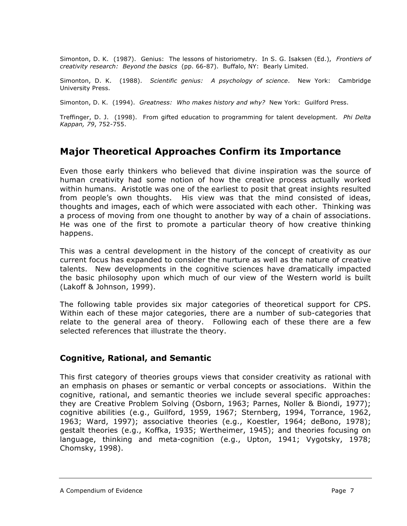Simonton, D. K. (1987). Genius: The lessons of historiometry. In S. G. Isaksen (Ed.), *Frontiers of creativity research: Beyond the basics* (pp. 66-87). Buffalo, NY: Bearly Limited.

Simonton, D. K. (1988). *Scientific genius: A psychology of science*. New York: Cambridge University Press.

Simonton, D. K. (1994). *Greatness: Who makes history and why?* New York: Guilford Press.

Treffinger, D. J. (1998). From gifted education to programming for talent development. *Phi Delta Kappan, 79*, 752-755.

### **Major Theoretical Approaches Confirm its Importance**

Even those early thinkers who believed that divine inspiration was the source of human creativity had some notion of how the creative process actually worked within humans. Aristotle was one of the earliest to posit that great insights resulted from people's own thoughts. His view was that the mind consisted of ideas, thoughts and images, each of which were associated with each other. Thinking was a process of moving from one thought to another by way of a chain of associations. He was one of the first to promote a particular theory of how creative thinking happens.

This was a central development in the history of the concept of creativity as our current focus has expanded to consider the nurture as well as the nature of creative talents. New developments in the cognitive sciences have dramatically impacted the basic philosophy upon which much of our view of the Western world is built (Lakoff & Johnson, 1999).

The following table provides six major categories of theoretical support for CPS. Within each of these major categories, there are a number of sub-categories that relate to the general area of theory. Following each of these there are a few selected references that illustrate the theory.

### **Cognitive, Rational, and Semantic**

This first category of theories groups views that consider creativity as rational with an emphasis on phases or semantic or verbal concepts or associations. Within the cognitive, rational, and semantic theories we include several specific approaches: they are Creative Problem Solving (Osborn, 1963; Parnes, Noller & Biondi, 1977); cognitive abilities (e.g., Guilford, 1959, 1967; Sternberg, 1994, Torrance, 1962, 1963; Ward, 1997); associative theories (e.g., Koestler, 1964; deBono, 1978); gestalt theories (e.g., Koffka, 1935; Wertheimer, 1945); and theories focusing on language, thinking and meta-cognition (e.g., Upton, 1941; Vygotsky, 1978; Chomsky, 1998).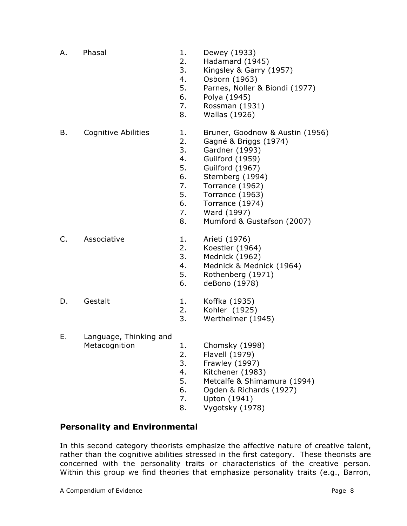- A. Phasal 1. Dewey (1933)
	- 2. Hadamard (1945)
	- 3. Kingsley & Garry (1957)
	- 4. Osborn (1963)
	- 5. Parnes, Noller & Biondi (1977)
	- 6. Polya (1945)
	- 7. Rossman (1931)
	- 8. Wallas (1926)
- 
- B. Cognitive Abilities 1. Bruner, Goodnow & Austin (1956)
	- 2. Gagné & Briggs (1974)
	- 3. Gardner (1993)
	- 4. Guilford (1959)
	- 5. Guilford (1967)
	- 6. Sternberg (1994)
	- 7. Torrance (1962)
	- 5. Torrance (1963)
	- 6. Torrance (1974)
	- 7. Ward (1997)
	- 8. Mumford & Gustafson (2007)
- C. Associative 1. Arieti (1976)
	-
	- 2. Koestler (1964)
	- 3. Mednick (1962)
	- 4. Mednick & Mednick (1964)
	- 5. Rothenberg (1971)
	- 6. deBono (1978)

#### D. Gestalt 1. Koffka (1935)

- 2. Kohler (1925)
- 3. Wertheimer (1945)
- E. Language, Thinking and
	- Metacognition 1. Chomsky (1998)
		- 2. Flavell (1979)
		- 3. Frawley (1997)
		- 4. Kitchener (1983)
		- 5. Metcalfe & Shimamura (1994)
		- 6. Ogden & Richards (1927)
		- 7. Upton (1941)
		- 8. Vygotsky (1978)

### **Personality and Environmental**

In this second category theorists emphasize the affective nature of creative talent, rather than the cognitive abilities stressed in the first category. These theorists are concerned with the personality traits or characteristics of the creative person. Within this group we find theories that emphasize personality traits (e.g., Barron,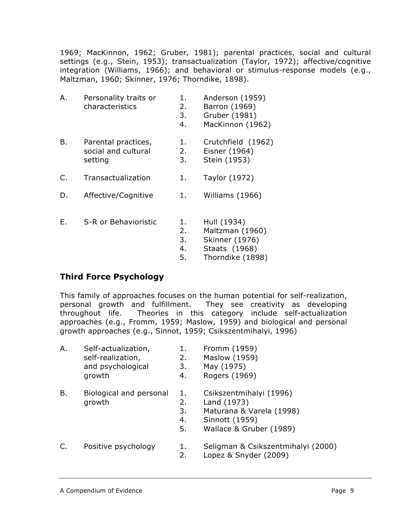1969; MacKinnon, 1962; Gruber, 1981); parental practices, social and cultural settings (e.g., Stein, 1953); transactualization (Taylor, 1972); affective/cognitive integration (Williams, 1966); and behavioral or stimulus-response models (e.g., Maltzman, 1960; Skinner, 1976; Thorndike, 1898).

| Personality traits or<br>characteristics              | 1.<br>2.<br>3.<br>4.       | Anderson (1959)<br>Barron (1969)<br>Gruber (1981)<br>MacKinnon (1962)                        |
|-------------------------------------------------------|----------------------------|----------------------------------------------------------------------------------------------|
| Parental practices,<br>social and cultural<br>setting | 1.<br>2.<br>3.             | Crutchfield (1962)<br>Eisner (1964)<br>Stein (1953)                                          |
| Transactualization                                    | 1.                         | Taylor (1972)                                                                                |
| Affective/Cognitive                                   | 1.                         | Williams (1966)                                                                              |
| S-R or Behavioristic                                  | 1.<br>2.<br>3.<br>4.<br>5. | Hull (1934)<br>Maltzman (1960)<br><b>Skinner (1976)</b><br>Staats (1968)<br>Thorndike (1898) |
|                                                       |                            |                                                                                              |

### **Third Force Psychology**

This family of approaches focuses on the human potential for self-realization, personal growth and fulfillment. They see creativity as developing throughout life. Theories in this category include self-actualization approaches (e.g., Fromm, 1959; Maslow, 1959) and biological and personal growth approaches (e.g., Sinnot, 1959; Csikszentmihalyi, 1996)

| Α. | Self-actualization,<br>self-realization,<br>and psychological<br>growth | 1.<br>2.<br>3.<br>4.       | Fromm (1959)<br>Maslow (1959)<br>May (1975)<br>Rogers (1969)                                                    |
|----|-------------------------------------------------------------------------|----------------------------|-----------------------------------------------------------------------------------------------------------------|
| Β. | Biological and personal<br>growth                                       | 1.<br>2.<br>3.<br>4.<br>5. | Csikszentmihalyi (1996)<br>Land (1973)<br>Maturana & Varela (1998)<br>Sinnott (1959)<br>Wallace & Gruber (1989) |
| C. | Positive psychology                                                     | 1.<br>2.                   | Seligman & Csikszentmihalyi (2000)<br>Lopez & Snyder (2009)                                                     |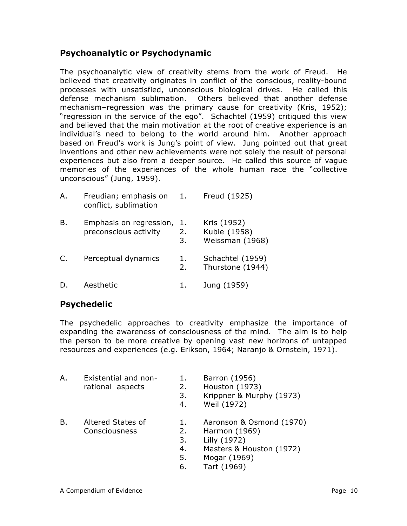### **Psychoanalytic or Psychodynamic**

The psychoanalytic view of creativity stems from the work of Freud. He believed that creativity originates in conflict of the conscious, reality-bound processes with unsatisfied, unconscious biological drives. He called this defense mechanism sublimation. Others believed that another defense mechanism–regression was the primary cause for creativity (Kris, 1952); "regression in the service of the ego". Schachtel (1959) critiqued this view and believed that the main motivation at the root of creative experience is an individual's need to belong to the world around him. Another approach based on Freud's work is Jung's point of view. Jung pointed out that great inventions and other new achievements were not solely the result of personal experiences but also from a deeper source. He called this source of vague memories of the experiences of the whole human race the "collective unconscious" (Jung, 1959).

| Α. | Freudian; emphasis on<br>conflict, sublimation   | 1.             | Freud (1925)                                   |
|----|--------------------------------------------------|----------------|------------------------------------------------|
| В. | Emphasis on regression,<br>preconscious activity | 1.<br>2.<br>3. | Kris (1952)<br>Kubie (1958)<br>Weissman (1968) |
| C. | Perceptual dynamics                              | 1.<br>2.       | Schachtel (1959)<br>Thurstone (1944)           |
| D. | Aesthetic                                        |                | Jung (1959)                                    |

### **Psychedelic**

The psychedelic approaches to creativity emphasize the importance of expanding the awareness of consciousness of the mind. The aim is to help the person to be more creative by opening vast new horizons of untapped resources and experiences (e.g. Erikson, 1964; Naranjo & Ornstein, 1971).

| Α. | Existential and non-<br>rational aspects | 1.<br>2.<br>3.<br>4. | Barron (1956)<br>Houston (1973)<br>Krippner & Murphy (1973)<br>Weil (1972) |
|----|------------------------------------------|----------------------|----------------------------------------------------------------------------|
| Β. | Altered States of                        | 1.                   | Aaronson & Osmond (1970)                                                   |
|    | Consciousness                            | 2.                   | Harmon (1969)                                                              |
|    | 3.                                       | Lilly (1972)         |                                                                            |
|    |                                          | 4.                   | Masters & Houston (1972)                                                   |
|    |                                          | 5.                   | Mogar (1969)                                                               |
|    |                                          | 6.                   | Tart (1969)                                                                |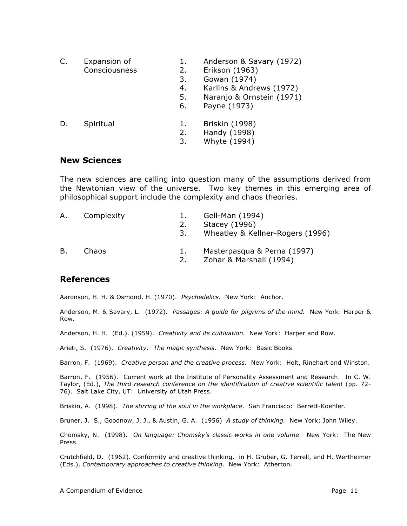| C. | Expansion of<br>Consciousness | 1.<br>2.<br>3.<br>4.<br>5.<br>6. | Anderson & Savary (1972)<br>Erikson (1963)<br>Gowan (1974)<br>Karlins & Andrews (1972)<br>Naranjo & Ornstein (1971)<br>Payne (1973) |
|----|-------------------------------|----------------------------------|-------------------------------------------------------------------------------------------------------------------------------------|
| D. | Spiritual                     | 1.<br>2.<br>3.                   | <b>Briskin (1998)</b><br>Handy (1998)<br>Whyte (1994)                                                                               |

#### **New Sciences**

The new sciences are calling into question many of the assumptions derived from the Newtonian view of the universe. Two key themes in this emerging area of philosophical support include the complexity and chaos theories.

| А. | Complexity | 1.<br>2.<br>3. | Gell-Man (1994)<br>Stacey (1996)<br>Wheatley & Kellner-Rogers (1996) |
|----|------------|----------------|----------------------------------------------------------------------|
| В. | Chaos      | 1.<br>2.       | Masterpasqua & Perna (1997)<br>Zohar & Marshall (1994)               |

#### **References**

Aaronson, H. H. & Osmond, H. (1970). *Psychedelics.* New York: Anchor.

Anderson, M. & Savary, L. (1972). *Passages: A guide for pilgrims of the mind.* New York: Harper & Row.

Anderson, H. H. (Ed.). (1959). *Creativity and its cultivation.* New York: Harper and Row.

Arieti, S. (1976). *Creativity: The magic synthesis*. New York: Basic Books.

Barron, F. (1969). *Creative person and the creative process.* New York: Holt, Rinehart and Winston.

Barron, F. (1956). Current work at the Institute of Personality Assessment and Research. In C. W. Taylor, (Ed.), *The third research conference on the identification of creative scientific talent* (pp. 72- 76). Salt Lake City, UT: University of Utah Press.

Briskin, A. (1998). *The stirring of the soul in the workplace*. San Francisco: Berrett-Koehler.

Bruner, J. S., Goodnow, J. J., & Austin, G. A. (1956) *A study of thinking.* New York: John Wiley.

Chomsky, N. (1998). *On language: Chomsky's classic works in one volume*. New York: The New Press.

Crutchfield, D. (1962). Conformity and creative thinking. in H. Gruber, G. Terrell, and H. Wertheimer (Eds.), *Contemporary approaches to creative thinking*. New York: Atherton.

A Compendium of Evidence **Page 11**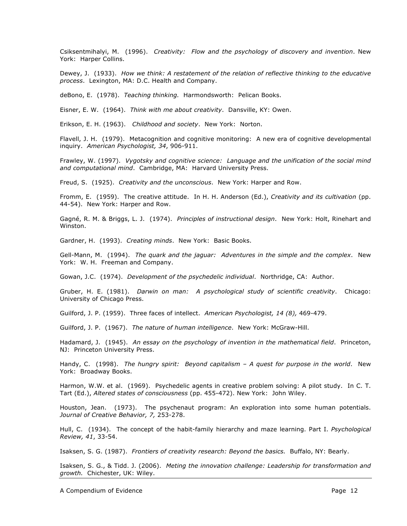Csiksentmihalyi, M. (1996). *Creativity: Flow and the psychology of discovery and invention*. New York: Harper Collins.

Dewey, J. (1933). *How we think: A restatement of the relation of reflective thinking to the educative process*. Lexington, MA: D.C. Health and Company.

deBono, E. (1978). *Teaching thinking.* Harmondsworth: Pelican Books.

Eisner, E. W. (1964). *Think with me about creativity*. Dansville, KY: Owen.

Erikson, E. H. (1963). *Childhood and society*. New York: Norton.

Flavell, J. H. (1979). Metacognition and cognitive monitoring: A new era of cognitive developmental inquiry. *American Psychologist, 34*, 906-911.

Frawley, W. (1997). *Vygotsky and cognitive science: Language and the unification of the social mind and computational mind*. Cambridge, MA: Harvard University Press.

Freud, S. (1925). *Creativity and the unconscious*. New York: Harper and Row.

Fromm, E. (1959). The creative attitude. In H. H. Anderson (Ed.), *Creativity and its cultivation* (pp. 44-54). New York: Harper and Row.

Gagné, R. M. & Briggs, L. J. (1974). *Principles of instructional design*. New York: Holt, Rinehart and Winston.

Gardner, H. (1993). *Creating minds*. New York: Basic Books.

Gell-Mann, M. (1994). *The quark and the jaguar: Adventures in the simple and the complex*. New York: W. H. Freeman and Company.

Gowan, J.C. (1974). *Development of the psychedelic individual*. Northridge, CA: Author.

Gruber, H. E. (1981). *Darwin on man: A psychological study of scientific creativity*. Chicago: University of Chicago Press.

Guilford, J. P. (1959). Three faces of intellect. *American Psychologist, 14 (8),* 469-479.

Guilford, J. P. (1967). *The nature of human intelligence*. New York: McGraw-Hill.

Hadamard, J. (1945). *An essay on the psychology of invention in the mathematical field*. Princeton, NJ: Princeton University Press.

Handy, C. (1998). *The hungry spirit: Beyond capitalism – A quest for purpose in the world*. New York: Broadway Books.

Harmon, W.W. et al. (1969). Psychedelic agents in creative problem solving: A pilot study. In C. T. Tart (Ed.), *Altered states of consciousness* (pp. 455-472). New York: John Wiley.

Houston, Jean. (1973). The psychenaut program: An exploration into some human potentials. *Journal of Creative Behavior, 7,* 253-278.

Hull, C. (1934). The concept of the habit-family hierarchy and maze learning. Part I. *Psychological Review, 41*, 33-54.

Isaksen, S. G. (1987). *Frontiers of creativity research: Beyond the basics.* Buffalo, NY: Bearly.

Isaksen, S. G., & Tidd. J. (2006). *Meting the innovation challenge: Leadership for transformation and growth.* Chichester, UK: Wiley.

A Compendium of Evidence **Page 12** and the Page 12 and the Page 12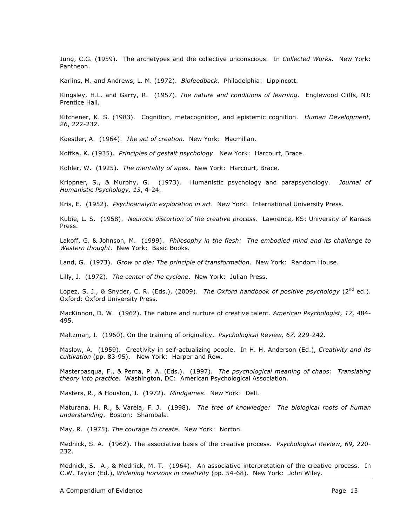Jung, C.G. (1959). The archetypes and the collective unconscious. In *Collected Works*. New York: Pantheon.

Karlins, M. and Andrews, L. M. (1972). *Biofeedback.* Philadelphia: Lippincott.

Kingsley, H.L. and Garry, R. (1957). *The nature and conditions of learning*. Englewood Cliffs, NJ: Prentice Hall.

Kitchener, K. S. (1983). Cognition, metacognition, and epistemic cognition. *Human Development, 26*, 222-232.

Koestler, A. (1964). *The act of creation*. New York: Macmillan.

Koffka, K. (1935). *Principles of gestalt psychology*. New York: Harcourt, Brace.

Kohler, W. (1925). *The mentality of apes*. New York: Harcourt, Brace.

Krippner, S., & Murphy, G. (1973). Humanistic psychology and parapsychology. *Journal of Humanistic Psychology, 13*, 4-24.

Kris, E. (1952). *Psychoanalytic exploration in art*. New York: International University Press.

Kubie, L. S. (1958). *Neurotic distortion of the creative process*. Lawrence, KS: University of Kansas Press.

Lakoff, G. & Johnson, M. (1999). *Philosophy in the flesh: The embodied mind and its challenge to Western thought*. New York: Basic Books.

Land, G. (1973). *Grow or die: The principle of transformation*. New York: Random House.

Lilly, J. (1972). *The center of the cyclone*. New York: Julian Press.

Lopez, S. J., & Snyder, C. R. (Eds.), (2009). *The Oxford handbook of positive psychology* (2<sup>nd</sup> ed.). Oxford: Oxford University Press.

MacKinnon, D. W. (1962). The nature and nurture of creative talent*. American Psychologist, 17,* 484- 495.

Maltzman, I. (1960). On the training of originality. *Psychological Review, 67,* 229-242.

Maslow, A. (1959). Creativity in self-actualizing people. In H. H. Anderson (Ed.), *Creativity and its cultivation* (pp. 83-95). New York: Harper and Row.

Masterpasqua, F., & Perna, P. A. (Eds.). (1997). *The psychological meaning of chaos: Translating theory into practice*. Washington, DC: American Psychological Association.

Masters, R., & Houston, J. (1972). *Mindgames*. New York: Dell.

Maturana, H. R., & Varela, F. J. (1998). *The tree of knowledge: The biological roots of human understanding*. Boston: Shambala.

May, R. (1975). *The courage to create.* New York: Norton.

Mednick, S. A. (1962). The associative basis of the creative process. *Psychological Review, 69,* 220- 232.

Mednick, S. A., & Mednick, M. T. (1964). An associative interpretation of the creative process. In C.W. Taylor (Ed.), *Widening horizons in creativity* (pp. 54-68). New York: John Wiley.

A Compendium of Evidence **Page 13**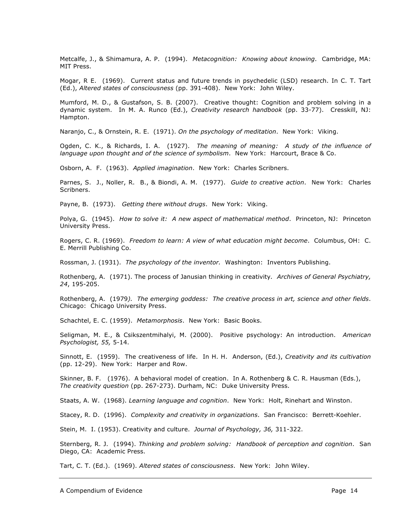Metcalfe, J., & Shimamura, A. P. (1994). *Metacognition: Knowing about knowing*. Cambridge, MA: MIT Press.

Mogar, R E. (1969). Current status and future trends in psychedelic (LSD) research. In C. T. Tart (Ed.), *Altered states of consciousness* (pp. 391-408). New York: John Wiley.

Mumford, M. D., & Gustafson, S. B. (2007). Creative thought: Cognition and problem solving in a dynamic system. In M. A. Runco (Ed.), *Creativity research handbook* (pp. 33-77). Cresskill, NJ: Hampton.

Naranjo, C., & Ornstein, R. E. (1971). *On the psychology of meditation*. New York: Viking.

Ogden, C. K., & Richards, I. A. (1927). *The meaning of meaning: A study of the influence of language upon thought and of the science of symbolism*. New York: Harcourt, Brace & Co.

Osborn, A. F. (1963). *Applied imagination*. New York: Charles Scribners.

Parnes, S. J., Noller, R. B., & Biondi, A. M. (1977). *Guide to creative action*. New York: Charles Scribners.

Payne, B. (1973). *Getting there without drugs*. New York: Viking.

Polya, G. (1945). *How to solve it: A new aspect of mathematical method*. Princeton, NJ: Princeton University Press.

Rogers, C. R. (1969). *Freedom to learn: A view of what education might become*. Columbus, OH: C. E. Merrill Publishing Co.

Rossman, J. (1931). *The psychology of the inventor.* Washington: Inventors Publishing.

Rothenberg, A. (1971). The process of Janusian thinking in creativity*. Archives of General Psychiatry, 24*, 195-205.

Rothenberg, A. (1979*). The emerging goddess: The creative process in art, science and other fields*. Chicago: Chicago University Press.

Schachtel, E. C. (1959). *Metamorphosis*. New York: Basic Books.

Seligman, M. E., & Csikszentmihalyi, M. (2000). Positive psychology: An introduction. *American Psychologist, 55,* 5-14.

Sinnott, E. (1959). The creativeness of life. In H. H. Anderson, (Ed.), *Creativity and its cultivation* (pp. 12-29). New York: Harper and Row.

Skinner, B. F. (1976). A behavioral model of creation. In A. Rothenberg & C. R. Hausman (Eds.), *The creativity question* (pp. 267-273). Durham, NC: Duke University Press.

Staats, A. W. (1968). *Learning language and cognition*. New York: Holt, Rinehart and Winston.

Stacey, R. D. (1996). *Complexity and creativity in organizations*. San Francisco: Berrett-Koehler.

Stein, M. I. (1953). Creativity and culture. *Journal of Psychology, 36,* 311-322.

Sternberg, R. J. (1994). *Thinking and problem solving: Handbook of perception and cognition*. San Diego, CA: Academic Press.

Tart, C. T. (Ed.). (1969). *Altered states of consciousness*. New York: John Wiley.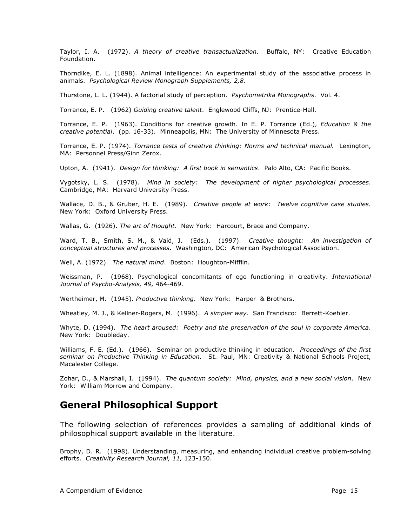Taylor, I. A. (1972). *A theory of creative transactualization*. Buffalo, NY: Creative Education Foundation.

Thorndike, E. L. (1898). Animal intelligence: An experimental study of the associative process in animals. *Psychological Review Monograph Supplements, 2,8.*

Thurstone, L. L. (1944). A factorial study of perception. *Psychometrika Monographs*. Vol. 4.

Torrance, E. P. (1962) *Guiding creative talent*. Englewood Cliffs, NJ: Prentice-Hall.

Torrance, E. P. (1963). Conditions for creative growth. In E. P. Torrance (Ed.), *Education & the creative potential*. (pp. 16-33). Minneapolis, MN: The University of Minnesota Press.

Torrance, E. P. (1974). *Torrance tests of creative thinking: Norms and technical manual.* Lexington, MA: Personnel Press/Ginn Zerox.

Upton, A. (1941). *Design for thinking: A first book in semantics*. Palo Alto, CA: Pacific Books.

Vygotsky, L. S. (1978). *Mind in society: The development of higher psychological processes*. Cambridge, MA: Harvard University Press.

Wallace, D. B., & Gruber, H. E. (1989). *Creative people at work: Twelve cognitive case studies*. New York: Oxford University Press.

Wallas, G. (1926). *The art of thought*. New York: Harcourt, Brace and Company.

Ward, T. B., Smith, S. M., & Vaid, J. (Eds.). (1997). *Creative thought: An investigation of conceptual structures and processes*. Washington, DC: American Psychological Association.

Weil, A. (1972). *The natural mind*. Boston: Houghton-Mifflin.

Weissman, P. (1968). Psychological concomitants of ego functioning in creativity. *International Journal of Psycho-Analysis, 49,* 464-469.

Wertheimer, M. (1945). *Productive thinking*. New York: Harper & Brothers.

Wheatley, M. J., & Kellner-Rogers, M. (1996). *A simpler way*. San Francisco: Berrett-Koehler.

Whyte, D. (1994). *The heart aroused: Poetry and the preservation of the soul in corporate America*. New York: Doubleday.

Williams, F. E. (Ed.). (1966). Seminar on productive thinking in education. *Proceedings of the first seminar on Productive Thinking in Education.* St. Paul, MN: Creativity & National Schools Project, Macalester College.

Zohar, D., & Marshall, I. (1994). *The quantum society: Mind, physics, and a new social vision*. New York: William Morrow and Company.

### **General Philosophical Support**

The following selection of references provides a sampling of additional kinds of philosophical support available in the literature.

Brophy, D. R. (1998). Understanding, measuring, and enhancing individual creative problem-solving efforts. *Creativity Research Journal, 11,* 123-150.

A Compendium of Evidence **Page 15** and the evidence Page 15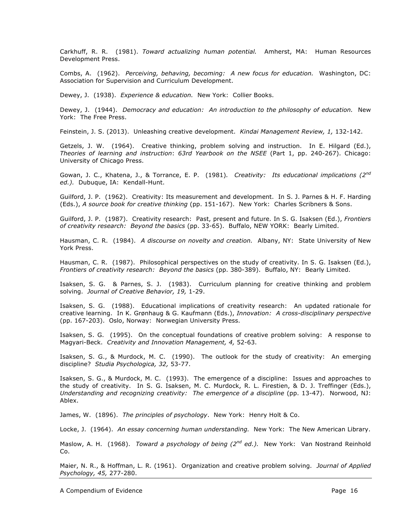Carkhuff, R. R. (1981). *Toward actualizing human potential.* Amherst, MA: Human Resources Development Press.

Combs, A. (1962). *Perceiving, behaving, becoming: A new focus for education.* Washington, DC: Association for Supervision and Curriculum Development.

Dewey, J. (1938). *Experience & education.* New York: Collier Books.

Dewey, J. (1944). *Democracy and education: An introduction to the philosophy of education.* New York: The Free Press.

Feinstein, J. S. (2013). Unleashing creative development. *Kindai Management Review, 1,* 132-142.

Getzels, J. W. (1964). Creative thinking, problem solving and instruction. In E. Hilgard (Ed.), *Theories of learning and instruction*: *63rd Yearbook on the NSEE* (Part 1, pp. 240-267). Chicago: University of Chicago Press.

Gowan, J. C., Khatena, J., & Torrance, E. P. (1981)*. Creativity: Its educational implications (2nd ed.).* Dubuque, IA: Kendall-Hunt.

Guilford, J. P. (1962). Creativity: Its measurement and development. In S. J. Parnes & H. F. Harding (Eds.), *A source book for creative thinking* (pp. 151-167). New York: Charles Scribners & Sons.

Guilford, J. P. (1987). Creativity research: Past, present and future. In S. G. Isaksen (Ed.), *Frontiers of creativity research: Beyond the basics* (pp. 33-65). Buffalo, NEW YORK: Bearly Limited.

Hausman, C. R. (1984). *A discourse on novelty and creation.* Albany, NY: State University of New York Press.

Hausman, C. R. (1987). Philosophical perspectives on the study of creativity. In S. G. Isaksen (Ed.), *Frontiers of creativity research: Beyond the basics* (pp. 380-389). Buffalo, NY: Bearly Limited.

Isaksen, S. G. & Parnes, S. J. (1983). Curriculum planning for creative thinking and problem solving. *Journal of Creative Behavior, 19,* 1-29.

Isaksen, S. G. (1988). Educational implications of creativity research: An updated rationale for creative learning. In K. Grønhaug & G. Kaufmann (Eds.), *Innovation: A cross-disciplinary perspective* (pp. 167-203). Oslo, Norway: Norwegian University Press.

Isaksen, S. G. (1995). On the conceptual foundations of creative problem solving: A response to Magyari-Beck. *Creativity and Innovation Management, 4,* 52-63.

Isaksen, S. G., & Murdock, M. C. (1990). The outlook for the study of creativity: An emerging discipline? *Studia Psychologica, 32,* 53-77.

Isaksen, S. G., & Murdock, M. C. (1993). The emergence of a discipline: Issues and approaches to the study of creativity. In S. G. Isaksen, M. C. Murdock, R. L. Firestien, & D. J. Treffinger (Eds.), *Understanding and recognizing creativity: The emergence of a discipline* (pp. 13-47). Norwood, NJ: Ablex.

James, W. (1896). *The principles of psychology*. New York: Henry Holt & Co.

Locke, J. (1964). *An essay concerning human understanding.* New York: The New American Library.

Maslow, A. H. (1968). *Toward a psychology of being (2nd ed.).* New York: Van Nostrand Reinhold Co.

Maier, N. R., & Hoffman, L. R. (1961). Organization and creative problem solving. *Journal of Applied Psychology, 45,* 277-280.

A Compendium of Evidence **Page 16** and the Page 16 and the Page 16 and the Page 16 and the Page 16 and the Page 16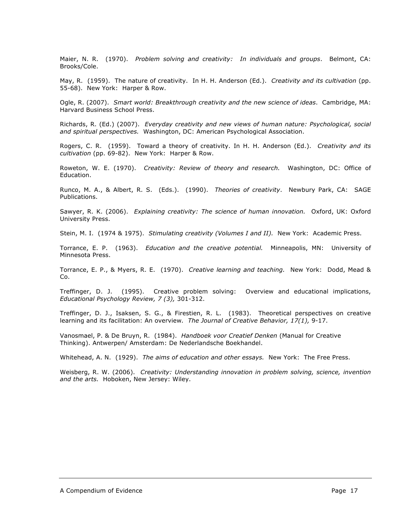Maier, N. R. (1970). *Problem solving and creativity: In individuals and groups*. Belmont, CA: Brooks/Cole.

May, R. (1959). The nature of creativity. In H. H. Anderson (Ed.). *Creativity and its cultivation* (pp. 55-68). New York: Harper & Row.

Ogle, R. (2007). *Smart world: Breakthrough creativity and the new science of ideas*. Cambridge, MA: Harvard Business School Press.

Richards, R. (Ed.) (2007). *Everyday creativity and new views of human nature: Psychological, social and spiritual perspectives.* Washington, DC: American Psychological Association.

Rogers, C. R. (1959). Toward a theory of creativity. In H. H. Anderson (Ed.). *Creativity and its cultivation* (pp. 69-82). New York: Harper & Row.

Roweton, W. E. (1970). *Creativity: Review of theory and research.* Washington, DC: Office of Education.

Runco, M. A., & Albert, R. S. (Eds.). (1990). *Theories of creativity*. Newbury Park, CA: SAGE Publications.

Sawyer, R. K. (2006). *Explaining creativity: The science of human innovation.* Oxford, UK: Oxford University Press.

Stein, M. I. (1974 & 1975). *Stimulating creativity (Volumes I and II).* New York: Academic Press.

Torrance, E. P. (1963). *Education and the creative potential.* Minneapolis, MN: University of Minnesota Press.

Torrance, E. P., & Myers, R. E. (1970). *Creative learning and teaching.* New York: Dodd, Mead & Co.

Treffinger, D. J. (1995). Creative problem solving: Overview and educational implications, *Educational Psychology Review, 7 (3),* 301-312.

Treffinger, D. J., Isaksen, S. G., & Firestien, R. L. (1983). Theoretical perspectives on creative learning and its facilitation: An overview*. The Journal of Creative Behavior, 17(1),* 9-17.

Vanosmael, P. & De Bruyn, R. (1984). *Handboek voor Creatief Denken* (Manual for Creative Thinking). Antwerpen/ Amsterdam: De Nederlandsche Boekhandel.

Whitehead, A. N. (1929). *The aims of education and other essays.* New York: The Free Press.

Weisberg, R. W. (2006). *Creativity: Understanding innovation in problem solving, science, invention and the arts.* Hoboken, New Jersey: Wiley.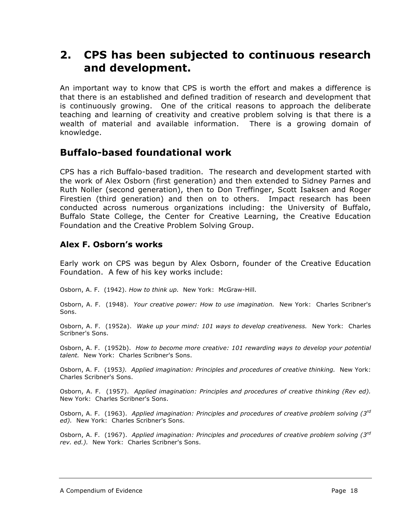### **2. CPS has been subjected to continuous research and development.**

An important way to know that CPS is worth the effort and makes a difference is that there is an established and defined tradition of research and development that is continuously growing. One of the critical reasons to approach the deliberate teaching and learning of creativity and creative problem solving is that there is a wealth of material and available information. There is a growing domain of knowledge.

### **Buffalo-based foundational work**

CPS has a rich Buffalo-based tradition. The research and development started with the work of Alex Osborn (first generation) and then extended to Sidney Parnes and Ruth Noller (second generation), then to Don Treffinger, Scott Isaksen and Roger Firestien (third generation) and then on to others. Impact research has been conducted across numerous organizations including: the University of Buffalo, Buffalo State College, the Center for Creative Learning, the Creative Education Foundation and the Creative Problem Solving Group.

### **Alex F. Osborn's works**

Early work on CPS was begun by Alex Osborn, founder of the Creative Education Foundation. A few of his key works include:

Osborn, A. F. (1942). *How to think up.* New York: McGraw-Hill.

Osborn, A. F. (1948). *Your creative power: How to use imagination.* New York: Charles Scribner's Sons.

Osborn, A. F. (1952a). *Wake up your mind: 101 ways to develop creativeness.* New York: Charles Scribner's Sons.

Osborn, A. F. (1952b). *How to become more creative: 101 rewarding ways to develop your potential talent.* New York: Charles Scribner's Sons.

Osborn, A. F. (1953*). Applied imagination: Principles and procedures of creative thinking.* New York: Charles Scribner's Sons.

Osborn, A. F. (1957). *Applied imagination: Principles and procedures of creative thinking (Rev ed).* New York: Charles Scribner's Sons.

Osborn, A. F. (1963). *Applied imagination: Principles and procedures of creative problem solving (3rd ed).* New York: Charles Scribner's Sons.

Osborn, A. F. (1967). *Applied imagination: Principles and procedures of creative problem solving (3rd rev. ed.).* New York: Charles Scribner's Sons.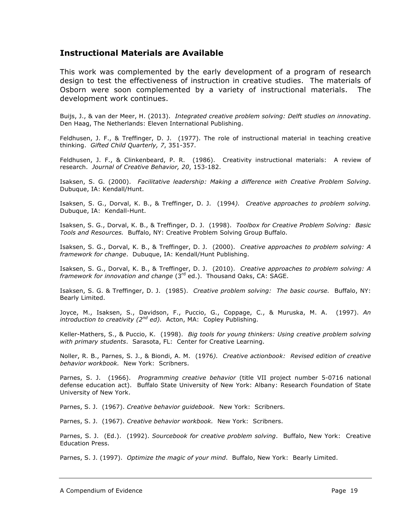#### **Instructional Materials are Available**

This work was complemented by the early development of a program of research design to test the effectiveness of instruction in creative studies. The materials of Osborn were soon complemented by a variety of instructional materials. The development work continues.

Buijs, J., & van der Meer, H. (2013). *Integrated creative problem solving: Delft studies on innovating*. Den Haag, The Netherlands: Eleven International Publishing.

Feldhusen, J. F., & Treffinger, D. J. (1977). The role of instructional material in teaching creative thinking. *Gifted Child Quarterly, 7*, 351-357.

Feldhusen, J. F., & Clinkenbeard, P. R. (1986). Creativity instructional materials: A review of research. *Journal of Creative Behavior, 20*, 153-182.

Isaksen, S. G. (2000). *Facilitative leadership: Making a difference with Creative Problem Solving*. Dubuque, IA: Kendall/Hunt.

Isaksen, S. G., Dorval, K. B., & Treffinger, D. J. (1994*). Creative approaches to problem solving.* Dubuque, IA: Kendall-Hunt.

Isaksen, S. G., Dorval, K. B., & Treffinger, D. J. (1998). *Toolbox for Creative Problem Solving: Basic Tools and Resources.* Buffalo, NY: Creative Problem Solving Group Buffalo.

Isaksen, S. G., Dorval, K. B., & Treffinger, D. J. (2000). *Creative approaches to problem solving: A framework for change*. Dubuque, IA: Kendall/Hunt Publishing.

Isaksen, S. G., Dorval, K. B., & Treffinger, D. J. (2010). *Creative approaches to problem solving: A framework for innovation and change* (3rd ed.). Thousand Oaks, CA: SAGE.

Isaksen, S. G. & Treffinger, D. J. (1985). *Creative problem solving: The basic course.* Buffalo, NY: Bearly Limited.

Joyce, M., Isaksen, S., Davidson, F., Puccio, G., Coppage, C., & Muruska, M. A. (1997). *An introduction to creativity (2nd ed).* Acton, MA: Copley Publishing.

Keller-Mathers, S., & Puccio, K. (1998). *Big tools for young thinkers: Using creative problem solving with primary students*. Sarasota, FL: Center for Creative Learning.

Noller, R. B., Parnes, S. J., & Biondi, A. M. (1976*). Creative actionbook: Revised edition of creative behavior workbook.* New York: Scribners.

Parnes, S. J. (1966). *Programming creative behavior* (title VII project number 5-0716 national defense education act). Buffalo State University of New York: Albany: Research Foundation of State University of New York.

Parnes, S. J. (1967). *Creative behavior guidebook.* New York: Scribners.

Parnes, S. J. (1967). *Creative behavior workbook.* New York: Scribners.

Parnes, S. J. (Ed.). (1992). *Sourcebook for creative problem solving*. Buffalo, New York: Creative Education Press.

Parnes, S. J. (1997). *Optimize the magic of your mind*. Buffalo, New York: Bearly Limited.

A Compendium of Evidence **Page 19** and the Page 19 and the Page 19 and the Page 19 and the Page 19 and the Page 19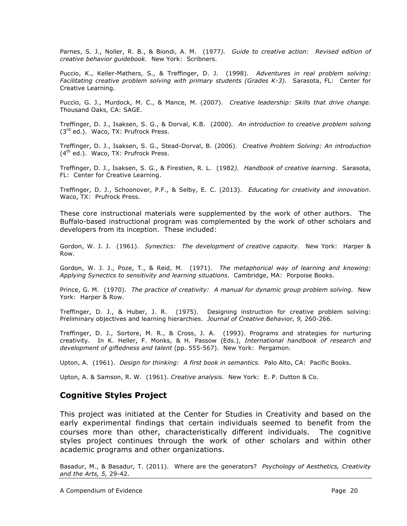Parnes, S. J., Noller, R. B., & Biondi, A. M. (1977*). Guide to creative action: Revised edition of creative behavior guidebook.* New York: Scribners.

Puccio, K., Keller-Mathers, S., & Treffinger, D. J. (1998). *Adventures in real problem solving: Facilitating creative problem solving with primary students (Grades K-3).* Sarasota, FL: Center for Creative Learning.

Puccio, G. J., Murdock, M. C., & Mance, M. (2007). *Creative leadership: Skills that drive change.* Thousand Oaks, CA: SAGE.

Treffinger, D. J., Isaksen, S. G., & Dorval, K.B. (2000)*. An introduction to creative problem solving*   $(3<sup>rd</sup>$  ed.). Waco, TX: Prufrock Press.

Treffinger, D. J., Isaksen, S. G., Stead-Dorval, B. (2006). *Creative Problem Solving: An introduction*  $(4^{th}$  ed.). Waco, TX: Prufrock Press.

Treffinger, D. J., Isaksen, S. G., & Firestien, R. L. (1982*). Handbook of creative learning*. Sarasota, FL: Center for Creative Learning.

Treffinger, D. J., Schoonover, P.F., & Selby, E. C. (2013). *Educating for creativity and innovation*. Waco, TX: Prufrock Press.

These core instructional materials were supplemented by the work of other authors. The Buffalo-based instructional program was complemented by the work of other scholars and developers from its inception. These included:

Gordon, W. J. J. (1961). *Synectics: The development of creative capacity.* New York: Harper & Row.

Gordon, W. J. J., Poze, T., & Reid, M. (1971). *The metaphorical way of learning and knowing: Applying Synectics to sensitivity and learning situations*. Cambridge, MA: Porpoise Books.

Prince, G. M. (1970). *The practice of creativity: A manual for dynamic group problem solving.* New York: Harper & Row.

Treffinger, D. J., & Huber, J. R. (1975). Designing instruction for creative problem solving: Preliminary objectives and learning hierarchies. *Journal of Creative Behavior, 9,* 260-266.

Treffinger, D. J., Sortore, M. R., & Cross, J. A. (1993). Programs and strategies for nurturing creativity. In K. Heller, F. Monks, & H. Passow (Eds.), *International handbook of research and development of giftedness and talent* (pp. 555-567). New York: Pergamon.

Upton, A. (1961). *Design for thinking: A first book in semantics.* Palo Alto, CA: Pacific Books.

Upton, A. & Samson, R. W. (1961). *Creative analysis.* New York: E. P. Dutton & Co.

#### **Cognitive Styles Project**

This project was initiated at the Center for Studies in Creativity and based on the early experimental findings that certain individuals seemed to benefit from the courses more than other, characteristically different individuals. The cognitive styles project continues through the work of other scholars and within other academic programs and other organizations.

Basadur, M., & Basadur, T. (2011). Where are the generators? *Psychology of Aesthetics, Creativity and the Arts, 5,* 29-42.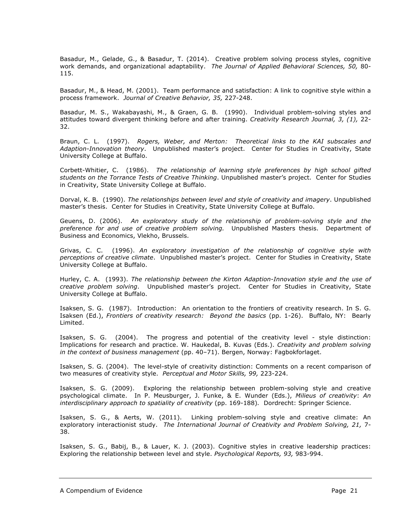Basadur, M., Gelade, G., & Basadur, T. (2014). Creative problem solving process styles, cognitive work demands, and organizational adaptability. *The Journal of Applied Behavioral Sciences, 50,* 80- 115.

Basadur, M., & Head, M. (2001). Team performance and satisfaction: A link to cognitive style within a process framework. *Journal of Creative Behavior, 35,* 227-248.

Basadur, M. S., Wakabayashi, M., & Graen, G. B. (1990). Individual problem-solving styles and attitudes toward divergent thinking before and after training. *Creativity Research Journal, 3, (1),* 22- 32.

Braun, C. L. (1997). *Rogers, Weber, and Merton: Theoretical links to the KAI subscales and Adaption-Innovation theory*. Unpublished master's project. Center for Studies in Creativity, State University College at Buffalo.

Corbett-Whitier, C. (1986). *The relationship of learning style preferences by high school gifted students on the Torrance Tests of Creative Thinking*. Unpublished master's project. Center for Studies in Creativity, State University College at Buffalo.

Dorval, K. B. (1990). *The relationships between level and style of creativity and imagery*. Unpublished master's thesis. Center for Studies in Creativity, State University College at Buffalo.

Geuens, D. (2006). *An exploratory study of the relationship of problem-solving style and the preference for and use of creative problem solving.* Unpublished Masters thesis. Department of Business and Economics, Vlekho, Brussels.

Grivas, C. C. (1996). *An exploratory investigation of the relationship of cognitive style with perceptions of creative climate*. Unpublished master's project. Center for Studies in Creativity, State University College at Buffalo.

Hurley, C. A. (1993). *The relationship between the Kirton Adaption-Innovation style and the use of creative problem solving*. Unpublished master's project. Center for Studies in Creativity, State University College at Buffalo.

Isaksen, S. G. (1987). Introduction: An orientation to the frontiers of creativity research. In S. G. Isaksen (Ed.), *Frontiers of creativity research: Beyond the basics* (pp. 1-26). Buffalo, NY: Bearly Limited.

Isaksen, S. G. (2004). The progress and potential of the creativity level - style distinction: Implications for research and practice. W. Haukedal, B. Kuvas (Eds.). *Creativity and problem solving in the context of business management* (pp. 40–71). Bergen, Norway: Fagbokforlaget.

Isaksen, S. G. (2004). The level-style of creativity distinction: Comments on a recent comparison of two measures of creativity style. *Perceptual and Motor Skills, 99,* 223-224.

Isaksen, S. G. (2009). Exploring the relationship between problem-solving style and creative psychological climate. In P. Meusburger, J. Funke, & E. Wunder (Eds.), *Milieus of creativity*: *An*  interdisciplinary approach to spatiality of creativity (pp. 169-188). Dordrecht: Springer Science.

Isaksen, S. G., & Aerts, W. (2011). Linking problem-solving style and creative climate: An exploratory interactionist study. *The International Journal of Creativity and Problem Solving, 21,* 7- 38.

Isaksen, S. G., Babij, B., & Lauer, K. J. (2003). Cognitive styles in creative leadership practices: Exploring the relationship between level and style. *Psychological Reports, 93,* 983-994.

A Compendium of Evidence **Page 21**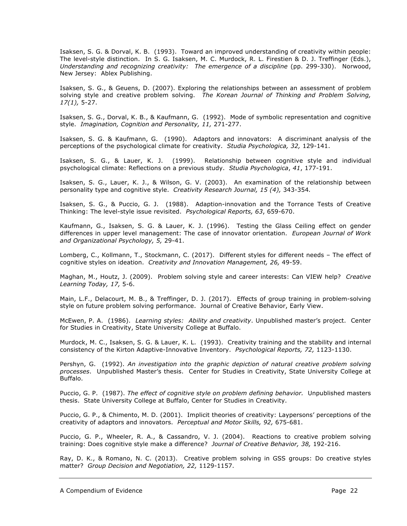Isaksen, S. G. & Dorval, K. B. (1993). Toward an improved understanding of creativity within people: The level-style distinction. In S. G. Isaksen, M. C. Murdock, R. L. Firestien & D. J. Treffinger (Eds.), *Understanding and recognizing creativity: The emergence of a discipline* (pp. 299-330). Norwood, New Jersey: Ablex Publishing.

Isaksen, S. G., & Geuens, D. (2007). Exploring the relationships between an assessment of problem solving style and creative problem solving. *The Korean Journal of Thinking and Problem Solving, 17(1),* 5-27.

Isaksen, S. G., Dorval, K. B., & Kaufmann, G. (1992). Mode of symbolic representation and cognitive style. *Imagination, Cognition and Personality, 11,* 271-277.

Isaksen, S. G. & Kaufmann, G. (1990). Adaptors and innovators: A discriminant analysis of the perceptions of the psychological climate for creativity. *Studia Psychologica, 32,* 129-141.

Isaksen, S. G., & Lauer, K. J. (1999). Relationship between cognitive style and individual psychological climate: Reflections on a previous study. *Studia Psychologica*, *41*, 177-191.

Isaksen, S. G., Lauer, K. J., & Wilson, G. V. (2003). An examination of the relationship between personality type and cognitive style. *Creativity Research Journal, 15 (4),* 343-354*.*

Isaksen, S. G., & Puccio, G. J. (1988). Adaption-innovation and the Torrance Tests of Creative Thinking: The level-style issue revisited. *Psychological Reports, 63*, 659-670.

Kaufmann, G., Isaksen, S. G. & Lauer, K. J. (1996). Testing the Glass Ceiling effect on gender differences in upper level management: The case of innovator orientation. *European Journal of Work and Organizational Psychology, 5,* 29-41.

Lomberg, C., Kollmann, T., Stockmann, C. (2017). Different styles for different needs – The effect of cognitive styles on ideation. *Creativity and Innovation Management, 26,* 49-59.

Maghan, M., Houtz, J. (2009). Problem solving style and career interests: Can VIEW help? *Creative Learning Today, 17,* 5-6.

Main, L.F., Delacourt, M. B., & Treffinger, D. J. (2017). Effects of group training in problem-solving style on future problem solving performance. Journal of Creative Behavior, Early View.

McEwen, P. A. (1986). *Learning styles: Ability and creativity*. Unpublished master's project. Center for Studies in Creativity, State University College at Buffalo.

Murdock, M. C., Isaksen, S. G. & Lauer, K. L. (1993). Creativity training and the stability and internal consistency of the Kirton Adaptive-Innovative Inventory. *Psychological Reports, 72,* 1123-1130.

Pershyn, G. (1992). *An investigation into the graphic depiction of natural creative problem solving processes*. Unpublished Master's thesis. Center for Studies in Creativity, State University College at Buffalo.

Puccio, G. P. (1987). *The effect of cognitive style on problem defining behavior.* Unpublished masters thesis. State University College at Buffalo, Center for Studies in Creativity.

Puccio, G. P., & Chimento, M. D. (2001). Implicit theories of creativity: Laypersons' perceptions of the creativity of adaptors and innovators. *Perceptual and Motor Skills, 92,* 675-681.

Puccio, G. P., Wheeler, R. A., & Cassandro, V. J. (2004). Reactions to creative problem solving training: Does cognitive style make a difference? *Journal of Creative Behavior, 38,* 192-216.

Ray, D. K., & Romano, N. C. (2013). Creative problem solving in GSS groups: Do creative styles matter? *Group Decision and Negotiation, 22,* 1129-1157.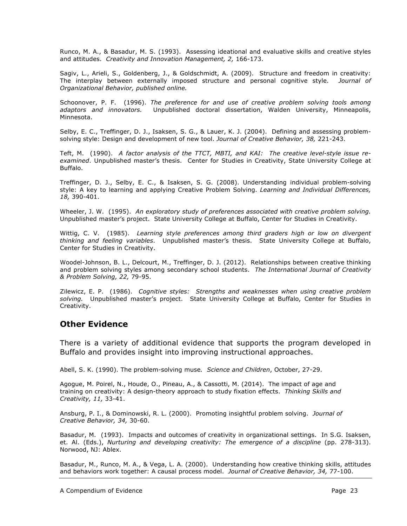Runco, M. A., & Basadur, M. S. (1993). Assessing ideational and evaluative skills and creative styles and attitudes. *Creativity and Innovation Management, 2,* 166-173.

Sagiv, L., Arieli, S., Goldenberg, J., & Goldschmidt, A. (2009). Structure and freedom in creativity: The interplay between externally imposed structure and personal cognitive style. *Journal of Organizational Behavior, published online.*

Schoonover, P. F. (1996). *The preference for and use of creative problem solving tools among adaptors and innovators.* Unpublished doctoral dissertation, Walden University, Minneapolis, Minnesota.

Selby, E. C., Treffinger, D. J., Isaksen, S. G., & Lauer, K. J. (2004). Defining and assessing problemsolving style: Design and development of new tool. *Journal of Creative Behavior, 38,* 221-243.

Teft, M. (1990). *A factor analysis of the TTCT, MBTI, and KAI: The creative level-style issue reexamined*. Unpublished master's thesis. Center for Studies in Creativity, State University College at Buffalo.

Treffinger, D. J., Selby, E. C., & Isaksen, S. G. (2008). Understanding individual problem-solving style: A key to learning and applying Creative Problem Solving. *Learning and Individual Differences, 18,* 390-401.

Wheeler, J. W. (1995). *An exploratory study of preferences associated with creative problem solving.* Unpublished master's project. State University College at Buffalo, Center for Studies in Creativity.

Wittig, C. V. (1985). *Learning style preferences among third graders high or low on divergent thinking and feeling variables*. Unpublished master's thesis. State University College at Buffalo, Center for Studies in Creativity.

Woodel-Johnson, B. L., Delcourt, M., Treffinger, D. J. (2012). Relationships between creative thinking and problem solving styles among secondary school students. *The International Journal of Creativity & Problem Solving, 22,* 79-95.

Zilewicz, E. P. (1986). *Cognitive styles: Strengths and weaknesses when using creative problem solving.* Unpublished master's project. State University College at Buffalo, Center for Studies in Creativity.

#### **Other Evidence**

There is a variety of additional evidence that supports the program developed in Buffalo and provides insight into improving instructional approaches.

Abell, S. K. (1990). The problem-solving muse*. Science and Children*, October, 27-29.

Agogue, M. Poirel, N., Houde, O., Pineau, A., & Cassotti, M. (2014). The impact of age and training on creativity: A design-theory approach to study fixation effects. *Thinking Skills and Creativity, 11,* 33-41.

Ansburg, P. I., & Dominowski, R. L. (2000). Promoting insightful problem solving. *Journal of Creative Behavior, 34,* 30-60.

Basadur, M. (1993). Impacts and outcomes of creativity in organizational settings. In S.G. Isaksen, et. Al. (Eds.), *Nurturing and developing creativity: The emergence of a discipline* (pp. 278-313). Norwood, NJ: Ablex.

Basadur, M., Runco, M. A., & Vega, L. A. (2000). Understanding how creative thinking skills, attitudes and behaviors work together: A causal process model. *Journal of Creative Behavior, 34,* 77-100.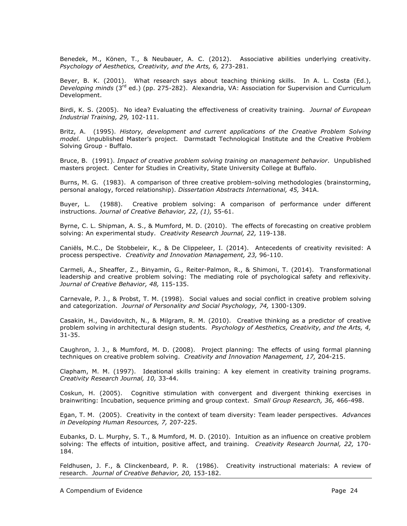Benedek, M., Könen, T., & Neubauer, A. C. (2012). Associative abilities underlying creativity. *Psychology of Aesthetics, Creativity, and the Arts, 6,* 273-281.

Beyer, B. K. (2001). What research says about teaching thinking skills. In A. L. Costa (Ed.), *Developing minds* (3rd ed.) (pp. 275-282). Alexandria, VA: Association for Supervision and Curriculum Development.

Birdi, K. S. (2005). No idea? Evaluating the effectiveness of creativity training. *Journal of European Industrial Training, 29,* 102-111.

Britz, A. (1995). *History, development and current applications of the Creative Problem Solving model.* Unpublished Master's project. Darmstadt Technological Institute and the Creative Problem Solving Group - Buffalo.

Bruce, B. (1991). *Impact of creative problem solving training on management behavior*. Unpublished masters project. Center for Studies in Creativity, State University College at Buffalo.

Burns, M. G. (1983). A comparison of three creative problem-solving methodologies (brainstorming, personal analogy, forced relationship). *Dissertation Abstracts International, 45,* 341A.

Buyer, L. (1988). Creative problem solving: A comparison of performance under different instructions. *Journal of Creative Behavior, 22, (1),* 55-61.

Byrne, C. L. Shipman, A. S., & Mumford, M. D. (2010). The effects of forecasting on creative problem solving: An experimental study. *Creativity Research Journal, 22,* 119-138.

Caniëls, M.C., De Stobbeleir, K., & De Clippeleer, I. (2014). Antecedents of creativity revisited: A process perspective. *Creativity and Innovation Management, 23,* 96-110.

Carmeli, A., Sheaffer, Z., Binyamin, G., Reiter-Palmon, R., & Shimoni, T. (2014). Transformational leadership and creative problem solving: The mediating role of psychological safety and reflexivity. *Journal of Creative Behavior, 48,* 115-135.

Carnevale, P. J., & Probst, T. M. (1998). Social values and social conflict in creative problem solving and categorization. *Journal of Personality and Social Psychology, 74,* 1300-1309.

Casakin, H., Davidovitch, N., & Milgram, R. M. (2010). Creative thinking as a predictor of creative problem solving in architectural design students. *Psychology of Aesthetics, Creativity, and the Arts, 4,* 31-35.

Caughron, J. J., & Mumford, M. D. (2008). Project planning: The effects of using formal planning techniques on creative problem solving. *Creativity and Innovation Management, 17,* 204-215.

Clapham, M. M. (1997). Ideational skills training: A key element in creativity training programs. *Creativity Research Journal, 10,* 33-44.

Coskun, H. (2005). Cognitive stimulation with convergent and divergent thinking exercises in brainwriting: Incubation, sequence priming and group context. *Small Group Research, 36,* 466-498.

Egan, T. M. (2005). Creativity in the context of team diversity: Team leader perspectives. *Advances in Developing Human Resources, 7,* 207-225.

Eubanks, D. L. Murphy, S. T., & Mumford, M. D. (2010). Intuition as an influence on creative problem solving: The effects of intuition, positive affect, and training. *Creativity Research Journal, 22,* 170- 184.

Feldhusen, J. F., & Clinckenbeard, P. R. (1986). Creativity instructional materials: A review of research. *Journal of Creative Behavior, 20,* 153-182.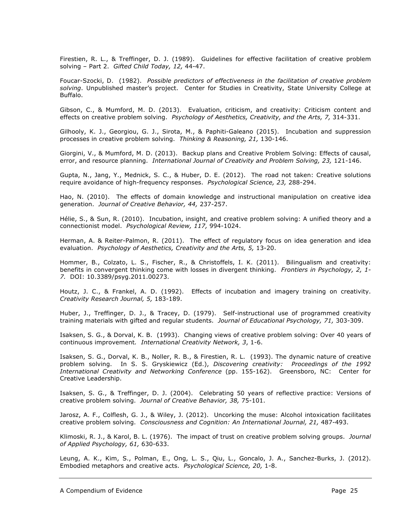Firestien, R. L., & Treffinger, D. J. (1989). Guidelines for effective facilitation of creative problem solving – Part 2. *Gifted Child Today, 12,* 44-47.

Foucar-Szocki, D. (1982). *Possible predictors of effectiveness in the facilitation of creative problem solving*. Unpublished master's project. Center for Studies in Creativity, State University College at Buffalo.

Gibson, C., & Mumford, M. D. (2013). Evaluation, criticism, and creativity: Criticism content and effects on creative problem solving. *Psychology of Aesthetics, Creativity, and the Arts, 7,* 314-331.

Gilhooly, K. J., Georgiou, G. J., Sirota, M., & Paphiti-Galeano (2015). Incubation and suppression processes in creative problem solving. *Thinking & Reasoning, 21,* 130-146.

Giorgini, V., & Mumford, M. D. (2013). Backup plans and Creative Problem Solving: Effects of causal, error, and resource planning. *International Journal of Creativity and Problem Solving, 23,* 121-146.

Gupta, N., Jang, Y., Mednick, S. C., & Huber, D. E. (2012). The road not taken: Creative solutions require avoidance of high-frequency responses. *Psychological Science, 23,* 288-294.

Hao, N. (2010). The effects of domain knowledge and instructional manipulation on creative idea generation. *Journal of Creative Behavior, 44,* 237-257.

Hélie, S., & Sun, R. (2010). Incubation, insight, and creative problem solving: A unified theory and a connectionist model. *Psychological Review, 117,* 994-1024.

Herman, A. & Reiter-Palmon, R. (2011). The effect of regulatory focus on idea generation and idea evaluation. *Psychology of Aesthetics, Creativity and the Arts, 5,* 13-20.

Hommer, B., Colzato, L. S., Fischer, R., & Christoffels, I. K. (2011). Bilingualism and creativity: benefits in convergent thinking come with losses in divergent thinking. *Frontiers in Psychology, 2, 1- 7.* DOI: 10.3389/psyg.2011.00273.

Houtz, J. C., & Frankel, A. D. (1992). Effects of incubation and imagery training on creativity. *Creativity Research Journal, 5,* 183-189.

Huber, J., Treffinger, D. J., & Tracey, D. (1979). Self-instructional use of programmed creativity training materials with gifted and regular students. *Journal of Educational Psychology, 71,* 303-309.

Isaksen, S. G., & Dorval, K. B. (1993). Changing views of creative problem solving: Over 40 years of continuous improvement*. International Creativity Network, 3*, 1-6.

Isaksen, S. G., Dorval, K. B., Noller, R. B., & Firestien, R. L. (1993). The dynamic nature of creative problem solving. In S. S. Gryskiewicz (Ed.), *Discovering creativity: Proceedings of the 1992 International Creativity and Networking Conference* (pp. 155-162). Greensboro, NC: Center for Creative Leadership.

Isaksen, S. G., & Treffinger, D. J. (2004). Celebrating 50 years of reflective practice: Versions of creative problem solving. *Journal of Creative Behavior, 38,* 75-101.

Jarosz, A. F., Colflesh, G. J., & Wiley, J. (2012). Uncorking the muse: Alcohol intoxication facilitates creative problem solving. *Consciousness and Cognition: An International Journal, 21,* 487-493.

Klimoski, R. J., & Karol, B. L. (1976). The impact of trust on creative problem solving groups. *Journal of Applied Psychology, 61,* 630-633.

Leung, A. K., Kim, S., Polman, E., Ong, L. S., Qiu, L., Goncalo, J. A., Sanchez-Burks, J. (2012). Embodied metaphors and creative acts. *Psychological Science, 20,* 1-8.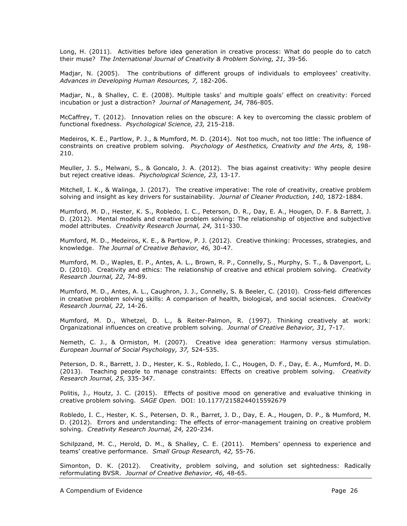Long, H. (2011). Activities before idea generation in creative process: What do people do to catch their muse? *The International Journal of Creativity & Problem Solving, 21,* 39-56.

Madjar, N. (2005). The contributions of different groups of individuals to employees' creativity. *Advances in Developing Human Resources, 7,* 182-206.

Madjar, N., & Shalley, C. E. (2008). Multiple tasks' and multiple goals' effect on creativity: Forced incubation or just a distraction? *Journal of Management, 34,* 786-805.

McCaffrey, T. (2012). Innovation relies on the obscure: A key to overcoming the classic problem of functional fixedness. *Psychological Science, 23,* 215-218.

Medeiros, K. E., Partlow, P. J., & Mumford, M. D. (2014). Not too much, not too little: The influence of constraints on creative problem solving. *Psychology of Aesthetics, Creativity and the Arts, 8,* 198- 210.

Meuller, J. S., Melwani, S., & Goncalo, J. A. (2012). The bias against creativity: Why people desire but reject creative ideas. *Psychological Science, 23,* 13-17.

Mitchell, I. K., & Walinga, J. (2017). The creative imperative: The role of creativity, creative problem solving and insight as key drivers for sustainability. *Journal of Cleaner Production, 140,* 1872-1884.

Mumford, M. D., Hester, K. S., Robledo, I. C., Peterson, D. R., Day, E. A., Hougen, D. F. & Barrett, J. D. (2012). Mental models and creative problem solving: The relationship of objective and subjective model attributes. *Creativity Research Journal, 24,* 311-330.

Mumford, M. D., Medeiros, K. E., & Partlow, P. J. (2012). Creative thinking: Processes, strategies, and knowledge. *The Journal of Creative Behavior, 46,* 30-47.

Mumford, M. D., Waples, E. P., Antes, A. L., Brown, R. P., Connelly, S., Murphy, S. T., & Davenport, L. D. (2010). Creativity and ethics: The relationship of creative and ethical problem solving. *Creativity Research Journal, 22,* 74-89.

Mumford, M. D., Antes, A. L., Caughron, J. J., Connelly, S. & Beeler, C. (2010). Cross-field differences in creative problem solving skills: A comparison of health, biological, and social sciences. *Creativity Research Journal, 22,* 14-26.

Mumford, M. D., Whetzel, D. L., & Reiter-Palmon, R. (1997). Thinking creatively at work: Organizational influences on creative problem solving. *Journal of Creative Behavior, 31,* 7-17.

Nemeth, C. J., & Ormiston, M. (2007). Creative idea generation: Harmony versus stimulation. *European Journal of Social Psychology, 37,* 524-535.

Peterson, D. R., Barrett, J. D., Hester, K. S., Robledo, I. C., Hougen, D. F., Day, E. A., Mumford, M. D. (2013). Teaching people to manage constraints: Effects on creative problem solving. *Creativity Research Journal, 25,* 335-347.

Politis, J., Houtz, J. C. (2015). Effects of positive mood on generative and evaluative thinking in creative problem solving. *SAGE Open.* DOI: 10.1177/2158244015592679

Robledo, I. C., Hester, K. S., Petersen, D. R., Barret, J. D., Day, E. A., Hougen, D. P., & Mumford, M. D. (2012). Errors and understanding: The effects of error-management training on creative problem solving. *Creativity Research Journal, 24,* 220-234.

Schilpzand, M. C., Herold, D. M., & Shalley, C. E. (2011). Members' openness to experience and teams' creative performance. *Small Group Research, 42,* 55-76.

Simonton, D. K. (2012). Creativity, problem solving, and solution set sightedness: Radically reformulating BVSR. *Journal of Creative Behavior, 46,* 48-65.

A Compendium of Evidence **Page 26** and the Page 26 and the Page 26 and the Page 26 and the Page 26 and the Page 26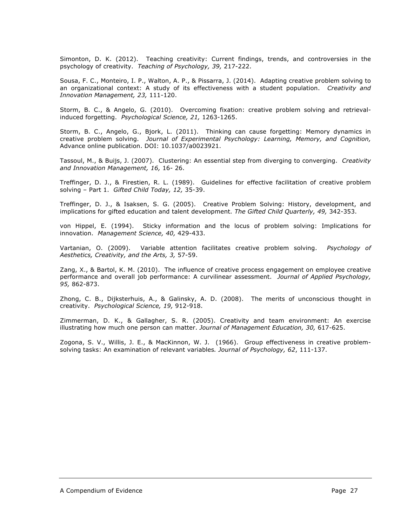Simonton, D. K. (2012). Teaching creativity: Current findings, trends, and controversies in the psychology of creativity. *Teaching of Psychology, 39,* 217-222.

Sousa, F. C., Monteiro, I. P., Walton, A. P., & Pissarra, J. (2014). Adapting creative problem solving to an organizational context: A study of its effectiveness with a student population. *Creativity and Innovation Management, 23,* 111-120.

Storm, B. C., & Angelo, G. (2010). Overcoming fixation: creative problem solving and retrievalinduced forgetting. *Psychological Science, 21,* 1263-1265.

Storm, B. C., Angelo, G., Bjork, L. (2011). Thinking can cause forgetting: Memory dynamics in creative problem solving. *Journal of Experimental Psychology: Learning, Memory, and Cognition,* Advance online publication. DOI: 10.1037/a0023921.

Tassoul, M., & Buijs, J. (2007). Clustering: An essential step from diverging to converging. *Creativity and Innovation Management, 16,* 16- 26.

Treffinger, D. J., & Firestien, R. L. (1989). Guidelines for effective facilitation of creative problem solving – Part 1. *Gifted Child Today, 12,* 35-39.

Treffinger, D. J., & Isaksen, S. G. (2005). Creative Problem Solving: History, development, and implications for gifted education and talent development. *The Gifted Child Quarterly, 49,* 342-353.

von Hippel, E. (1994). Sticky information and the locus of problem solving: Implications for innovation. *Management Science, 40,* 429-433.

Vartanian, O. (2009). Variable attention facilitates creative problem solving. *Psychology of Aesthetics, Creativity, and the Arts, 3,* 57-59.

Zang, X., & Bartol, K. M. (2010). The influence of creative process engagement on employee creative performance and overall job performance: A curvilinear assessment. *Journal of Applied Psychology, 95,* 862-873.

Zhong, C. B., Dijksterhuis, A., & Galinsky, A. D. (2008). The merits of unconscious thought in creativity. *Psychological Science, 19,* 912-918.

Zimmerman, D. K., & Gallagher, S. R. (2005). Creativity and team environment: An exercise illustrating how much one person can matter. *Journal of Management Education, 30,* 617-625.

Zogona, S. V., Willis, J. E., & MacKinnon, W. J. (1966). Group effectiveness in creative problemsolving tasks: An examination of relevant variables*. Journal of Psychology, 62*, 111-137.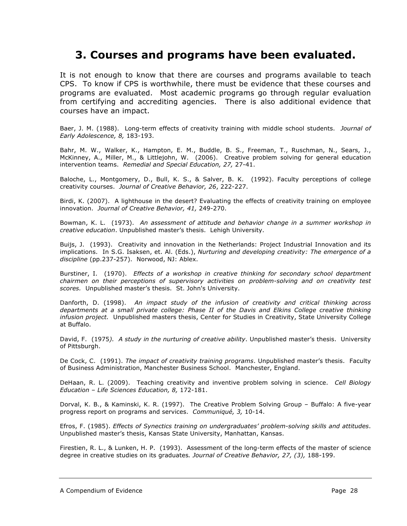### **3. Courses and programs have been evaluated.**

It is not enough to know that there are courses and programs available to teach CPS. To know if CPS is worthwhile, there must be evidence that these courses and programs are evaluated. Most academic programs go through regular evaluation from certifying and accrediting agencies. There is also additional evidence that courses have an impact.

Baer, J. M. (1988). Long-term effects of creativity training with middle school students. *Journal of Early Adolescence, 8,* 183-193.

Bahr, M. W., Walker, K., Hampton, E. M., Buddle, B. S., Freeman, T., Ruschman, N., Sears, J., McKinney, A., Miller, M., & Littlejohn, W. (2006). Creative problem solving for general education intervention teams. *Remedial and Special Education, 27,* 27-41.

Baloche, L., Montgomery, D., Bull, K. S., & Salver, B. K. (1992). Faculty perceptions of college creativity courses. *Journal of Creative Behavior, 26*, 222-227.

Birdi, K. (2007). A lighthouse in the desert? Evaluating the effects of creativity training on employee innovation. *Journal of Creative Behavior, 41,* 249-270.

Bowman, K. L. (1973). *An assessment of attitude and behavior change in a summer workshop in creative education*. Unpublished master's thesis. Lehigh University.

Buijs, J. (1993). Creativity and innovation in the Netherlands: Project Industrial Innovation and its implications. In S.G. Isaksen, et. Al. (Eds.), *Nurturing and developing creativity: The emergence of a discipline* (pp.237-257). Norwood, NJ: Ablex.

Burstiner, I. (1970). *Effects of a workshop in creative thinking for secondary school department chairmen on their perceptions of supervisory activities on problem-solving and on creativity test scores.* Unpublished master's thesis. St. John's University.

Danforth, D. (1998). *An impact study of the infusion of creativity and critical thinking across departments at a small private college: Phase II of the Davis and Elkins College creative thinking infusion project.* Unpublished masters thesis, Center for Studies in Creativity, State University College at Buffalo.

David, F. (1975*). A study in the nurturing of creative ability*. Unpublished master's thesis. University of Pittsburgh.

De Cock, C. (1991). *The impact of creativity training programs*. Unpublished master's thesis. Faculty of Business Administration, Manchester Business School. Manchester, England.

DeHaan, R. L. (2009). Teaching creativity and inventive problem solving in science. *Cell Biology Education – Life Sciences Education, 8,* 172-181.

Dorval, K. B., & Kaminski, K. R. (1997). The Creative Problem Solving Group – Buffalo: A five-year progress report on programs and services. *Communiqué, 3,* 10-14.

Efros, F. (1985). *Effects of Synectics training on undergraduates' problem-solving skills and attitudes*. Unpublished master's thesis, Kansas State University, Manhattan, Kansas.

Firestien, R. L., & Lunken, H. P. (1993). Assessment of the long-term effects of the master of science degree in creative studies on its graduates*. Journal of Creative Behavior, 27, (3),* 188-199.

A Compendium of Evidence **Page 28**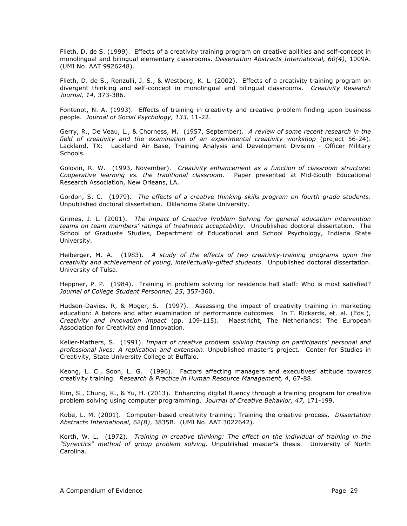Flieth, D. de S. (1999). Effects of a creativity training program on creative abilities and self-concept in monolingual and bilingual elementary classrooms. *Dissertation Abstracts International, 60(4)*, 1009A. (UMI No. AAT 9926248).

Flieth, D. de S., Renzulli, J. S., & Westberg, K. L. (2002). Effects of a creativity training program on divergent thinking and self-concept in monolingual and bilingual classrooms. *Creativity Research Journal, 14,* 373-386.

Fontenot, N. A. (1993). Effects of training in creativity and creative problem finding upon business people. *Journal of Social Psychology, 133,* 11-22.

Gerry, R., De Veau, L., & Chorness, M. (1957, September). *A review of some recent research in the field of creativity and the examination of an experimental creativity workshop* (project 56-24). Lackland, TX: Lackland Air Base, Training Analysis and Development Division - Officer Military Schools.

Golovin, R. W. (1993, November). *Creativity enhancement as a function of classroom structure: Cooperative learning vs. the traditional classroom*. Paper presented at Mid-South Educational Research Association, New Orleans, LA.

Gordon, S. C. (1979). *The effects of a creative thinking skills program on fourth grade students*. Unpublished doctoral dissertation. Oklahoma State University.

Grimes, J. L. (2001). *The impact of Creative Problem Solving for general education intervention teams on team members' ratings of treatment acceptability.* Unpublished doctoral dissertation. The School of Graduate Studies, Department of Educational and School Psychology, Indiana State University.

Heiberger, M. A. (1983). *A study of the effects of two creativity-training programs upon the creativity and achievement of young, intellectually-gifted students*. Unpublished doctoral dissertation. University of Tulsa.

Heppner, P. P. (1984). Training in problem solving for residence hall staff: Who is most satisfied? *Journal of College Student Personnel, 25*, 357-360.

Hudson-Davies, R, & Moger, S. (1997). Assessing the impact of creativity training in marketing education: A before and after examination of performance outcomes. In T. Rickards, et. al. (Eds.), *Creativity and innovation impact* (pp. 109-115). Maastricht, The Netherlands: The European Association for Creativity and Innovation.

Keller-Mathers, S. (1991). *Impact of creative problem solving training on participants' personal and professional lives: A replication and extension*. Unpublished master's project. Center for Studies in Creativity, State University College at Buffalo.

Keong, L. C., Soon, L. G. (1996). Factors affecting managers and executives' attitude towards creativity training. *Research & Practice in Human Resource Management, 4*, 67-88.

Kim, S., Chung, K., & Yu, H. (2013). Enhancing digital fluency through a training program for creative problem solving using computer programming. *Journal of Creative Behavior, 47,* 171-199.

Kobe, L. M. (2001). Computer-based creativity training: Training the creative process. *Dissertation Abstracts International, 62(8)*, 3835B. (UMI No. AAT 3022642).

Korth, W. L. (1972). *Training in creative thinking: The effect on the individual of training in the "Synectics" method of group problem solving*. Unpublished master's thesis. University of North Carolina.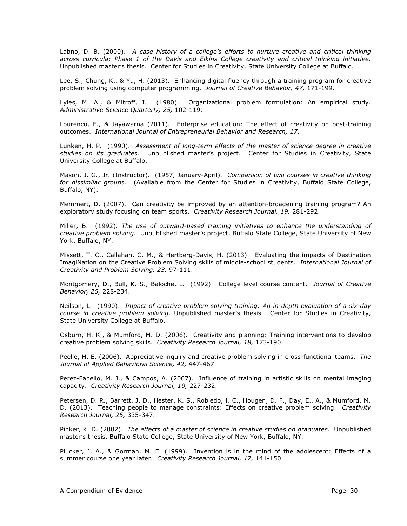Labno, D. B. (2000). *A case history of a college's efforts to nurture creative and critical thinking across curricula: Phase 1 of the Davis and Elkins College creativity and critical thinking initiative.* Unpublished master's thesis. Center for Studies in Creativity, State University College at Buffalo.

Lee, S., Chung, K., & Yu, H. (2013). Enhancing digital fluency through a training program for creative problem solving using computer programming. *Journal of Creative Behavior, 47,* 171-199.

Lyles, M. A., & Mitroff, I. (1980). Organizational problem formulation: An empirical study. *Administrative Science Quarterly, 25,* 102-119.

Lourenco, F., & Jayawarna (2011). Enterprise education: The effect of creativity on post-training outcomes. *International Journal of Entrepreneurial Behavior and Research, 17*.

Lunken, H. P. (1990). *Assessment of long-term effects of the master of science degree in creative studies on its graduates*. Unpublished master's project. Center for Studies in Creativity, State University College at Buffalo.

Mason, J. G., Jr. (Instructor). (1957, January-April). *Comparison of two courses in creative thinking for dissimilar groups.* (Available from the Center for Studies in Creativity, Buffalo State College, Buffalo, NY).

Memmert, D. (2007). Can creativity be improved by an attention-broadening training program? An exploratory study focusing on team sports. *Creativity Research Journal, 19,* 281-292.

Miller, B. (1992). *The use of outward-based training initiatives to enhance the understanding of creative problem solving.* Unpublished master's project, Buffalo State College, State University of New York, Buffalo, NY.

Missett, T. C., Callahan, C. M., & Hertberg-Davis, H. (2013). Evaluating the impacts of Destination ImagiNation on the Creative Problem Solving skills of middle-school students. *International Journal of Creativity and Problem Solving, 23,* 97-111.

Montgomery, D., Bull, K. S., Baloche, L. (1992). College level course content. *Journal of Creative Behavior, 26,* 228-234.

Neilson, L. (1990). *Impact of creative problem solving training: An in-depth evaluation of a six-day course in creative problem solving*. Unpublished master's thesis. Center for Studies in Creativity, State University College at Buffalo.

Osburn, H. K., & Mumford, M. D. (2006). Creativity and planning: Training interventions to develop creative problem solving skills. *Creativity Research Journal, 18,* 173-190.

Peelle, H. E. (2006). Appreciative inquiry and creative problem solving in cross-functional teams. *The Journal of Applied Behavioral Science, 42,* 447-467.

Perez-Fabello, M. J., & Campos, A. (2007). Influence of training in artistic skills on mental imaging capacity. *Creativity Research Journal, 19,* 227-232.

Petersen, D. R., Barrett, J. D., Hester, K. S., Robledo, I. C., Hougen, D. F., Day, E., A., & Mumford, M. D. (2013). Teaching people to manage constraints: Effects on creative problem solving. *Creativity Research Journal, 25,* 335-347.

Pinker, K. D. (2002). *The effects of a master of science in creative studies on graduates.* Unpublished master's thesis, Buffalo State College, State University of New York, Buffalo, NY.

Plucker, J. A., & Gorman, M. E. (1999). Invention is in the mind of the adolescent: Effects of a summer course one year later. *Creativity Research Journal, 12,* 141-150.

A Compendium of Evidence **Page 30**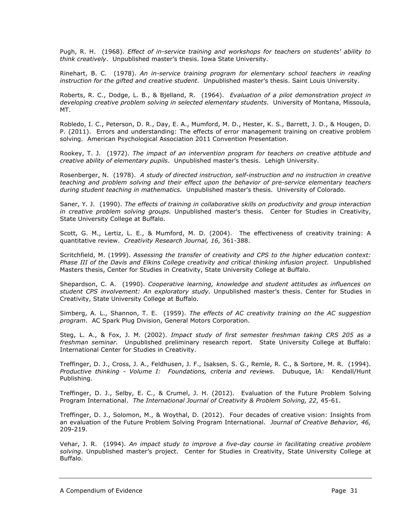Pugh, R. H. (1968). *Effect of in-service training and workshops for teachers on students' ability to think creatively*. Unpublished master's thesis. Iowa State University.

Rinehart, B. C. (1978). *An in-service training program for elementary school teachers in reading instruction for the gifted and creative student*. Unpublished master's thesis. Saint Louis University.

Roberts, R. C., Dodge, L. B., & Bjelland, R. (1964). *Evaluation of a pilot demonstration project in developing creative problem solving in selected elementary students*. University of Montana, Missoula, MT.

Robledo, I. C., Peterson, D. R., Day, E. A., Mumford, M. D., Hester, K. S., Barrett, J. D., & Hougen, D. P. (2011). Errors and understanding: The effects of error management training on creative problem solving. American Psychological Association 2011 Convention Presentation.

Rookey, T. J. (1972). *The impact of an intervention program for teachers on creative attitude and creative ability of elementary pupils*. Unpublished master's thesis. Lehigh University.

Rosenberger, N. (1978). *A study of directed instruction, self-instruction and no instruction in creative teaching and problem solving and their effect upon the behavior of pre-service elementary teachers during student teaching in mathematics.* Unpublished master's thesis. University of Colorado.

Saner, Y. J. (1990). *The effects of training in collaborative skills on productivity and group interaction in creative problem solving groups.* Unpublished master's thesis. Center for Studies in Creativity, State University College at Buffalo.

Scott, G. M., Lertiz, L. E., & Mumford, M. D. (2004). The effectiveness of creativity training: A quantitative review. *Creativity Research Journal, 16,* 361-388.

Scritchfield, M. (1999). *Assessing the transfer of creativity and CPS to the higher education context: Phase III of the Davis and Elkins College creativity and critical thinking infusion project.* Unpublished Masters thesis, Center for Studies in Creativity, State University College at Buffalo.

Shepardson, C. A. (1990). *Cooperative learning, knowledge and student attitudes as influences on student CPS involvement: An exploratory study.* Unpublished master's thesis. Center for Studies in Creativity, State University College at Buffalo.

Simberg, A. L., Shannon, T. E. (1959). *The effects of AC creativity training on the AC suggestion program*. AC Spark Plug Division, General Motors Corporation.

Steg, L. A., & Fox, J. M. (2002). *Impact study of first semester freshman taking CRS 205 as a freshman seminar.* Unpublished preliminary research report. State University College at Buffalo: International Center for Studies in Creativity.

Treffinger, D. J., Cross, J. A., Feldhusen, J. F., Isaksen, S. G., Remle, R. C., & Sortore, M. R. (1994). *Productive thinking - Volume I: Foundations, criteria and reviews*. Dubuque, IA: Kendall/Hunt Publishing.

Treffinger, D. J., Selby, E. C., & Crumel, J. H. (2012). Evaluation of the Future Problem Solving Program International. *The International Journal of Creativity & Problem Solving, 22,* 45-61.

Treffinger, D. J., Solomon, M., & Woythal, D. (2012). Four decades of creative vision: Insights from an evaluation of the Future Problem Solving Program International. *Journal of Creative Behavior, 46,* 209-219.

Vehar, J. R. (1994). *An impact study to improve a five-day course in facilitating creative problem solving*. Unpublished master's project. Center for Studies in Creativity, State University College at Buffalo.

A Compendium of Evidence **Page 31**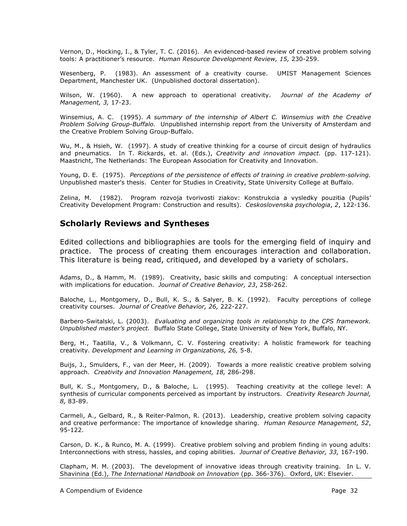Vernon, D., Hocking, I., & Tyler, T. C. (2016). An evidenced-based review of creative problem solving tools: A practitioner's resource. *Human Resource Development Review, 15,* 230-259.

Wesenberg, P. (1983). An assessment of a creativity course. UMIST Management Sciences Department, Manchester UK. (Unpublished doctoral dissertation).

Wilson, W. (1960). A new approach to operational creativity. *Journal of the Academy of Management, 3,* 17-23.

Winsemius, A. C. (1995). *A summary of the internship of Albert C. Winsemius with the Creative Problem Solving Group-Buffalo.* Unpublished internship report from the University of Amsterdam and the Creative Problem Solving Group-Buffalo.

Wu, M., & Hsieh, W. (1997). A study of creative thinking for a course of circuit design of hydraulics and pneumatics. In T. Rickards, et. al. (Eds.), *Creativity and innovation impact.* (pp. 117-121). Maastricht, The Netherlands: The European Association for Creativity and Innovation.

Young, D. E. (1975). *Perceptions of the persistence of effects of training in creative problem-solving.* Unpublished master's thesis. Center for Studies in Creativity, State University College at Buffalo.

Zelina, M. (1982). Program rozvoja tvorivosti ziakov: Konstrukcia a vysledky pouzitia (Pupils' Creativity Development Program: Construction and results). *Ceskoslovenska psychologia*, *2*, 122-136.

#### **Scholarly Reviews and Syntheses**

Edited collections and bibliographies are tools for the emerging field of inquiry and practice. The process of creating them encourages interaction and collaboration. This literature is being read, critiqued, and developed by a variety of scholars.

Adams, D., & Hamm, M. (1989). Creativity, basic skills and computing: A conceptual intersection with implications for education. *Journal of Creative Behavior, 23*, 258-262.

Baloche, L., Montgomery, D., Bull, K. S., & Salyer, B. K. (1992). Faculty perceptions of college creativity courses. *Journal of Creative Behavior, 26,* 222-227.

Barbero-Switalski, L. (2003). *Evaluating and organizing tools in relationship to the CPS framework. Unpublished master's project.* Buffalo State College, State University of New York, Buffalo, NY.

Berg, H., Taatilla, V., & Volkmann, C. V. Fostering creativity: A holistic framework for teaching creativity. *Development and Learning in Organizations, 26,* 5-8.

Buijs, J., Smulders, F., van der Meer, H. (2009). Towards a more realistic creative problem solving approach. *Creativity and Innovation Management, 18,* 286-298.

Bull, K. S., Montgomery, D., & Baloche, L. (1995). Teaching creativity at the college level: A synthesis of curricular components perceived as important by instructors. *Creativity Research Journal, 8,* 83-89.

Carmeli, A., Gelbard, R., & Reiter-Palmon, R. (2013). Leadership, creative problem solving capacity and creative performance: The importance of knowledge sharing. *Human Resource Management, 52*, 95-122.

Carson, D. K., & Runco, M. A. (1999). Creative problem solving and problem finding in young adults: Interconnections with stress, hassles, and coping abilities. *Journal of Creative Behavior, 33,* 167-190.

Clapham, M. M. (2003). The development of innovative ideas through creativity training. In L. V. Shavinina (Ed.), *The International Handbook on Innovation* (pp. 366-376). Oxford, UK: Elsevier.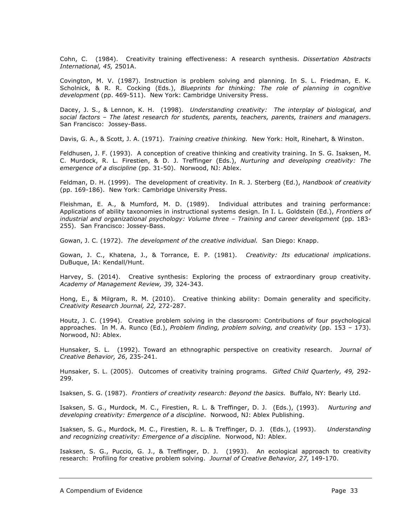Cohn, C. (1984). Creativity training effectiveness: A research synthesis. *Dissertation Abstracts International, 45,* 2501A.

Covington, M. V. (1987). Instruction is problem solving and planning. In S. L. Friedman, E. K. Scholnick, & R. R. Cocking (Eds.), *Blueprints for thinking: The role of planning in cognitive development* (pp. 469-511). New York: Cambridge University Press.

Dacey, J. S., & Lennon, K. H. (1998). *Understanding creativity: The interplay of biological, and social factors – The latest research for students, parents, teachers, parents, trainers and managers*. San Francisco: Jossey-Bass.

Davis, G. A., & Scott, J. A. (1971). *Training creative thinking.* New York: Holt, Rinehart, & Winston.

Feldhusen, J. F. (1993). A conception of creative thinking and creativity training. In S. G. Isaksen, M. C. Murdock, R. L. Firestien, & D. J. Treffinger (Eds.), *Nurturing and developing creativity: The emergence of a discipline* (pp. 31-50). Norwood, NJ: Ablex.

Feldman, D. H. (1999). The development of creativity. In R. J. Sterberg (Ed.), *Handbook of creativity* (pp. 169-186). New York: Cambridge University Press.

Fleishman, E. A., & Mumford, M. D. (1989). Individual attributes and training performance: Applications of ability taxonomies in instructional systems design. In I. L. Goldstein (Ed.), *Frontiers of industrial and organizational psychology: Volume three – Training and career development* (pp. 183- 255). San Francisco: Jossey-Bass.

Gowan, J. C. (1972). *The development of the creative individual.* San Diego: Knapp.

Gowan, J. C., Khatena, J., & Torrance, E. P. (1981). *Creativity: Its educational implications*. DuBuque, IA: Kendall/Hunt.

Harvey, S. (2014). Creative synthesis: Exploring the process of extraordinary group creativity. *Academy of Management Review, 39,* 324-343.

Hong, E., & Milgram, R. M. (2010). Creative thinking ability: Domain generality and specificity. *Creativity Research Journal, 22,* 272-287.

Houtz, J. C. (1994). Creative problem solving in the classroom: Contributions of four psychological approaches. In M. A. Runco (Ed.), *Problem finding, problem solving, and creativity* (pp. 153 – 173). Norwood, NJ: Ablex.

Hunsaker, S. L. (1992). Toward an ethnographic perspective on creativity research. *Journal of Creative Behavior, 26*, 235-241.

Hunsaker, S. L. (2005). Outcomes of creativity training programs. *Gifted Child Quarterly, 49,* 292- 299.

Isaksen, S. G. (1987). *Frontiers of creativity research: Beyond the basics.* Buffalo, NY: Bearly Ltd.

Isaksen, S. G., Murdock, M. C., Firestien, R. L. & Treffinger, D. J. (Eds.), (1993). *Nurturing and developing creativity: Emergence of a discipline*. Norwood, NJ: Ablex Publishing.

Isaksen, S. G., Murdock, M. C., Firestien, R. L. & Treffinger, D. J. (Eds.), (1993). *Understanding and recognizing creativity: Emergence of a discipline.* Norwood, NJ: Ablex.

Isaksen, S. G., Puccio, G. J., & Treffinger, D. J. (1993). An ecological approach to creativity research: Profiling for creative problem solving. *Journal of Creative Behavior, 27,* 149-170.

A Compendium of Evidence **Page 33**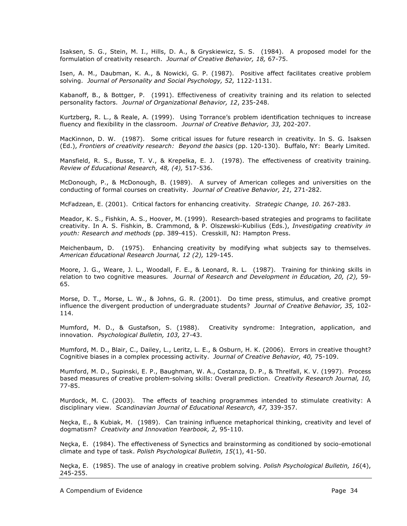Isaksen, S. G., Stein, M. I., Hills, D. A., & Gryskiewicz, S. S. (1984). A proposed model for the formulation of creativity research. *Journal of Creative Behavior, 18,* 67-75.

Isen, A. M., Daubman, K. A., & Nowicki, G. P. (1987). Positive affect facilitates creative problem solving. *Journal of Personality and Social Psychology, 52,* 1122-1131.

Kabanoff, B., & Bottger, P. (1991). Effectiveness of creativity training and its relation to selected personality factors. *Journal of Organizational Behavior, 12*, 235-248.

Kurtzberg, R. L., & Reale, A. (1999). Using Torrance's problem identification techniques to increase fluency and flexibility in the classroom. *Journal of Creative Behavior, 33,* 202-207.

MacKinnon, D. W. (1987). Some critical issues for future research in creativity. In S. G. Isaksen (Ed.), *Frontiers of creativity research: Beyond the basics* (pp. 120-130). Buffalo, NY: Bearly Limited.

Mansfield, R. S., Busse, T. V., & Krepelka, E. J. (1978). The effectiveness of creativity training. *Review of Educational Research, 48, (4),* 517-536.

McDonough, P., & McDonough, B. (1989). A survey of American colleges and universities on the conducting of formal courses on creativity. *Journal of Creative Behavior, 21,* 271-282.

McFadzean, E. (2001). Critical factors for enhancing creativity*. Strategic Change, 10.* 267-283.

Meador, K. S., Fishkin, A. S., Hoover, M. (1999). Research-based strategies and programs to facilitate creativity. In A. S. Fishkin, B. Crammond, & P. Olszewski-Kubilius (Eds.), *Investigating creativity in youth: Research and methods* (pp. 389-415). Cresskill, NJ: Hampton Press.

Meichenbaum, D. (1975). Enhancing creativity by modifying what subjects say to themselves. *American Educational Research Journal, 12 (2),* 129-145.

Moore, J. G., Weare, J. L., Woodall, F. E., & Leonard, R. L. (1987). Training for thinking skills in relation to two cognitive measures*. Journal of Research and Development in Education, 20, (2),* 59- 65.

Morse, D. T., Morse, L. W., & Johns, G. R. (2001). Do time press, stimulus, and creative prompt influence the divergent production of undergraduate students? *Journal of Creative Behavior, 35,* 102- 114.

Mumford, M. D., & Gustafson, S. (1988). Creativity syndrome: Integration, application, and innovation. *Psychological Bulletin, 103,* 27-43.

Mumford, M. D., Blair, C., Dailey, L., Leritz, L. E., & Osburn, H. K. (2006). Errors in creative thought? Cognitive biases in a complex processing activity. *Journal of Creative Behavior, 40,* 75-109.

Mumford, M. D., Supinski, E. P., Baughman, W. A., Costanza, D. P., & Threlfall, K. V. (1997). Process based measures of creative problem-solving skills: Overall prediction. *Creativity Research Journal, 10,* 77-85.

Murdock, M. C. (2003). The effects of teaching programmes intended to stimulate creativity: A disciplinary view. *Scandinavian Journal of Educational Research, 47,* 339-357.

Neçka, E., & Kubiak, M. (1989). Can training influence metaphorical thinking, creativity and level of dogmatism? *Creativity and Innovation Yearbook, 2,* 95-110.

Neçka, E. (1984). The effectiveness of Synectics and brainstorming as conditioned by socio-emotional climate and type of task. *Polish Psychological Bulletin, 15*(1), 41-50.

Neçka, E. (1985). The use of analogy in creative problem solving. *Polish Psychological Bulletin, 16*(4), 245-255.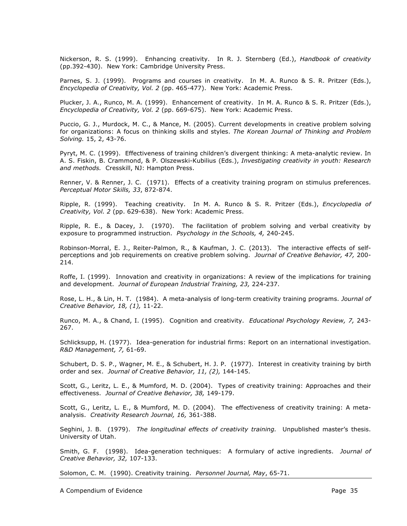Nickerson, R. S. (1999). Enhancing creativity. In R. J. Sternberg (Ed.), *Handbook of creativity* (pp.392-430). New York: Cambridge University Press.

Parnes, S. J. (1999). Programs and courses in creativity. In M. A. Runco & S. R. Pritzer (Eds.), *Encyclopedia of Creativity, Vol. 2* (pp. 465-477). New York: Academic Press.

Plucker, J. A., Runco, M. A. (1999). Enhancement of creativity. In M. A. Runco & S. R. Pritzer (Eds.), *Encyclopedia of Creativity, Vol. 2* (pp. 669-675). New York: Academic Press.

Puccio, G. J., Murdock, M. C., & Mance, M. (2005). Current developments in creative problem solving for organizations: A focus on thinking skills and styles. *The Korean Journal of Thinking and Problem Solving.* 15, 2, 43-76.

Pyryt, M. C. (1999). Effectiveness of training children's divergent thinking: A meta-analytic review. In A. S. Fiskin, B. Crammond, & P. Olszewski-Kubilius (Eds.), *Investigating creativity in youth: Research and methods.* Cresskill, NJ: Hampton Press.

Renner, V. & Renner, J. C. (1971). Effects of a creativity training program on stimulus preferences. *Perceptual Motor Skills, 33*, 872-874.

Ripple, R. (1999). Teaching creativity. In M. A. Runco & S. R. Pritzer (Eds.), *Encyclopedia of Creativity, Vol. 2* (pp. 629-638). New York: Academic Press.

Ripple, R. E., & Dacey, J. (1970). The facilitation of problem solving and verbal creativity by exposure to programmed instruction. *Psychology in the Schools, 4,* 240-245.

Robinson-Morral, E. J., Reiter-Palmon, R., & Kaufman, J. C. (2013). The interactive effects of selfperceptions and job requirements on creative problem solving. *Journal of Creative Behavior, 47,* 200- 214.

Roffe, I. (1999). Innovation and creativity in organizations: A review of the implications for training and development. *Journal of European Industrial Training, 23,* 224-237.

Rose, L. H., & Lin, H. T. (1984). A meta-analysis of long-term creativity training programs. *Journal of Creative Behavior, 18, (1),* 11-22.

Runco, M. A., & Chand, I. (1995). Cognition and creativity. *Educational Psychology Review, 7,* 243- 267.

Schlicksupp, H. (1977). Idea-generation for industrial firms: Report on an international investigation. *R&D Management, 7,* 61-69.

Schubert, D. S. P., Wagner, M. E., & Schubert, H. J. P. (1977). Interest in creativity training by birth order and sex. *Journal of Creative Behavior, 11, (2),* 144-145.

Scott, G., Leritz, L. E., & Mumford, M. D. (2004). Types of creativity training: Approaches and their effectiveness. *Journal of Creative Behavior, 38,* 149-179.

Scott, G., Leritz, L. E., & Mumford, M. D. (2004). The effectiveness of creativity training: A metaanalysis. *Creativity Research Journal, 16,* 361-388.

Seghini, J. B. (1979). *The longitudinal effects of creativity training.* Unpublished master's thesis. University of Utah.

Smith, G. F. (1998). Idea-generation techniques: A formulary of active ingredients. *Journal of Creative Behavior, 32,* 107-133.

Solomon, C. M. (1990). Creativity training. *Personnel Journal, May*, 65-71.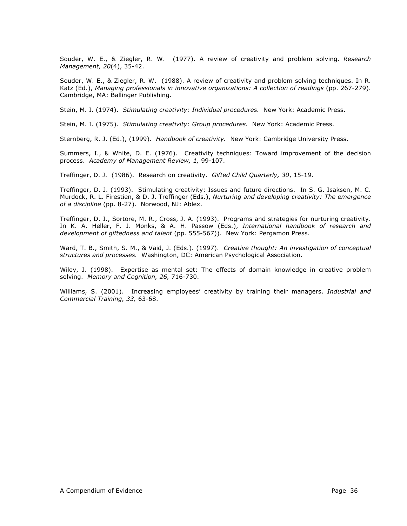Souder, W. E., & Ziegler, R. W. (1977). A review of creativity and problem solving. *Research Management, 20*(4), 35-42.

Souder, W. E., & Ziegler, R. W. (1988). A review of creativity and problem solving techniques. In R. Katz (Ed.), *Managing professionals in innovative organizations: A collection of readings* (pp. 267-279). Cambridge, MA: Ballinger Publishing.

Stein, M. I. (1974). *Stimulating creativity: Individual procedures.* New York: Academic Press.

Stein, M. I. (1975). *Stimulating creativity: Group procedures.* New York: Academic Press.

Sternberg, R. J. (Ed.), (1999). *Handbook of creativity.* New York: Cambridge University Press.

Summers, I., & White, D. E. (1976). Creativity techniques: Toward improvement of the decision process. *Academy of Management Review, 1,* 99-107.

Treffinger, D. J. (1986). Research on creativity. *Gifted Child Quarterly, 30*, 15-19.

Treffinger, D. J. (1993). Stimulating creativity: Issues and future directions. In S. G. Isaksen, M. C. Murdock, R. L. Firestien, & D. J. Treffinger (Eds.), *Nurturing and developing creativity: The emergence of a discipline* (pp. 8-27). Norwood, NJ: Ablex.

Treffinger, D. J., Sortore, M. R., Cross, J. A. (1993). Programs and strategies for nurturing creativity. In K. A. Heller, F. J. Monks, & A. H. Passow (Eds.), *International handbook of research and development of giftedness and talent* (pp. 555-567)). New York: Pergamon Press.

Ward, T. B., Smith, S. M., & Vaid, J. (Eds.). (1997). *Creative thought: An investigation of conceptual structures and processes.* Washington, DC: American Psychological Association.

Wiley, J. (1998). Expertise as mental set: The effects of domain knowledge in creative problem solving. *Memory and Cognition, 26,* 716-730.

Williams, S. (2001). Increasing employees' creativity by training their managers. *Industrial and Commercial Training, 33,* 63-68.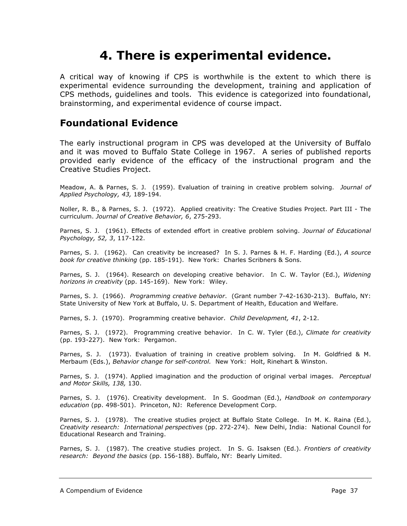# **4. There is experimental evidence.**

A critical way of knowing if CPS is worthwhile is the extent to which there is experimental evidence surrounding the development, training and application of CPS methods, guidelines and tools. This evidence is categorized into foundational, brainstorming, and experimental evidence of course impact.

### **Foundational Evidence**

The early instructional program in CPS was developed at the University of Buffalo and it was moved to Buffalo State College in 1967. A series of published reports provided early evidence of the efficacy of the instructional program and the Creative Studies Project.

Meadow, A. & Parnes, S. J. (1959). Evaluation of training in creative problem solving. *Journal of Applied Psychology, 43,* 189-194.

Noller, R. B., & Parnes, S. J. (1972). Applied creativity: The Creative Studies Project. Part III - The curriculum. *Journal of Creative Behavior, 6*, 275-293.

Parnes, S. J. (1961). Effects of extended effort in creative problem solving. *Journal of Educational Psychology, 52, 3*, 117-122.

Parnes, S. J. (1962). Can creativity be increased? In S. J. Parnes & H. F. Harding (Ed.), *A source book for creative thinking* (pp. 185-191). New York: Charles Scribners & Sons.

Parnes, S. J. (1964). Research on developing creative behavior. In C. W. Taylor (Ed.), *Widening horizons in creativity* (pp. 145-169). New York: Wiley.

Parnes, S. J. (1966). *Programming creative behavior*. (Grant number 7-42-1630-213). Buffalo, NY: State University of New York at Buffalo, U. S. Department of Health, Education and Welfare.

Parnes, S. J. (1970). Programming creative behavior. *Child Development, 41*, 2-12.

Parnes, S. J. (1972). Programming creative behavior. In C. W. Tyler (Ed.), *Climate for creativity* (pp. 193-227). New York: Pergamon.

Parnes, S. J. (1973). Evaluation of training in creative problem solving. In M. Goldfried & M. Merbaum (Eds.), *Behavior change for self-control.* New York: Holt, Rinehart & Winston.

Parnes, S. J. (1974). Applied imagination and the production of original verbal images. *Perceptual and Motor Skills, 138,* 130.

Parnes, S. J. (1976). Creativity development. In S. Goodman (Ed.), *Handbook on contemporary education* (pp. 498-501). Princeton, NJ: Reference Development Corp.

Parnes, S. J. (1978). The creative studies project at Buffalo State College. In M. K. Raina (Ed.), *Creativity research: International perspectives* (pp. 272-274). New Delhi, India: National Council for Educational Research and Training.

Parnes, S. J. (1987). The creative studies project. In S. G. Isaksen (Ed.). *Frontiers of creativity research: Beyond the basics* (pp. 156-188). Buffalo, NY: Bearly Limited.

A Compendium of Evidence **Page 37**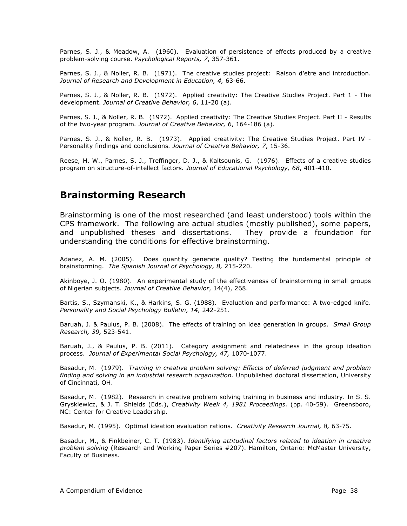Parnes, S. J., & Meadow, A. (1960). Evaluation of persistence of effects produced by a creative problem-solving course. *Psychological Reports, 7*, 357-361.

Parnes, S. J., & Noller, R. B. (1971). The creative studies project: Raison d'etre and introduction. *Journal of Research and Development in Education, 4,* 63-66.

Parnes, S. J., & Noller, R. B. (1972). Applied creativity: The Creative Studies Project. Part 1 - The development. *Journal of Creative Behavior, 6*, 11-20 (a).

Parnes, S. J., & Noller, R. B. (1972). Applied creativity: The Creative Studies Project. Part II - Results of the two-year program*. Journal of Creative Behavior, 6*, 164-186 (a).

Parnes, S. J., & Noller, R. B. (1973). Applied creativity: The Creative Studies Project. Part IV -Personality findings and conclusions*. Journal of Creative Behavior, 7*, 15-36.

Reese, H. W., Parnes, S. J., Treffinger, D. J., & Kaltsounis, G. (1976). Effects of a creative studies program on structure-of-intellect factors*. Journal of Educational Psychology, 68*, 401-410.

### **Brainstorming Research**

Brainstorming is one of the most researched (and least understood) tools within the CPS framework. The following are actual studies (mostly published), some papers, and unpublished theses and dissertations. They provide a foundation for understanding the conditions for effective brainstorming.

Adanez, A. M. (2005). Does quantity generate quality? Testing the fundamental principle of brainstorming. *The Spanish Journal of Psychology, 8,* 215-220.

Akinboye, J. O. (1980). An experimental study of the effectiveness of brainstorming in small groups of Nigerian subjects. *Journal of Creative Behavior*, 14(4), 268.

Bartis, S., Szymanski, K., & Harkins, S. G. (1988). Evaluation and performance: A two-edged knife. *Personality and Social Psychology Bulletin, 14,* 242-251.

Baruah, J. & Paulus, P. B. (2008). The effects of training on idea generation in groups. *Small Group Research, 39,* 523-541.

Baruah, J., & Paulus, P. B. (2011). Category assignment and relatedness in the group ideation process. *Journal of Experimental Social Psychology, 47,* 1070-1077.

Basadur, M. (1979). *Training in creative problem solving: Effects of deferred judgment and problem finding and solving in an industrial research organization.* Unpublished doctoral dissertation, University of Cincinnati, OH.

Basadur, M. (1982). Research in creative problem solving training in business and industry. In S. S. Gryskiewicz, & J. T. Shields (Eds.), *Creativity Week 4, 1981 Proceedings.* (pp. 40-59). Greensboro, NC: Center for Creative Leadership.

Basadur, M. (1995). Optimal ideation evaluation rations. *Creativity Research Journal, 8,* 63-75.

Basadur, M., & Finkbeiner, C. T. (1983). *Identifying attitudinal factors related to ideation in creative problem solving* (Research and Working Paper Series #207). Hamilton, Ontario: McMaster University, Faculty of Business.

A Compendium of Evidence **Page 38**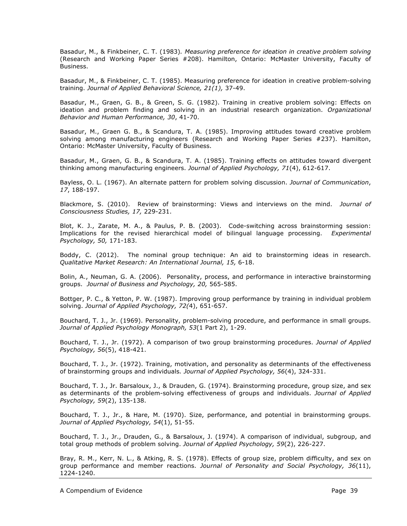Basadur, M., & Finkbeiner, C. T. (1983)*. Measuring preference for ideation in creative problem solving* (Research and Working Paper Series #208). Hamilton, Ontario: McMaster University, Faculty of Business.

Basadur, M., & Finkbeiner, C. T. (1985). Measuring preference for ideation in creative problem-solving training. *Journal of Applied Behavioral Science, 21(1),* 37-49.

Basadur, M., Graen, G. B., & Green, S. G. (1982). Training in creative problem solving: Effects on ideation and problem finding and solving in an industrial research organization. *Organizational Behavior and Human Performance, 30*, 41-70.

Basadur, M., Graen G. B., & Scandura, T. A. (1985). Improving attitudes toward creative problem solving among manufacturing engineers (Research and Working Paper Series #237). Hamilton, Ontario: McMaster University, Faculty of Business.

Basadur, M., Graen, G. B., & Scandura, T. A. (1985). Training effects on attitudes toward divergent thinking among manufacturing engineers. *Journal of Applied Psychology, 71*(4), 612-617.

Bayless, O. L. (1967). An alternate pattern for problem solving discussion. *Journal of Communication*, *17*, 188-197.

Blackmore, S. (2010). Review of brainstorming: Views and interviews on the mind. *Journal of Consciousness Studies, 17,* 229-231.

Blot, K. J., Zarate, M. A., & Paulus, P. B. (2003). Code-switching across brainstorming session: Implications for the revised hierarchical model of bilingual language processing. *Experimental Psychology, 50,* 171-183.

Boddy, C. (2012). The nominal group technique: An aid to brainstorming ideas in research. *Qualitative Market Research: An International Journal, 15,* 6-18.

Bolin, A., Neuman, G. A. (2006). Personality, process, and performance in interactive brainstorming groups. *Journal of Business and Psychology, 20,* 565-585.

Bottger, P. C., & Yetton, P. W. (1987). Improving group performance by training in individual problem solving. *Journal of Applied Psychology, 72(*4), 651-657.

Bouchard, T. J., Jr. (1969). Personality, problem-solving procedure, and performance in small groups. *Journal of Applied Psychology Monograph, 53*(1 Part 2), 1-29.

Bouchard, T. J., Jr. (1972). A comparison of two group brainstorming procedures. *Journal of Applied Psychology, 56*(5), 418-421.

Bouchard, T. J., Jr. (1972). Training, motivation, and personality as determinants of the effectiveness of brainstorming groups and individuals*. Journal of Applied Psychology, 56*(4), 324-331.

Bouchard, T. J., Jr. Barsaloux, J., & Drauden, G. (1974). Brainstorming procedure, group size, and sex as determinants of the problem-solving effectiveness of groups and individuals. *Journal of Applied Psychology, 59*(2), 135-138.

Bouchard, T. J., Jr., & Hare, M. (1970). Size, performance, and potential in brainstorming groups. *Journal of Applied Psychology, 54*(1), 51-55.

Bouchard, T. J., Jr., Drauden, G., & Barsaloux, J. (1974). A comparison of individual, subgroup, and total group methods of problem solving. *Journal of Applied Psychology, 59*(2), 226-227.

Bray, R. M., Kerr, N. L., & Atking, R. S. (1978). Effects of group size, problem difficulty, and sex on group performance and member reactions. *Journal of Personality and Social Psychology, 36*(11), 1224-1240.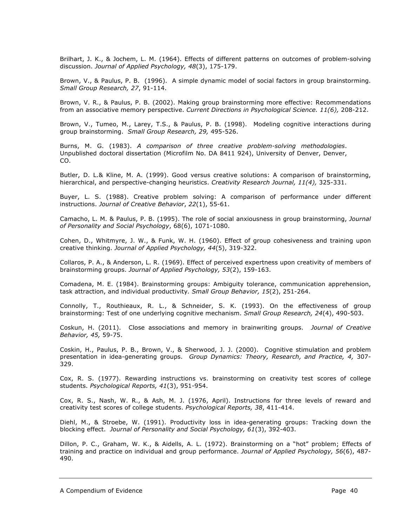Brilhart, J. K., & Jochem, L. M. (1964). Effects of different patterns on outcomes of problem-solving discussion. *Journal of Applied Psychology, 48*(3), 175-179.

Brown, V., & Paulus, P. B. (1996). A simple dynamic model of social factors in group brainstorming. *Small Group Research, 27*, 91-114.

Brown, V. R., & Paulus, P. B. (2002). Making group brainstorming more effective: Recommendations from an associative memory perspective. *Current Directions in Psychological Science. 11(6),* 208-212.

Brown, V., Tumeo, M., Larey, T.S., & Paulus, P. B. (1998). Modeling cognitive interactions during group brainstorming. *Small Group Research, 29,* 495-526.

Burns, M. G. (1983). *A comparison of three creative problem-solving methodologies*. Unpublished doctoral dissertation (Microfilm No. DA 8411 924), University of Denver, Denver, CO.

Butler, D. L.& Kline, M. A. (1999). Good versus creative solutions: A comparison of brainstorming, hierarchical, and perspective-changing heuristics. *Creativity Research Journal, 11(4),* 325-331.

Buyer, L. S. (1988). Creative problem solving: A comparison of performance under different instructions. *Journal of Creative Behavior*, *22*(1), 55-61.

Camacho, L. M. & Paulus, P. B. (1995). The role of social anxiousness in group brainstorming, *Journal of Personality and Social Psychology*, 68(6), 1071-1080.

Cohen, D., Whitmyre, J. W., & Funk, W. H. (1960). Effect of group cohesiveness and training upon creative thinking. *Journal of Applied Psychology, 44*(5), 319-322.

Collaros, P. A., & Anderson, L. R. (1969). Effect of perceived expertness upon creativity of members of brainstorming groups. *Journal of Applied Psychology, 53*(2), 159-163.

Comadena, M. E. (1984). Brainstorming groups: Ambiguity tolerance, communication apprehension, task attraction, and individual productivity*. Small Group Behavior, 15*(2), 251-264.

Connolly, T., Routhieaux, R. L., & Schneider, S. K. (1993). On the effectiveness of group brainstorming: Test of one underlying cognitive mechanism. *Small Group Research, 24*(4), 490-503.

Coskun, H. (2011). Close associations and memory in brainwriting groups. *Journal of Creative Behavior, 45,* 59-75.

Coskin, H., Paulus, P. B., Brown, V., & Sherwood, J. J. (2000). Cognitive stimulation and problem presentation in idea-generating groups. *Group Dynamics: Theory, Research, and Practice, 4,* 307- 329.

Cox, R. S. (1977). Rewarding instructions vs. brainstorming on creativity test scores of college students. *Psychological Reports, 41*(3), 951-954.

Cox, R. S., Nash, W. R., & Ash, M. J. (1976, April). Instructions for three levels of reward and creativity test scores of college students. *Psychological Reports, 38*, 411-414.

Diehl, M., & Stroebe, W. (1991). Productivity loss in idea-generating groups: Tracking down the blocking effect. *Journal of Personality and Social Psychology, 61*(3), 392-403.

Dillon, P. C., Graham, W. K., & Aidells, A. L. (1972). Brainstorming on a "hot" problem; Effects of training and practice on individual and group performance. *Journal of Applied Psychology, 56*(6), 487- 490.

A Compendium of Evidence **Page 40** and the Page 40 and the Page 40 and the Page 40 and the Page 40 and the Page 40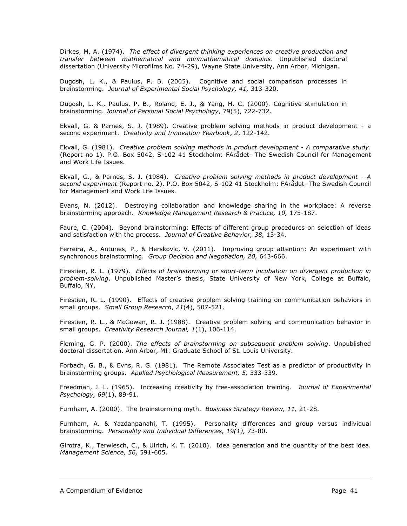Dirkes, M. A. (1974). *The effect of divergent thinking experiences on creative production and transfer between mathematical and nonmathematical domains*. Unpublished doctoral dissertation (University Microfilms No. 74-29), Wayne State University, Ann Arbor, Michigan.

Dugosh, L. K., & Paulus, P. B. (2005). Cognitive and social comparison processes in brainstorming. *Journal of Experimental Social Psychology, 41,* 313-320.

Dugosh, L. K., Paulus, P. B., Roland, E. J., & Yang, H. C. (2000). Cognitive stimulation in brainstorming. *Journal of Personal Social Psychology*, 79(5), 722-732.

Ekvall, G. & Parnes, S. J. (1989). Creative problem solving methods in product development - a second experiment. *Creativity and Innovation Yearbook*, *2*, 122-142.

Ekvall, G. (1981). *Creative problem solving methods in product development - A comparative study*. (Report no 1). P.O. Box 5042, S-102 41 Stockholm: FArådet- The Swedish Council for Management and Work Life Issues.

Ekvall, G., & Parnes, S. J. (1984). *Creative problem solving methods in product development - A second experiment* (Report no. 2). P.O. Box 5042, S-102 41 Stockholm: FArådet- The Swedish Council for Management and Work Life Issues.

Evans, N. (2012). Destroying collaboration and knowledge sharing in the workplace: A reverse brainstorming approach. *Knowledge Management Research & Practice, 10,* 175-187.

Faure, C. (2004). Beyond brainstorming: Effects of different group procedures on selection of ideas and satisfaction with the process. *Journal of Creative Behavior, 38,* 13-34.

Ferreira, A., Antunes, P., & Herskovic, V. (2011). Improving group attention: An experiment with synchronous brainstorming. *Group Decision and Negotiation, 20,* 643-666.

Firestien, R. L. (1979). *Effects of brainstorming or short-term incubation on divergent production in problem-solving*. Unpublished Master's thesis, State University of New York, College at Buffalo, Buffalo, NY.

Firestien, R. L. (1990). Effects of creative problem solving training on communication behaviors in small groups. *Small Group Research*, *21*(4), 507-521.

Firestien, R. L., & McGowan, R. J. (1988). Creative problem solving and communication behavior in small groups. *Creativity Research Journal, 1*(1), 106-114.

Fleming, G. P. (2000). *The effects of brainstorming on subsequent problem solving*. Unpublished doctoral dissertation. Ann Arbor, MI: Graduate School of St. Louis University.

Forbach, G. B., & Evns, R. G. (1981). The Remote Associates Test as a predictor of productivity in brainstorming groups. *Applied Psychological Measurement, 5,* 333-339.

Freedman, J. L. (1965). Increasing creativity by free-association training. *Journal of Experimental Psychology, 69*(1), 89-91.

Furnham, A. (2000). The brainstorming myth. *Business Strategy Review, 11,* 21-28.

Furnham, A. & Yazdanpanahi, T. (1995). Personality differences and group versus individual brainstorming. *Personality and Individual Differences, 19(1),* 73-80.

Girotra, K., Terwiesch, C., & Ulrich, K. T. (2010). Idea generation and the quantity of the best idea. *Management Science, 56,* 591-605.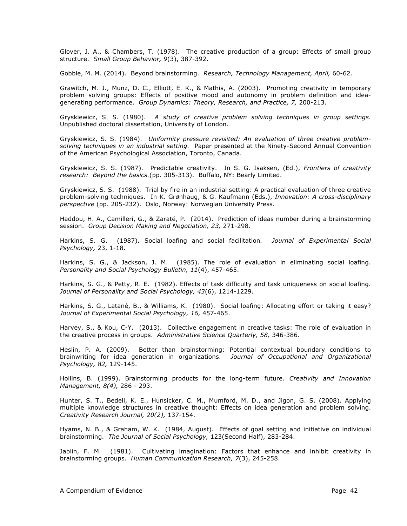Glover, J. A., & Chambers, T. (1978). The creative production of a group: Effects of small group structure. *Small Group Behavior, 9*(3), 387-392.

Gobble, M. M. (2014). Beyond brainstorming. *Research, Technology Management, April,* 60-62.

Grawitch, M. J., Munz, D. C., Elliott, E. K., & Mathis, A. (2003). Promoting creativity in temporary problem solving groups: Effects of positive mood and autonomy in problem definition and ideagenerating performance. *Group Dynamics: Theory, Research, and Practice, 7,* 200-213.

Gryskiewicz, S. S. (1980). *A study of creative problem solving techniques in group settings*. Unpublished doctoral dissertation, University of London.

Gryskiewicz, S. S. (1984). *Uniformity pressure revisited: An evaluation of three creative problemsolving techniques in an industrial setting.* Paper presented at the Ninety-Second Annual Convention of the American Psychological Association, Toronto, Canada.

Gryskiewicz, S. S. (1987). Predictable creativity. In S. G. Isaksen, (Ed.), *Frontiers of creativity research: Beyond the basics.*(pp. 305-313). Buffalo, NY: Bearly Limited.

Gryskiewicz, S. S. (1988). Trial by fire in an industrial setting: A practical evaluation of three creative problem-solving techniques. In K. Grønhaug, & G. Kaufmann (Eds.), *Innovation: A cross-disciplinary perspective* (pp. 205-232). Oslo, Norway: Norwegian University Press.

Haddou, H. A., Camilleri, G., & Zaraté, P. (2014). Prediction of ideas number during a brainstorming session. *Group Decision Making and Negotiation, 23,* 271-298.

Harkins, S. G. (1987). Social loafing and social facilitation*. Journal of Experimental Social Psychology,* 23, 1-18.

Harkins, S. G., & Jackson, J. M. (1985). The role of evaluation in eliminating social loafing. *Personality and Social Psychology Bulletin, 11*(4), 457-465.

Harkins, S. G., & Petty, R. E. (1982). Effects of task difficulty and task uniqueness on social loafing. *Journal of Personality and Social Psychology, 43*(6), 1214-1229.

Harkins, S. G., Latané, B., & Williams, K. (1980). Social loafing: Allocating effort or taking it easy? *Journal of Experimental Social Psychology, 16,* 457-465.

Harvey, S., & Kou, C-Y. (2013). Collective engagement in creative tasks: The role of evaluation in the creative process in groups. *Administrative Science Quarterly, 58,* 346-386.

Heslin, P. A. (2009). Better than brainstorming: Potential contextual boundary conditions to brainwriting for idea generation in organizations. *Journal of Occupational and Organizational Psychology, 82,* 129-145.

Hollins, B. (1999). Brainstorming products for the long-term future. *Creativity and Innovation Management, 8(4),* 286 - 293.

Hunter, S. T., Bedell, K. E., Hunsicker, C. M., Mumford, M. D., and Jigon, G. S. (2008). Applying multiple knowledge structures in creative thought: Effects on idea generation and problem solving. *Creativity Research Journal, 20(2),* 137-154.

Hyams, N. B., & Graham, W. K. (1984, August). Effects of goal setting and initiative on individual brainstorming. *The Journal of Social Psychology,* 123(Second Half), 283-284.

Jablin, F. M. (1981). Cultivating imagination: Factors that enhance and inhibit creativity in brainstorming groups. *Human Communication Research, 7*(3), 245-258.

A Compendium of Evidence **Page 42 Page 42**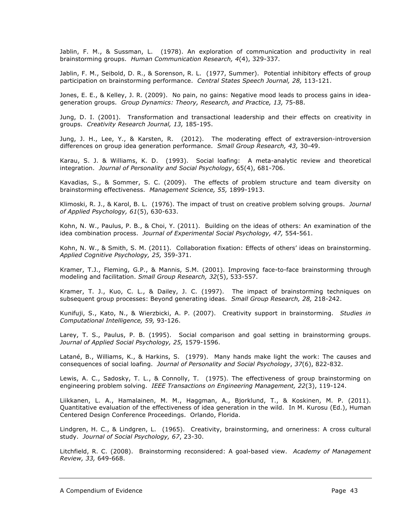Jablin, F. M., & Sussman, L. (1978). An exploration of communication and productivity in real brainstorming groups. *Human Communication Research, 4*(4), 329-337.

Jablin, F. M., Seibold, D. R., & Sorenson, R. L. (1977, Summer). Potential inhibitory effects of group participation on brainstorming performance. *Central States Speech Journal, 28,* 113-121.

Jones, E. E., & Kelley, J. R. (2009). No pain, no gains: Negative mood leads to process gains in ideageneration groups. *Group Dynamics: Theory, Research, and Practice, 13,* 75-88.

Jung, D. I. (2001). Transformation and transactional leadership and their effects on creativity in groups. *Creativity Research Journal, 13,* 185-195.

Jung, J. H., Lee, Y., & Karsten, R. (2012). The moderating effect of extraversion-introversion differences on group idea generation performance. *Small Group Research, 43,* 30-49.

Karau, S. J. & Williams, K. D. (1993). Social loafing: A meta-analytic review and theoretical integration. *Journal of Personality and Social Psychology*, 65(4), 681-706.

Kavadias, S., & Sommer, S. C. (2009). The effects of problem structure and team diversity on brainstorming effectiveness. *Management Science, 55,* 1899-1913.

Klimoski, R. J., & Karol, B. L. (1976). The impact of trust on creative problem solving groups. *Journal of Applied Psychology, 61*(5), 630-633.

Kohn, N. W., Paulus, P. B., & Choi, Y. (2011). Building on the ideas of others: An examination of the idea combination process. *Journal of Experimental Social Psychology, 47,* 554-561.

Kohn, N. W., & Smith, S. M. (2011). Collaboration fixation: Effects of others' ideas on brainstorming. *Applied Cognitive Psychology, 25,* 359-371.

Kramer, T.J., Fleming, G.P., & Mannis, S.M. (2001). Improving face-to-face brainstorming through modeling and facilitation. *Small Group Research, 32*(5), 533-557.

Kramer, T. J., Kuo, C. L., & Dailey, J. C. (1997). The impact of brainstorming techniques on subsequent group processes: Beyond generating ideas. *Small Group Research, 28,* 218-242.

Kunifuji, S., Kato, N., & Wierzbicki, A. P. (2007). Creativity support in brainstorming. *Studies in Computational Intelligence, 59,* 93-126.

Larey, T. S., Paulus, P. B. (1995). Social comparison and goal setting in brainstorming groups. *Journal of Applied Social Psychology, 25,* 1579-1596.

Latané, B., Williams, K., & Harkins, S. (1979). Many hands make light the work: The causes and consequences of social loafing. *Journal of Personality and Social Psychology*, *37*(6), 822-832.

Lewis, A. C., Sadosky, T. L., & Connolly, T. (1975). The effectiveness of group brainstorming on engineering problem solving. *IEEE Transactions on Engineering Management, 22*(3), 119-124.

Liikkanen, L. A., Hamalainen, M. M., Haggman, A., Bjorklund, T., & Koskinen, M. P. (2011). Quantitative evaluation of the effectiveness of idea generation in the wild. In M. Kurosu (Ed.), Human Centered Design Conference Proceedings. Orlando, Florida.

Lindgren, H. C., & Lindgren, L. (1965). Creativity, brainstorming, and orneriness: A cross cultural study. *Journal of Social Psychology, 67*, 23-30.

Litchfield, R. C. (2008). Brainstorming reconsidered: A goal-based view. *Academy of Management Review, 33,* 649-668.

A Compendium of Evidence **Page 13** A Compendium of Evidence Page 43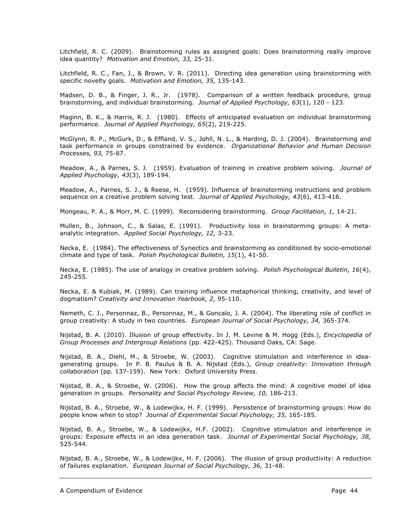Litchfield, R. C. (2009). Brainstorming rules as assigned goals: Does brainstorming really improve idea quantity? *Motivation and Emotion, 33,* 25-31.

Litchfield, R. C., Fan, J., & Brown, V. R. (2011). Directing idea generation using brainstorming with specific novelty goals. *Motivation and Emotion, 35,* 135-143.

Madsen, D. B., & Finger, J. R., Jr. (1978). Comparison of a written feedback procedure, group brainstorming, and individual brainstorming. *Journal of Applied Psychology, 63*(1), 120 - 123.

Maginn, B. K., & Harris, R. J. (1980). Effects of anticipated evaluation on individual brainstorming performance. *Journal of Applied Psychology, 65*(2), 219-225.

McGlynn, R. P., McGurk, D., & Effland, V. S., Johll, N. L., & Harding, D. J. (2004). Brainstorming and task performance in groups constrained by evidence. *Organizational Behavior and Human Decision Processes, 93,* 75-87.

Meadow, A., & Parnes, S. J. (1959). Evaluation of training in creative problem solving. *Journal of Applied Psychology, 43*(3), 189-194.

Meadow, A., Parnes, S. J., & Reese, H. (1959). Influence of brainstorming instructions and problem sequence on a creative problem solving test*. Journal of Applied Psychology, 43*(6), 413-416.

Mongeau, P. A., & Morr, M. C. (1999). Reconsidering brainstorming. *Group Facilitation, 1,* 14-21.

Mullen, B., Johnson, C., & Salas, E. (1991). Productivity loss in brainstorming groups: A metaanalytic integration. *Applied Social Psychology, 12,* 3-23.

Necka, E. (1984). The effectiveness of Synectics and brainstorming as conditioned by socio-emotional climate and type of task. *Polish Psychological Bulletin, 15*(1), 41-50.

Necka, E. (1985). The use of analogy in creative problem solving. *Polish Psychological Bulletin, 16*(4), 245-255.

Necka, E. & Kubiak, M. (1989). Can training influence metaphorical thinking, creativity, and level of dogmatism? *Creativity and Innovation Yearbook, 2,* 95-110.

Nemeth, C. J., Personnaz, B., Personnaz, M., & Goncalo, J. A. (2004). The liberating role of conflict in group creativity: A study in two countries. *European Journal of Social Psychology, 34,* 365-374.

Nijstad, B. A. (2010). Illusion of group effectivity. In J. M. Levine & M. Hogg (Eds.), *Encyclopedia of Group Processes and Intergroup Relations* (pp. 422-425). Thousand Oaks, CA: Sage.

Nijstad, B. A., Diehl, M., & Stroebe, W. (2003). Cognitive stimulation and interference in ideagenerating groups. In P. B. Paulus & B. A. Nijstad (Eds.), *Group creativity: Innovation through collaboration* (pp. 137-159). New York: Oxford University Press.

Nijstad, B. A., & Stroebe, W. (2006). How the group affects the mind: A cognitive model of idea generation in groups. *Personality and Social Psychology Review, 10,* 186-213.

Nijstad, B. A., Stroebe, W., & Lodewijkx, H. F. (1999). Persistence of brainstorming groups: How do people know when to stop? *Journal of Experimental Social Psychology, 35,* 165-185.

Nijstad, B. A., Stroebe, W., & Lodewijkx, H.F. (2002). Cognitive stimulation and interference in groups: Exposure effects in an idea generation task. *Journal of Experimental Social Psychology, 38,* 525-544.

Nijstad, B. A., Stroebe, W., & Lodewijkx, H. F. (2006). The illusion of group productivity: A reduction of failures explanation. *European Journal of Social Psychology, 36,* 31-48.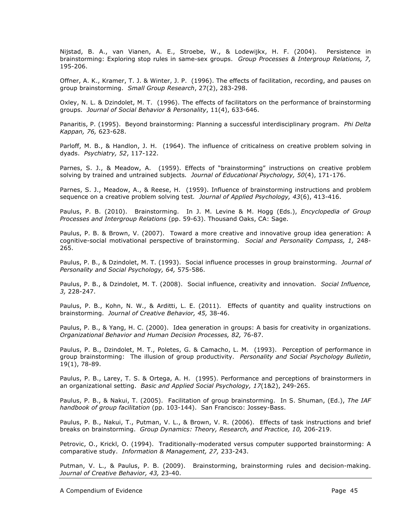Nijstad, B. A., van Vianen, A. E., Stroebe, W., & Lodewijkx, H. F. (2004). Persistence in brainstorming: Exploring stop rules in same-sex groups. *Group Processes & Intergroup Relations, 7,* 195-206.

Offner, A. K., Kramer, T. J. & Winter, J. P. (1996). The effects of facilitation, recording, and pauses on group brainstorming. *Small Group Research*, 27(2), 283-298.

Oxley, N. L. & Dzindolet, M. T. (1996). The effects of facilitators on the performance of brainstorming groups. *Journal of Social Behavior & Personality*, 11(4), 633-646.

Panaritis, P. (1995). Beyond brainstorming: Planning a successful interdisciplinary program. *Phi Delta Kappan, 76,* 623-628.

Parloff, M. B., & Handlon, J. H. (1964). The influence of criticalness on creative problem solving in dyads. *Psychiatry, 52*, 117-122.

Parnes, S. J., & Meadow, A. (1959). Effects of "brainstorming" instructions on creative problem solving by trained and untrained subjects*. Journal of Educational Psychology, 50*(4), 171-176.

Parnes, S. J., Meadow, A., & Reese, H. (1959). Influence of brainstorming instructions and problem sequence on a creative problem solving test*. Journal of Applied Psychology, 43*(6), 413-416.

Paulus, P. B. (2010). Brainstorming. In J. M. Levine & M. Hogg (Eds.), *Encyclopedia of Group Processes and Intergroup Relations* (pp. 59-63). Thousand Oaks, CA: Sage.

Paulus, P. B. & Brown, V. (2007). Toward a more creative and innovative group idea generation: A cognitive-social motivational perspective of brainstorming. *Social and Personality Compass, 1,* 248- 265.

Paulus, P. B., & Dzindolet, M. T. (1993). Social influence processes in group brainstorming. *Journal of Personality and Social Psychology, 64,* 575-586.

Paulus, P. B., & Dzindolet, M. T. (2008). Social influence, creativity and innovation. *Social Influence, 3,* 228-247.

Paulus, P. B., Kohn, N. W., & Arditti, L. E. (2011). Effects of quantity and quality instructions on brainstorming. *Journal of Creative Behavior, 45,* 38-46.

Paulus, P. B., & Yang, H. C. (2000). Idea generation in groups: A basis for creativity in organizations. *Organizational Behavior and Human Decision Processes, 82,* 76-87.

Paulus, P. B., Dzindolet, M. T., Poletes, G. & Camacho, L. M. (1993). Perception of performance in group brainstorming: The illusion of group productivity. *Personality and Social Psychology Bulletin*, 19(1), 78-89.

Paulus, P. B., Larey, T. S. & Ortega, A. H. (1995). Performance and perceptions of brainstormers in an organizational setting. *Basic and Applied Social Psychology, 17*(1&2), 249-265.

Paulus, P. B., & Nakui, T. (2005). Facilitation of group brainstorming. In S. Shuman, (Ed.), *The IAF handbook of group facilitation* (pp. 103-144). San Francisco: Jossey-Bass.

Paulus, P. B., Nakui, T., Putman, V. L., & Brown, V. R. (2006). Effects of task instructions and brief breaks on brainstorming. *Group Dynamics: Theory, Research, and Practice, 10,* 206-219.

Petrovic, O., Krickl, O. (1994). Traditionally-moderated versus computer supported brainstorming: A comparative study. *Information & Management, 27,* 233-243.

Putman, V. L., & Paulus, P. B. (2009). Brainstorming, brainstorming rules and decision-making. *Journal of Creative Behavior, 43,* 23-40.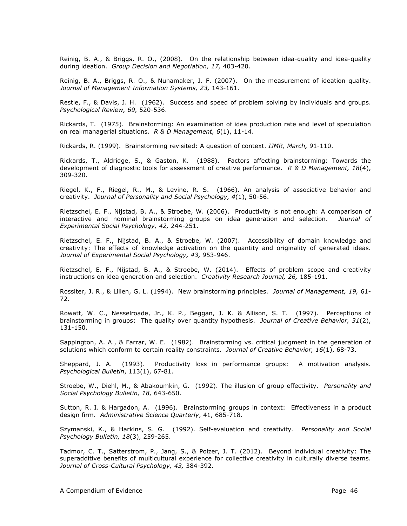Reinig, B. A., & Briggs, R. O., (2008). On the relationship between idea-quality and idea-quality during ideation. *Group Decision and Negotiation, 17,* 403-420.

Reinig, B. A., Briggs, R. O., & Nunamaker, J. F. (2007). On the measurement of ideation quality. *Journal of Management Information Systems, 23,* 143-161.

Restle, F., & Davis, J. H. (1962). Success and speed of problem solving by individuals and groups. *Psychological Review, 69,* 520-536.

Rickards, T. (1975). Brainstorming: An examination of idea production rate and level of speculation on real managerial situations. *R & D Management, 6*(1), 11-14.

Rickards, R. (1999). Brainstorming revisited: A question of context. *IJMR, March,* 91-110.

Rickards, T., Aldridge, S., & Gaston, K. (1988). Factors affecting brainstorming: Towards the development of diagnostic tools for assessment of creative performance. *R & D Management, 18*(4), 309-320.

Riegel, K., F., Riegel, R., M., & Levine, R. S. (1966). An analysis of associative behavior and creativity. *Journal of Personality and Social Psychology, 4*(1), 50-56.

Rietzschel, E. F., Nijstad, B. A., & Stroebe, W. (2006). Productivity is not enough: A comparison of interactive and nominal brainstorming groups on idea generation and selection. *Journal of Experimental Social Psychology, 42,* 244-251.

Rietzschel, E. F., Nijstad, B. A., & Stroebe, W. (2007). Accessibility of domain knowledge and creativity: The effects of knowledge activation on the quantity and originality of generated ideas. *Journal of Experimental Social Psychology, 43,* 953-946.

Rietzschel, E. F., Nijstad, B. A., & Stroebe, W. (2014). Effects of problem scope and creativity instructions on idea generation and selection. *Creativity Research Journal, 26,* 185-191.

Rossiter, J. R., & Lilien, G. L. (1994). New brainstorming principles. *Journal of Management, 19,* 61- 72.

Rowatt, W. C., Nesselroade, Jr., K. P., Beggan, J. K. & Allison, S. T. (1997). Perceptions of brainstorming in groups: The quality over quantity hypothesis. *Journal of Creative Behavior, 31*(2), 131-150.

Sappington, A. A., & Farrar, W. E. (1982). Brainstorming vs. critical judgment in the generation of solutions which conform to certain reality constraints. *Journal of Creative Behavior, 16*(1), 68-73.

Sheppard, J. A. (1993). Productivity loss in performance groups: A motivation analysis. *Psychological Bulletin*, 113(1), 67-81.

Stroebe, W., Diehl, M., & Abakoumkin, G. (1992). The illusion of group effectivity. *Personality and Social Psychology Bulletin, 18,* 643-650.

Sutton, R. I. & Hargadon, A. (1996). Brainstorming groups in context: Effectiveness in a product design firm. *Administrative Science Quarterly*, 41, 685-718.

Szymanski, K., & Harkins, S. G. (1992). Self-evaluation and creativity*. Personality and Social Psychology Bulletin, 18*(3), 259-265.

Tadmor, C. T., Satterstrom, P., Jang, S., & Polzer, J. T. (2012). Beyond individual creativity: The superadditive benefits of multicultural experience for collective creativity in culturally diverse teams. *Journal of Cross-Cultural Psychology, 43,* 384-392.

A Compendium of Evidence **Page 16** and the Page 46 and the Page 46 and the Page 46 and the Page 46 and the Page 46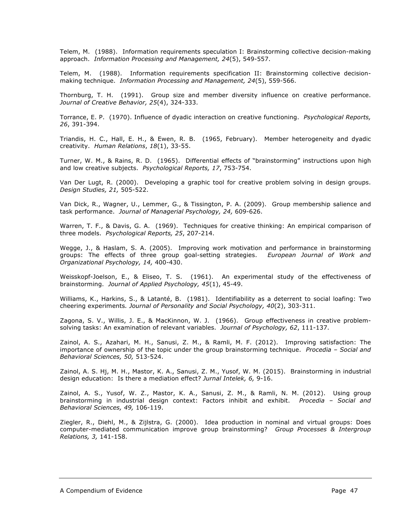Telem, M. (1988). Information requirements speculation I: Brainstorming collective decision-making approach. *Information Processing and Management, 24*(5), 549-557.

Telem, M. (1988). Information requirements specification II: Brainstorming collective decisionmaking technique. *Information Processing and Management, 24*(5), 559-566.

Thornburg, T. H. (1991). Group size and member diversity influence on creative performance. *Journal of Creative Behavior, 25*(4), 324-333.

Torrance, E. P. (1970). Influence of dyadic interaction on creative functioning. *Psychological Reports, 26*, 391-394.

Triandis, H. C., Hall, E. H., & Ewen, R. B. (1965, February). Member heterogeneity and dyadic creativity. *Human Relations*, *18*(1), 33-55.

Turner, W. M., & Rains, R. D. (1965). Differential effects of "brainstorming" instructions upon high and low creative subjects. *Psychological Reports, 17*, 753-754.

Van Der Lugt, R. (2000). Developing a graphic tool for creative problem solving in design groups. *Design Studies, 21,* 505-522.

Van Dick, R., Wagner, U., Lemmer, G., & Tissington, P. A. (2009). Group membership salience and task performance. *Journal of Managerial Psychology, 24,* 609-626.

Warren, T. F., & Davis, G. A. (1969). Techniques for creative thinking: An empirical comparison of three models. *Psychological Reports, 25*, 207-214.

Wegge, J., & Haslam, S. A. (2005). Improving work motivation and performance in brainstorming groups: The effects of three group goal-setting strategies. *European Journal of Work and Organizational Psychology, 14,* 400-430.

Weisskopf-Joelson, E., & Eliseo, T. S. (1961). An experimental study of the effectiveness of brainstorming. *Journal of Applied Psychology, 45*(1), 45-49.

Williams, K., Harkins, S., & Latanté, B. (1981). Identifiability as a deterrent to social loafing: Two cheering experiments*. Journal of Personality and Social Psychology, 40*(2), 303-311.

Zagona, S. V., Willis, J. E., & MacKinnon, W. J. (1966). Group effectiveness in creative problemsolving tasks: An examination of relevant variables. *Journal of Psychology, 62*, 111-137.

Zainol, A. S., Azahari, M. H., Sanusi, Z. M., & Ramli, M. F. (2012). Improving satisfaction: The importance of ownership of the topic under the group brainstorming technique. *Procedia – Social and Behavioral Sciences, 50,* 513-524.

Zainol, A. S. Hj, M. H., Mastor, K. A., Sanusi, Z. M., Yusof, W. M. (2015). Brainstorming in industrial design education: Is there a mediation effect? *Jurnal Intelek, 6,* 9-16.

Zainol, A. S., Yusof, W. Z., Mastor, K. A., Sanusi, Z. M., & Ramli, N. M. (2012). Using group brainstorming in industrial design context: Factors inhibit and exhibit. *Procedia – Social and Behavioral Sciences, 49,* 106-119.

Ziegler, R., Diehl, M., & Zijlstra, G. (2000). Idea production in nominal and virtual groups: Does computer-mediated communication improve group brainstorming? *Group Processes & Intergroup Relations, 3,* 141-158.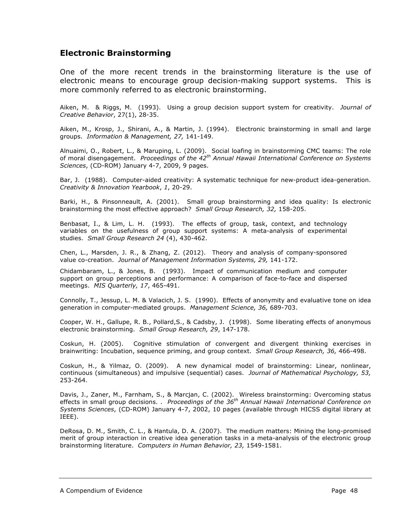#### **Electronic Brainstorming**

One of the more recent trends in the brainstorming literature is the use of electronic means to encourage group decision-making support systems. This is more commonly referred to as electronic brainstorming.

Aiken, M. & Riggs, M. (1993). Using a group decision support system for creativity. *Journal of Creative Behavior*, 27(1), 28-35.

Aiken, M., Krosp, J., Shirani, A., & Martin, J. (1994). Electronic brainstorming in small and large groups. *Information & Management, 27,* 141-149.

Alnuaimi, O., Robert, L., & Maruping, L. (2009). Social loafing in brainstorming CMC teams: The role of moral disengagement. *Proceedings of the 42th Annual Hawaii International Conference on Systems Sciences*, (CD-ROM) January 4-7, 2009, 9 pages.

Bar, J. (1988). Computer-aided creativity: A systematic technique for new-product idea-generation. *Creativity & Innovation Yearbook*, *1*, 20-29.

Barki, H., & Pinsonneault, A. (2001). Small group brainstorming and idea quality: Is electronic brainstorming the most effective approach? *Small Group Research, 32,* 158-205.

Benbasat, I., & Lim, L. H. (1993). The effects of group, task, context, and technology variables on the usefulness of group support systems: A meta-analysis of experimental studies. *Small Group Research 24* (4), 430-462.

Chen, L., Marsden, J. R., & Zhang, Z. (2012). Theory and analysis of company-sponsored value co-creation. *Journal of Management Information Systems, 29,* 141-172.

Chidambaram, L., & Jones, B. (1993). Impact of communication medium and computer support on group perceptions and performance: A comparison of face-to-face and dispersed meetings. *MIS Quarterly, 17*, 465-491.

Connolly, T., Jessup, L. M. & Valacich, J. S. (1990). Effects of anonymity and evaluative tone on idea generation in computer-mediated groups. *Management Science, 36,* 689-703.

Cooper, W. H., Gallupe, R. B., Pollard,S., & Cadsby, J. (1998). Some liberating effects of anonymous electronic brainstorming. *Small Group Research, 29*, 147-178.

Coskun, H. (2005). Cognitive stimulation of convergent and divergent thinking exercises in brainwriting: Incubation, sequence priming, and group context. *Small Group Research, 36,* 466-498.

Coskun, H., & Yilmaz, O. (2009). A new dynamical model of brainstorming: Linear, nonlinear, continuous (simultaneous) and impulsive (sequential) cases. *Journal of Mathematical Psychology, 53,*  253-264.

Davis, J., Zaner, M., Farnham, S., & Marcjan, C. (2002). Wireless brainstorming: Overcoming status effects in small group decisions. . *Proceedings of the 36th Annual Hawaii International Conference on Systems Sciences*, (CD-ROM) January 4-7, 2002, 10 pages (available through HICSS digital library at IEEE).

DeRosa, D. M., Smith, C. L., & Hantula, D. A. (2007). The medium matters: Mining the long-promised merit of group interaction in creative idea generation tasks in a meta-analysis of the electronic group brainstorming literature. *Computers in Human Behavior, 23,* 1549-1581.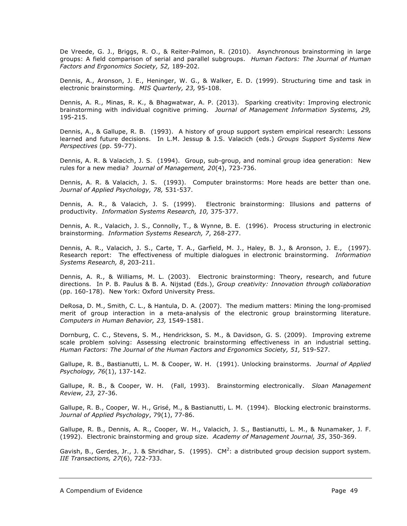De Vreede, G. J., Briggs, R. O., & Reiter-Palmon, R. (2010). Asynchronous brainstorming in large groups: A field comparison of serial and parallel subgroups. *Human Factors: The Journal of Human Factors and Ergonomics Society, 52,* 189-202.

Dennis, A., Aronson, J. E., Heninger, W. G., & Walker, E. D. (1999). Structuring time and task in electronic brainstorming. *MIS Quarterly, 23,* 95-108.

Dennis, A. R., Minas, R. K., & Bhagwatwar, A. P. (2013). Sparking creativity: Improving electronic brainstorming with individual cognitive priming. *Journal of Management Information Systems, 29,* 195-215.

Dennis, A., & Gallupe, R. B. (1993). A history of group support system empirical research: Lessons learned and future decisions. In L.M. Jessup & J.S. Valacich (eds.) *Groups Support Systems New Perspectives* (pp. 59-77).

Dennis, A. R. & Valacich, J. S. (1994). Group, sub-group, and nominal group idea generation: New rules for a new media? *Journal of Management, 20*(4), 723-736.

Dennis, A. R. & Valacich, J. S. (1993). Computer brainstorms: More heads are better than one. *Journal of Applied Psychology, 78,* 531-537.

Dennis, A. R., & Valacich, J. S. (1999). Electronic brainstorming: Illusions and patterns of productivity. *Information Systems Research, 10,* 375-377.

Dennis, A. R., Valacich, J. S., Connolly, T., & Wynne, B. E. (1996). Process structuring in electronic brainstorming. *Information Systems Research, 7*, 268-277.

Dennis, A. R., Valacich, J. S., Carte, T. A., Garfield, M. J., Haley, B. J., & Aronson, J. E., (1997). Research report: The effectiveness of multiple dialogues in electronic brainstorming. *Information Systems Research, 8*, 203-211.

Dennis, A. R., & Williams, M. L. (2003). Electronic brainstorming: Theory, research, and future directions. In P. B. Paulus & B. A. Nijstad (Eds.), *Group creativity: Innovation through collaboration* (pp. 160-178). New York: Oxford University Press.

DeRosa, D. M., Smith, C. L., & Hantula, D. A. (2007). The medium matters: Mining the long-promised merit of group interaction in a meta-analysis of the electronic group brainstorming literature. *Computers in Human Behavior, 23,* 1549-1581.

Dornburg, C. C., Stevens, S. M., Hendrickson, S. M., & Davidson, G. S. (2009). Improving extreme scale problem solving: Assessing electronic brainstorming effectiveness in an industrial setting. *Human Factors: The Journal of the Human Factors and Ergonomics Society, 51,* 519-527.

Gallupe, R. B., Bastianutti, L. M. & Cooper, W. H. (1991). Unlocking brainstorms. *Journal of Applied Psychology, 76*(1), 137-142.

Gallupe, R. B., & Cooper, W. H. (Fall, 1993). Brainstorming electronically. *Sloan Management Review, 23,* 27-36.

Gallupe, R. B., Cooper, W. H., Grisé, M., & Bastianutti, L. M. (1994). Blocking electronic brainstorms. *Journal of Applied Psychology*, 79(1), 77-86.

Gallupe, R. B., Dennis, A. R., Cooper, W. H., Valacich, J. S., Bastianutti, L. M., & Nunamaker, J. F. (1992). Electronic brainstorming and group size. *Academy of Management Journal, 35*, 350-369.

Gavish, B., Gerdes, Jr., J. & Shridhar, S. (1995).  $CM^2$ : a distributed group decision support system. *IIE Transactions, 27*(6), 722-733.

A Compendium of Evidence **Page 19** and the Page 49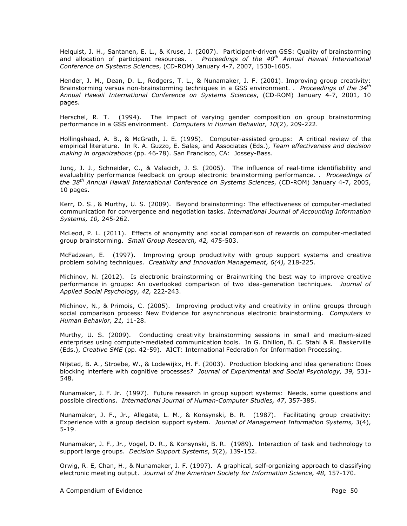Helquist, J. H., Santanen, E. L., & Kruse, J. (2007). Participant-driven GSS: Quality of brainstorming and allocation of participant resources. . *Proceedings of the 40th Annual Hawaii International Conference on Systems Sciences*, (CD-ROM) January 4-7, 2007, 1530-1605.

Hender, J. M., Dean, D. L., Rodgers, T. L., & Nunamaker, J. F. (2001). Improving group creativity: Brainstorming versus non-brainstorming techniques in a GSS environment. . *Proceedings of the 34th Annual Hawaii International Conference on Systems Sciences*, (CD-ROM) January 4-7, 2001, 10 pages.

Herschel, R. T. (1994). The impact of varying gender composition on group brainstorming performance in a GSS environment. *Computers in Human Behavior, 10*(2), 209-222.

Hollingshead, A. B., & McGrath, J. E. (1995). Computer-assisted groups: A critical review of the empirical literature. In R. A. Guzzo, E. Salas, and Associates (Eds.), *Team effectiveness and decision making in organizations* (pp. 46-78). San Francisco, CA: Jossey-Bass.

Jung, J. J., Schneider, C., & Valacich, J. S. (2005). The influence of real-time identifiability and evaluability performance feedback on group electronic brainstorming performance. . *Proceedings of the 38th Annual Hawaii International Conference on Systems Sciences*, (CD-ROM) January 4-7, 2005, 10 pages.

Kerr, D. S., & Murthy, U. S. (2009). Beyond brainstorming: The effectiveness of computer-mediated communication for convergence and negotiation tasks. *International Journal of Accounting Information Systems, 10,* 245-262.

McLeod, P. L. (2011). Effects of anonymity and social comparison of rewards on computer-mediated group brainstorming. *Small Group Research, 42,* 475-503.

McFadzean, E. (1997). Improving group productivity with group support systems and creative problem solving techniques. *Creativity and Innovation Management, 6(4),* 218-225.

Michinov, N. (2012). Is electronic brainstorming or Brainwriting the best way to improve creative performance in groups: An overlooked comparison of two idea-generation techniques. *Journal of Applied Social Psychology, 42,* 222-243.

Michinov, N., & Primois, C. (2005). Improving productivity and creativity in online groups through social comparison process: New Evidence for asynchronous electronic brainstorming. *Computers in Human Behavior, 21,* 11-28.

Murthy, U. S. (2009). Conducting creativity brainstorming sessions in small and medium-sized enterprises using computer-mediated communication tools. In G. Dhillon, B. C. Stahl & R. Baskerville (Eds.), *Creative SME* (pp. 42-59). AICT: International Federation for Information Processing.

Nijstad, B. A., Stroebe, W., & Lodewijkx, H. F. (2003). Production blocking and idea generation: Does blocking interfere with cognitive processes*? Journal of Experimental and Social Psychology, 39,* 531- 548.

Nunamaker, J. F. Jr. (1997). Future research in group support systems: Needs, some questions and possible directions. *International Journal of Human-Computer Studies, 47*, 357-385.

Nunamaker, J. F., Jr., Allegate, L. M., & Konsynski, B. R. (1987). Facilitating group creativity: Experience with a group decision support system*. Journal of Management Information Systems, 3*(4), 5-19.

Nunamaker, J. F., Jr., Vogel, D. R., & Konsynski, B. R. (1989). Interaction of task and technology to support large groups. *Decision Support Systems*, *5*(2), 139-152.

Orwig, R. E, Chan, H., & Nunamaker, J. F. (1997). A graphical, self-organizing approach to classifying electronic meeting output. *Journal of the American Society for Information Science, 48,* 157-170.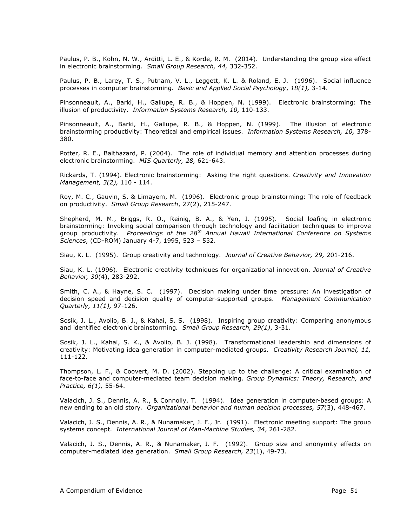Paulus, P. B., Kohn, N. W., Arditti, L. E., & Korde, R. M. (2014). Understanding the group size effect in electronic brainstorming. *Small Group Research, 44,* 332-352.

Paulus, P. B., Larey, T. S., Putnam, V. L., Leggett, K. L. & Roland, E. J. (1996). Social influence processes in computer brainstorming. *Basic and Applied Social Psychology*, *18(1),* 3-14.

Pinsonneault, A., Barki, H., Gallupe, R. B., & Hoppen, N. (1999). Electronic brainstorming: The illusion of productivity. *Information Systems Research, 10,* 110-133.

Pinsonneault, A., Barki, H., Gallupe, R. B., & Hoppen, N. (1999). The illusion of electronic brainstorming productivity: Theoretical and empirical issues. *Information Systems Research, 10,* 378- 380.

Potter, R. E., Balthazard, P. (2004). The role of individual memory and attention processes during electronic brainstorming. *MIS Quarterly, 28,* 621-643.

Rickards, T. (1994). Electronic brainstorming: Asking the right questions. *Creativity and Innovation Management, 3(2),* 110 - 114.

Roy, M. C., Gauvin, S. & Limayem, M. (1996). Electronic group brainstorming: The role of feedback on productivity. *Small Group Research*, 27(2), 215-247.

Shepherd, M. M., Briggs, R. O., Reinig, B. A., & Yen, J. (1995). Social loafing in electronic brainstorming: Invoking social comparison through technology and facilitation techniques to improve group productivity. *Proceedings of the 28th Annual Hawaii International Conference on Systems Sciences*, (CD-ROM) January 4-7, 1995, 523 – 532.

Siau, K. L. (1995). Group creativity and technology. *Journal of Creative Behavior, 29,* 201-216.

Siau, K. L. (1996). Electronic creativity techniques for organizational innovation. *Journal of Creative Behavior, 30*(4), 283-292.

Smith, C. A., & Hayne, S. C. (1997). Decision making under time pressure: An investigation of decision speed and decision quality of computer-supported groups. *Management Communication Quarterly, 11(1),* 97-126.

Sosik, J. L., Avolio, B. J., & Kahai, S. S. (1998). Inspiring group creativity: Comparing anonymous and identified electronic brainstorming*. Small Group Research, 29(1)*, 3-31.

Sosik, J. L., Kahai, S. K., & Avolio, B. J. (1998). Transformational leadership and dimensions of creativity: Motivating idea generation in computer-mediated groups. *Creativity Research Journal, 11,* 111-122.

Thompson, L. F., & Coovert, M. D. (2002). Stepping up to the challenge: A critical examination of face-to-face and computer-mediated team decision making. *Group Dynamics: Theory, Research, and Practice, 6(1),* 55-64.

Valacich, J. S., Dennis, A. R., & Connolly, T. (1994). Idea generation in computer-based groups: A new ending to an old story*. Organizational behavior and human decision processes, 57*(3), 448-467.

Valacich, J. S., Dennis, A. R., & Nunamaker, J. F., Jr. (1991). Electronic meeting support: The group systems concept. *International Journal of Man-Machine Studies, 34*, 261-282.

Valacich, J. S., Dennis, A. R., & Nunamaker, J. F. (1992). Group size and anonymity effects on computer-mediated idea generation. *Small Group Research, 23*(1), 49-73.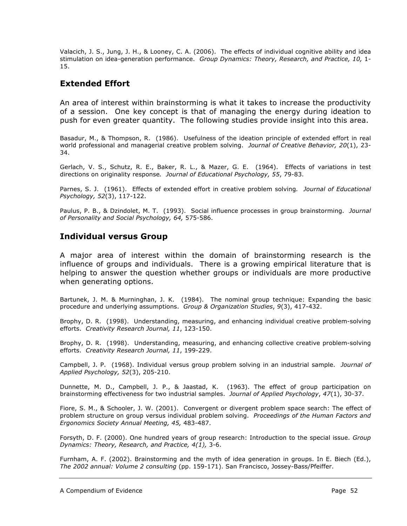Valacich, J. S., Jung, J. H., & Looney, C. A. (2006). The effects of individual cognitive ability and idea stimulation on idea-generation performance. *Group Dynamics: Theory, Research, and Practice, 10,* 1- 15.

### **Extended Effort**

An area of interest within brainstorming is what it takes to increase the productivity of a session. One key concept is that of managing the energy during ideation to push for even greater quantity. The following studies provide insight into this area.

Basadur, M., & Thompson, R. (1986). Usefulness of the ideation principle of extended effort in real world professional and managerial creative problem solving. *Journal of Creative Behavior, 20*(1), 23- 34.

Gerlach, V. S., Schutz, R. E., Baker, R. L., & Mazer, G. E. (1964). Effects of variations in test directions on originality response*. Journal of Educational Psychology, 55*, 79-83.

Parnes, S. J. (1961). Effects of extended effort in creative problem solving*. Journal of Educational Psychology, 52*(3), 117-122.

Paulus, P. B., & Dzindolet, M. T. (1993). Social influence processes in group brainstorming. *Journal of Personality and Social Psychology, 64,* 575-586.

#### **Individual versus Group**

A major area of interest within the domain of brainstorming research is the influence of groups and individuals. There is a growing empirical literature that is helping to answer the question whether groups or individuals are more productive when generating options.

Bartunek, J. M. & Murninghan, J. K. (1984). The nominal group technique: Expanding the basic procedure and underlying assumptions. *Group & Organization Studies*, *9*(3), 417-432.

Brophy, D. R. (1998). Understanding, measuring, and enhancing individual creative problem-solving efforts. *Creativity Research Journal, 11*, 123-150.

Brophy, D. R. (1998). Understanding, measuring, and enhancing collective creative problem-solving efforts. *Creativity Research Journal, 11*, 199-229.

Campbell, J. P. (1968). Individual versus group problem solving in an industrial sample. *Journal of Applied Psychology, 52*(3), 205-210.

Dunnette, M. D., Campbell, J. P., & Jaastad, K. (1963). The effect of group participation on brainstorming effectiveness for two industrial samples. *Journal of Applied Psychology*, *47*(1), 30-37.

Fiore, S. M., & Schooler, J. W. (2001). Convergent or divergent problem space search: The effect of problem structure on group versus individual problem solving. *Proceedings of the Human Factors and Ergonomics Society Annual Meeting, 45,* 483-487.

Forsyth, D. F. (2000). One hundred years of group research: Introduction to the special issue. *Group Dynamics: Theory, Research, and Practice, 4(1),* 3-6.

Furnham, A. F. (2002). Brainstorming and the myth of idea generation in groups. In E. Biech (Ed.), *The 2002 annual: Volume 2 consulting* (pp. 159-171). San Francisco, Jossey-Bass/Pfeiffer.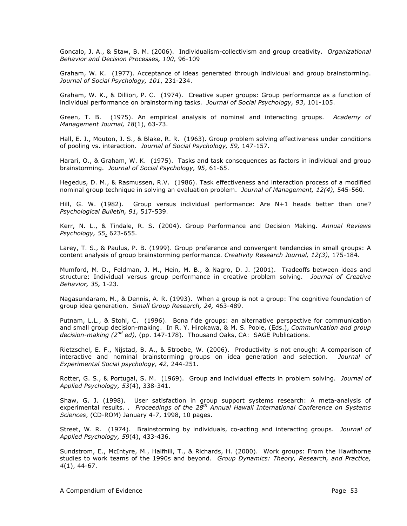Goncalo, J. A., & Staw, B. M. (2006). Individualism-collectivism and group creativity. *Organizational Behavior and Decision Processes, 100,* 96-109

Graham, W. K. (1977). Acceptance of ideas generated through individual and group brainstorming. *Journal of Social Psychology, 101*, 231-234.

Graham, W. K., & Dillion, P. C. (1974). Creative super groups: Group performance as a function of individual performance on brainstorming tasks. *Journal of Social Psychology, 93*, 101-105.

Green, T. B. (1975). An empirical analysis of nominal and interacting groups. *Academy of Management Journal, 18*(1), 63-73.

Hall, E. J., Mouton, J. S., & Blake, R. R. (1963). Group problem solving effectiveness under conditions of pooling vs. interaction. *Journal of Social Psychology, 59,* 147-157.

Harari, O., & Graham, W. K. (1975). Tasks and task consequences as factors in individual and group brainstorming. *Journal of Social Psychology, 95*, 61-65.

Hegedus, D. M., & Rasmussen, R.V. (1986). Task effectiveness and interaction process of a modified nominal group technique in solving an evaluation problem. *Journal of Management, 12(4),* 545-560.

Hill, G. W. (1982). Group versus individual performance: Are N+1 heads better than one? *Psychological Bulletin, 91,* 517-539.

Kerr, N. L., & Tindale, R. S. (2004). Group Performance and Decision Making. *Annual Reviews Psychology, 55*, 623-655.

Larey, T. S., & Paulus, P. B. (1999). Group preference and convergent tendencies in small groups: A content analysis of group brainstorming performance. *Creativity Research Journal, 12(3),* 175-184.

Mumford, M. D., Feldman, J. M., Hein, M. B., & Nagro, D. J. (2001). Tradeoffs between ideas and structure: Individual versus group performance in creative problem solving. *Journal of Creative Behavior, 35,* 1-23.

Nagasundaram, M., & Dennis, A. R. (1993). When a group is not a group: The cognitive foundation of group idea generation. *Small Group Research, 24,* 463-489.

Putnam, L.L., & Stohl, C. (1996). Bona fide groups: an alternative perspective for communication and small group decision-making. In R. Y. Hirokawa, & M. S. Poole, (Eds.), *Communication and group decision-making (2nd ed),* (pp. 147-178)*.* Thousand Oaks, CA: SAGE Publications.

Rietzschel, E. F., Nijstad, B. A., & Stroebe, W. (2006). Productivity is not enough: A comparison of interactive and nominal brainstorming groups on idea generation and selection. *Journal of Experimental Social psychology, 42,* 244-251.

Rotter, G. S., & Portugal, S. M. (1969). Group and individual effects in problem solving. *Journal of Applied Psychology, 53*(4), 338-341.

Shaw, G. J. (1998). User satisfaction in group support systems research: A meta-analysis of experimental results. . *Proceedings of the 28th Annual Hawaii International Conference on Systems Sciences*, (CD-ROM) January 4-7, 1998, 10 pages.

Street, W. R. (1974). Brainstorming by individuals, co-acting and interacting groups. *Journal of Applied Psychology, 59*(4), 433-436.

Sundstrom, E., McIntyre, M., Halfhill, T., & Richards, H. (2000). Work groups: From the Hawthorne studies to work teams of the 1990s and beyond. *Group Dynamics: Theory, Research, and Practice, 4*(1), 44-67.

A Compendium of Evidence **Page 1986** and the Page 53 and the Page 53 and the Page 53 and the Page 53 and the Page 53 and the Page 1986 and the Page 1986 and the Page 1986 and the Page 1986 and the Page 1986 and the Page 19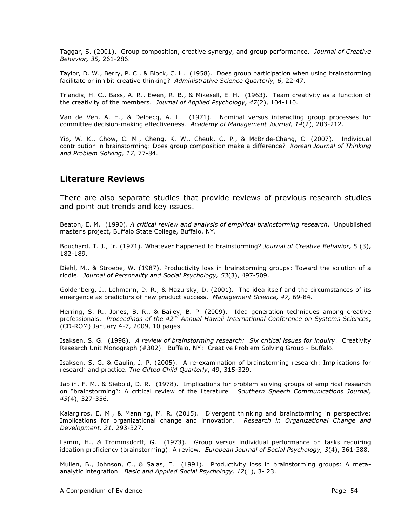Taggar, S. (2001). Group composition, creative synergy, and group performance. *Journal of Creative Behavior, 35,* 261-286.

Taylor, D. W., Berry, P. C., & Block, C. H. (1958). Does group participation when using brainstorming facilitate or inhibit creative thinking? *Administrative Science Quarterly, 6*, 22-47.

Triandis, H. C., Bass, A. R., Ewen, R. B., & Mikesell, E. H. (1963). Team creativity as a function of the creativity of the members. *Journal of Applied Psychology, 47*(2), 104-110.

Van de Ven, A. H., & Delbecq, A. L. (1971). Nominal versus interacting group processes for committee decision-making effectiveness*. Academy of Management Journal, 14*(2), 203-212.

Yip, W. K., Chow, C. M., Cheng, K. W., Cheuk, C. P., & McBride-Chang, C. (2007). Individual contribution in brainstorming: Does group composition make a difference? *Korean Journal of Thinking and Problem Solving, 17,* 77-84.

#### **Literature Reviews**

There are also separate studies that provide reviews of previous research studies and point out trends and key issues.

Beaton, E. M. (1990). *A critical review and analysis of empirical brainstorming research*. Unpublished master's project, Buffalo State College, Buffalo, NY.

Bouchard, T. J., Jr. (1971). Whatever happened to brainstorming? *Journal of Creative Behavior,* 5 (3), 182-189.

Diehl, M., & Stroebe, W. (1987). Productivity loss in brainstorming groups: Toward the solution of a riddle. *Journal of Personality and Social Psychology, 53*(3), 497-509.

Goldenberg, J., Lehmann, D. R., & Mazursky, D. (2001). The idea itself and the circumstances of its emergence as predictors of new product success. *Management Science, 47,* 69-84.

Herring, S. R., Jones, B. R., & Bailey, B. P. (2009). Idea generation techniques among creative professionals. *Proceedings of the 42nd Annual Hawaii International Conference on Systems Sciences*, (CD-ROM) January 4-7, 2009, 10 pages.

Isaksen, S. G. (1998). *A review of brainstorming research: Six critical issues for inquiry*. Creativity Research Unit Monograph (#302). Buffalo, NY: Creative Problem Solving Group - Buffalo.

Isaksen, S. G. & Gaulin, J. P. (2005). A re-examination of brainstorming research: Implications for research and practice. *The Gifted Child Quarterly*, 49, 315-329.

Jablin, F. M., & Siebold, D. R. (1978). Implications for problem solving groups of empirical research on "brainstorming": A critical review of the literature*. Southern Speech Communications Journal, 43*(4), 327-356.

Kalargiros, E. M., & Manning, M. R. (2015). Divergent thinking and brainstorming in perspective: Implications for organizational change and innovation. *Research in Organizational Change and Development, 21,* 293-327.

Lamm, H., & Trommsdorff, G. (1973). Group versus individual performance on tasks requiring ideation proficiency (brainstorming): A review*. European Journal of Social Psychology, 3*(4), 361-388.

Mullen, B., Johnson, C., & Salas, E. (1991). Productivity loss in brainstorming groups: A metaanalytic integration. *Basic and Applied Social Psychology, 12*(1), 3- 23.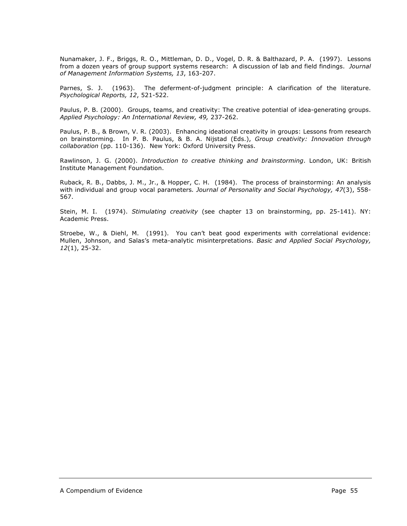Nunamaker, J. F., Briggs, R. O., Mittleman, D. D., Vogel, D. R. & Balthazard, P. A. (1997). Lessons from a dozen years of group support systems research: A discussion of lab and field findings. *Journal of Management Information Systems, 13*, 163-207.

Parnes, S. J. (1963). The deferment-of-judgment principle: A clarification of the literature. *Psychological Reports, 12*, 521-522.

Paulus, P. B. (2000). Groups, teams, and creativity: The creative potential of idea-generating groups. *Applied Psychology: An International Review, 49,* 237-262.

Paulus, P. B., & Brown, V. R. (2003). Enhancing ideational creativity in groups: Lessons from research on brainstorming. In P. B. Paulus, & B. A. Nijstad (Eds.), *Group creativity: Innovation through collaboration* (pp. 110-136). New York: Oxford University Press.

Rawlinson, J. G. (2000). *Introduction to creative thinking and brainstorming*. London, UK: British Institute Management Foundation.

Ruback, R. B., Dabbs, J. M., Jr., & Hopper, C. H. (1984). The process of brainstorming: An analysis with individual and group vocal parameters*. Journal of Personality and Social Psychology, 47*(3), 558- 567.

Stein, M. I. (1974). *Stimulating creativity* (see chapter 13 on brainstorming, pp. 25-141). NY: Academic Press.

Stroebe, W., & Diehl, M. (1991). You can't beat good experiments with correlational evidence: Mullen, Johnson, and Salas's meta-analytic misinterpretations. *Basic and Applied Social Psychology, 12*(1), 25-32.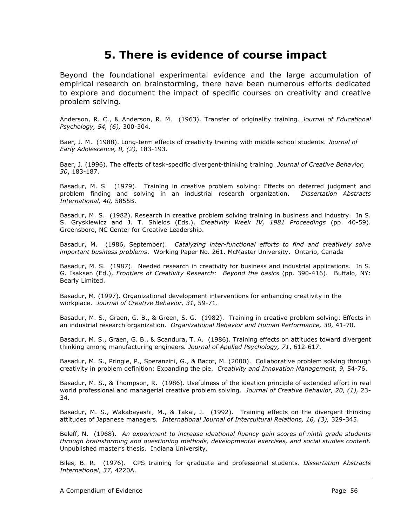### **5. There is evidence of course impact**

Beyond the foundational experimental evidence and the large accumulation of empirical research on brainstorming, there have been numerous efforts dedicated to explore and document the impact of specific courses on creativity and creative problem solving.

Anderson, R. C., & Anderson, R. M. (1963). Transfer of originality training. *Journal of Educational Psychology, 54, (6),* 300-304.

Baer, J. M. (1988). Long-term effects of creativity training with middle school students. *Journal of Early Adolescence, 8, (2),* 183-193.

Baer, J. (1996). The effects of task-specific divergent-thinking training. *Journal of Creative Behavior, 30*, 183-187.

Basadur, M. S. (1979). Training in creative problem solving: Effects on deferred judgment and problem finding and solving in an industrial research organization. *Dissertation Abstracts International, 40,* 5855B.

Basadur, M. S. (1982). Research in creative problem solving training in business and industry. In S. S. Gryskiewicz and J. T. Shields (Eds.), *Creativity Week IV, 1981 Proceedings* (pp. 40-59). Greensboro, NC Center for Creative Leadership.

Basadur, M. (1986, September). *Catalyzing inter-functional efforts to find and creatively solve important business problems*. Working Paper No. 261. McMaster University. Ontario, Canada

Basadur, M. S. (1987). Needed research in creativity for business and industrial applications. In S. G. Isaksen (Ed.), *Frontiers of Creativity Research: Beyond the basics* (pp. 390-416). Buffalo, NY: Bearly Limited.

Basadur, M. (1997). Organizational development interventions for enhancing creativity in the workplace. *Journal of Creative Behavior, 31*, 59-71.

Basadur, M. S., Graen, G. B., & Green, S. G. (1982). Training in creative problem solving: Effects in an industrial research organization. *Organizational Behavior and Human Performance, 30,* 41-70.

Basadur, M. S., Graen, G. B., & Scandura, T. A. (1986). Training effects on attitudes toward divergent thinking among manufacturing engineers*. Journal of Applied Psychology, 71*, 612-617.

Basadur, M. S., Pringle, P., Speranzini, G., & Bacot, M. (2000). Collaborative problem solving through creativity in problem definition: Expanding the pie. *Creativity and Innovation Management, 9,* 54-76.

Basadur, M. S., & Thompson, R. (1986). Usefulness of the ideation principle of extended effort in real world professional and managerial creative problem solving. *Journal of Creative Behavior, 20, (1),* 23- 34.

Basadur, M. S., Wakabayashi, M., & Takai, J. (1992). Training effects on the divergent thinking attitudes of Japanese managers*. International Journal of Intercultural Relations, 16, (3),* 329-345.

Beleff, N. (1968). *An experiment to increase ideational fluency gain scores of ninth grade students through brainstorming and questioning methods, developmental exercises, and social studies content.* Unpublished master's thesis. Indiana University.

Biles, B. R. (1976). CPS training for graduate and professional students. *Dissertation Abstracts International, 37,* 4220A.

A Compendium of Evidence **Page 19th** Competition and A Competition **Page 56**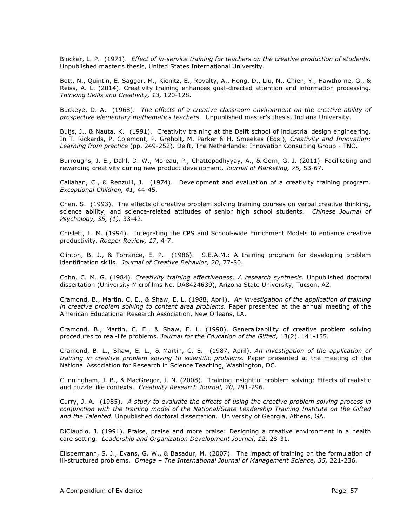Blocker, L. P. (1971). *Effect of in-service training for teachers on the creative production of students.* Unpublished master's thesis, United States International University.

Bott, N., Quintin, E. Saggar, M., Kienitz, E., Royalty, A., Hong, D., Liu, N., Chien, Y., Hawthorne, G., & Reiss, A. L. (2014). Creativity training enhances goal-directed attention and information processing. *Thinking Skills and Creativity, 13,* 120-128.

Buckeye, D. A. (1968). *The effects of a creative classroom environment on the creative ability of prospective elementary mathematics teachers.* Unpublished master's thesis, Indiana University.

Buijs, J., & Nauta, K. (1991). Creativity training at the Delft school of industrial design engineering. In T. Rickards, P. Colemont, P. Grøholt, M. Parker & H. Smeekes (Eds.)*, Creativity and Innovation: Learning from practice* (pp. 249-252). Delft, The Netherlands: Innovation Consulting Group - TNO.

Burroughs, J. E., Dahl, D. W., Moreau, P., Chattopadhyyay, A., & Gorn, G. J. (2011). Facilitating and rewarding creativity during new product development. *Journal of Marketing, 75,* 53-67.

Callahan, C., & Renzulli, J. (1974). Development and evaluation of a creativity training program. *Exceptional Children, 41,* 44-45.

Chen, S. (1993). The effects of creative problem solving training courses on verbal creative thinking, science ability, and science-related attitudes of senior high school students. *Chinese Journal of Psychology, 35, (1),* 33-42.

Chislett, L. M. (1994). Integrating the CPS and School-wide Enrichment Models to enhance creative productivity. *Roeper Review, 17*, 4-7.

Clinton, B. J., & Torrance, E. P. (1986). S.E.A.M.: A training program for developing problem identification skills. *Journal of Creative Behavior, 20*, 77-80.

Cohn, C. M. G. (1984)*. Creativity training effectiveness: A research synthesis*. Unpublished doctoral dissertation (University Microfilms No. DA8424639), Arizona State University, Tucson, AZ.

Cramond, B., Martin, C. E., & Shaw, E. L. (1988, April). *An investigation of the application of training in creative problem solving to content area problems.* Paper presented at the annual meeting of the American Educational Research Association, New Orleans, LA.

Cramond, B., Martin, C. E., & Shaw, E. L. (1990). Generalizability of creative problem solving procedures to real-life problems*. Journal for the Education of the Gifted*, 13(2), 141-155.

Cramond, B. L., Shaw, E. L., & Martin, C. E. (1987, April). *An investigation of the application of training in creative problem solving to scientific problems.* Paper presented at the meeting of the National Association for Research in Science Teaching, Washington, DC.

Cunningham, J. B., & MacGregor, J. N. (2008). Training insightful problem solving: Effects of realistic and puzzle like contexts. *Creativity Research Journal, 20,* 291-296.

Curry, J. A. (1985). *A study to evaluate the effects of using the creative problem solving process in conjunction with the training model of the National/State Leadership Training Institute on the Gifted and the Talented.* Unpublished doctoral dissertation. University of Georgia, Athens, GA.

DiClaudio, J. (1991). Praise, praise and more praise: Designing a creative environment in a health care setting*. Leadership and Organization Development Journal*, *12*, 28-31.

Ellspermann, S. J., Evans, G. W., & Basadur, M. (2007). The impact of training on the formulation of ill-structured problems. *Omega – The International Journal of Management Science, 35,* 221-236.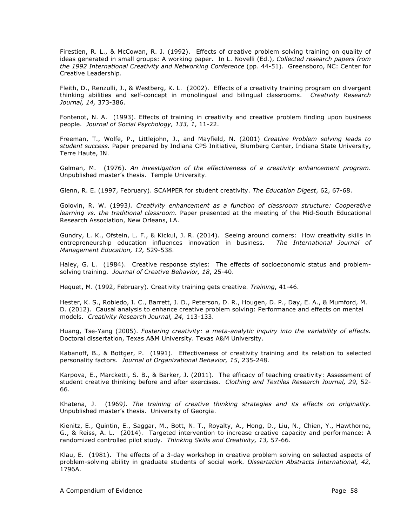Firestien, R. L., & McCowan, R. J. (1992). Effects of creative problem solving training on quality of ideas generated in small groups: A working paper. In L. Novelli (Ed.), *Collected research papers from the 1992 International Creativity and Networking Conference* (pp. 44-51). Greensboro, NC: Center for Creative Leadership.

Fleith, D., Renzulli, J., & Westberg, K. L. (2002). Effects of a creativity training program on divergent thinking abilities and self-concept in monolingual and bilingual classrooms. *Creativity Research Journal, 14,* 373-386.

Fontenot, N. A. (1993). Effects of training in creativity and creative problem finding upon business people. *Journal of Social Psychology, 133, 1*, 11-22.

Freeman, T., Wolfe, P., Littlejohn, J., and Mayfield, N. (2001) *Creative Problem solving leads to student success.* Paper prepared by Indiana CPS Initiative, Blumberg Center, Indiana State University, Terre Haute, IN.

Gelman, M. (1976). *An investigation of the effectiveness of a creativity enhancement program*. Unpublished master's thesis. Temple University.

Glenn, R. E. (1997, February). SCAMPER for student creativity. *The Education Digest*, 62, 67-68.

Golovin, R. W. (1993*). Creativity enhancement as a function of classroom structure: Cooperative learning vs. the traditional classroom.* Paper presented at the meeting of the Mid-South Educational Research Association, New Orleans, LA.

Gundry, L. K., Ofstein, L. F., & Kickul, J. R. (2014). Seeing around corners: How creativity skills in entrepreneurship education influences innovation in business. *The International Journal of Management Education, 12,* 529-538.

Haley, G. L. (1984). Creative response styles: The effects of socioeconomic status and problemsolving training. *Journal of Creative Behavior, 18*, 25-40.

Hequet, M. (1992, February). Creativity training gets creative. *Training*, 41-46.

Hester, K. S., Robledo, I. C., Barrett, J. D., Peterson, D. R., Hougen, D. P., Day, E. A., & Mumford, M. D. (2012). Causal analysis to enhance creative problem solving: Performance and effects on mental models. *Creativity Research Journal, 24,* 113-133.

Huang, Tse-Yang (2005). *Fostering creativity: a meta-analytic inquiry into the variability of effects.* Doctoral dissertation, Texas A&M University. Texas A&M University.

Kabanoff, B., & Bottger, P. (1991). Effectiveness of creativity training and its relation to selected personality factors. *Journal of Organizational Behavior, 15*, 235-248.

Karpova, E., Marcketti, S. B., & Barker, J. (2011). The efficacy of teaching creativity: Assessment of student creative thinking before and after exercises. *Clothing and Textiles Research Journal, 29,* 52- 66.

Khatena, J. (1969*). The training of creative thinking strategies and its effects on originality*. Unpublished master's thesis. University of Georgia.

Kienitz, E., Quintin, E., Saggar, M., Bott, N. T., Royalty, A., Hong, D., Liu, N., Chien, Y., Hawthorne, G., & Reiss, A. L. (2014). Targeted intervention to increase creative capacity and performance: A randomized controlled pilot study. *Thinking Skills and Creativity, 13,* 57-66.

Klau, E. (1981). The effects of a 3-day workshop in creative problem solving on selected aspects of problem-solving ability in graduate students of social work*. Dissertation Abstracts International, 42,* 1796A.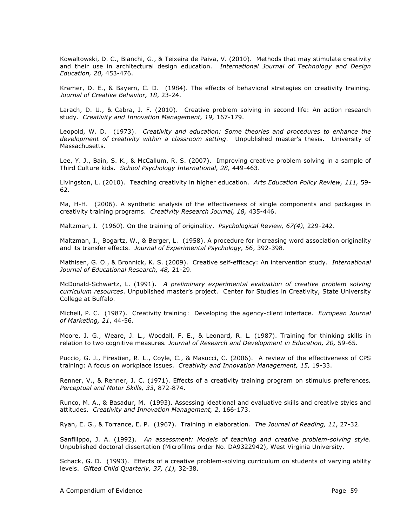Kowaltowski, D. C., Bianchi, G., & Teixeira de Paiva, V. (2010). Methods that may stimulate creativity and their use in architectural design education. *International Journal of Technology and Design Education, 20,* 453-476.

Kramer, D. E., & Bayern, C. D. (1984). The effects of behavioral strategies on creativity training. *Journal of Creative Behavior, 18*, 23-24.

Larach, D. U., & Cabra, J. F. (2010). Creative problem solving in second life: An action research study. *Creativity and Innovation Management, 19,* 167-179.

Leopold, W. D. (1973). *Creativity and education: Some theories and procedures to enhance the development of creativity within a classroom setting*. Unpublished master's thesis. University of Massachusetts.

Lee, Y. J., Bain, S. K., & McCallum, R. S. (2007). Improving creative problem solving in a sample of Third Culture kids. *School Psychology International, 28,* 449-463.

Livingston, L. (2010). Teaching creativity in higher education. *Arts Education Policy Review, 111,* 59- 62.

Ma, H-H. (2006). A synthetic analysis of the effectiveness of single components and packages in creativity training programs. *Creativity Research Journal, 18,* 435-446.

Maltzman, I. (1960). On the training of originality. *Psychological Review, 67(4),* 229-242.

Maltzman, I., Bogartz, W., & Berger, L. (1958). A procedure for increasing word association originality and its transfer effects. *Journal of Experimental Psychology, 56*, 392-398.

Mathisen, G. O., & Bronnick, K. S. (2009). Creative self-efficacy: An intervention study. *International Journal of Educational Research, 48,* 21-29.

McDonald-Schwartz, L. (1991). *A preliminary experimental evaluation of creative problem solving curriculum resources*. Unpublished master's project. Center for Studies in Creativity, State University College at Buffalo.

Michell, P. C. (1987). Creativity training: Developing the agency-client interface. *European Journal of Marketing, 21*, 44-56.

Moore, J. G., Weare, J. L., Woodall, F. E., & Leonard, R. L. (1987). Training for thinking skills in relation to two cognitive measures*. Journal of Research and Development in Education, 20,* 59-65.

Puccio, G. J., Firestien, R. L., Coyle, C., & Masucci, C. (2006). A review of the effectiveness of CPS training: A focus on workplace issues. *Creativity and Innovation Management, 15,* 19-33.

Renner, V., & Renner, J. C. (1971). Effects of a creativity training program on stimulus preferences*. Perceptual and Motor Skills, 33*, 872-874.

Runco, M. A., & Basadur, M. (1993). Assessing ideational and evaluative skills and creative styles and attitudes. *Creativity and Innovation Management, 2*, 166-173.

Ryan, E. G., & Torrance, E. P. (1967). Training in elaboration*. The Journal of Reading, 11*, 27-32.

Sanfilippo, J. A. (1992). *An assessment: Models of teaching and creative problem-solving style*. Unpublished doctoral dissertation (Microfilms order No. DA9322942), West Virginia University.

Schack, G. D. (1993). Effects of a creative problem-solving curriculum on students of varying ability levels. *Gifted Child Quarterly, 37, (1),* 32-38.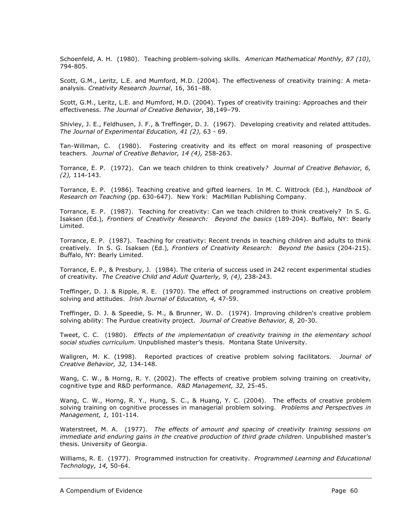Schoenfeld, A. H. (1980). Teaching problem-solving skills*. American Mathematical Monthly, 87 (10),* 794-805.

Scott, G.M., Leritz, L.E. and Mumford, M.D. (2004). The effectiveness of creativity training: A metaanalysis. *Creativity Research Journal*, 16, 361–88.

Scott, G.M., Leritz, L.E. and Mumford, M.D. (2004). Types of creativity training: Approaches and their effectiveness. *The Journal of Creative Behavior*, 38,149–79.

Shivley, J. E., Feldhusen, J. F., & Treffinger, D. J. (1967). Developing creativity and related attitudes. *The Journal of Experimental Education, 41 (2),* 63 - 69.

Tan-Willman, C. (1980). Fostering creativity and its effect on moral reasoning of prospective teachers. *Journal of Creative Behavior, 14 (4),* 258-263.

Torrance, E. P. (1972). Can we teach children to think creatively*? Journal of Creative Behavior, 6, (2),* 114-143.

Torrance, E. P. (1986). Teaching creative and gifted learners. In M. C. Wittrock (Ed.), *Handbook of Research on Teaching* (pp. 630-647). New York: MacMillan Publishing Company.

Torrance, E. P. (1987). Teaching for creativity: Can we teach children to think creatively? In S. G. Isaksen (Ed.)*, Frontiers of Creativity Research: Beyond the basics* (189-204). Buffalo, NY: Bearly Limited.

Torrance, E. P. (1987). Teaching for creativity: Recent trends in teaching children and adults to think creatively. In S. G. Isaksen (Ed.)*, Frontiers of Creativity Research: Beyond the basics* (204-215). Buffalo, NY: Bearly Limited.

Torrance, E. P., & Presbury, J. (1984). The criteria of success used in 242 recent experimental studies of creativity*. The Creative Child and Adult Quarterly, 9, (4),* 238-243.

Treffinger, D. J. & Ripple, R. E. (1970). The effect of programmed instructions on creative problem solving and attitudes. *Irish Journal of Education, 4,* 47-59.

Treffinger, D. J. & Speedie, S. M., & Brunner, W. D. (1974). Improving children's creative problem solving ability: The Purdue creativity project. *Journal of Creative Behavior, 8,* 20-30.

Tweet, C. C. (1980). *Effects of the implementation of creativity training in the elementary school social studies curriculum*. Unpublished master's thesis. Montana State University.

Wallgren, M. K. (1998). Reported practices of creative problem solving facilitators. *Journal of Creative Behavior, 32,* 134-148.

Wang, C. W., & Horng, R. Y. (2002). The effects of creative problem solving training on creativity, cognitive type and R&D performance. *R&D Management, 32,* 25-45.

Wang, C. W., Horng, R. Y., Hung, S. C., & Huang, Y. C. (2004). The effects of creative problem solving training on cognitive processes in managerial problem solving. *Problems and Perspectives in Management, 1,* 101-114.

Waterstreet, M. A. (1977). *The effects of amount and spacing of creativity training sessions on immediate and enduring gains in the creative production of third grade children*. Unpublished master's thesis. University of Georgia.

Williams, R. E. (1977). Programmed instruction for creativity. *Programmed Learning and Educational Technology, 14,* 50-64.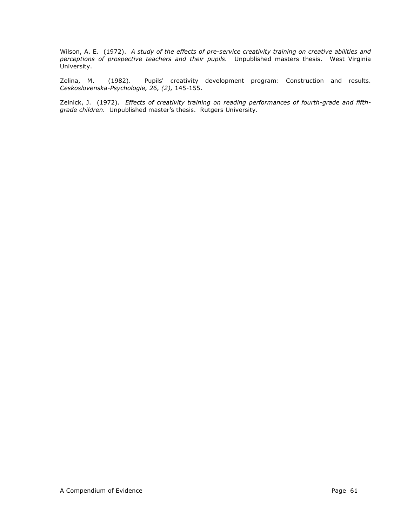Wilson, A. E. (1972). *A study of the effects of pre-service creativity training on creative abilities and perceptions of prospective teachers and their pupils.* Unpublished masters thesis. West Virginia University.

Zelina, M. (1982). Pupils' creativity development program: Construction and results. *Ceskoslovenska-Psychologie, 26, (2),* 145-155.

Zelnick, J. (1972). *Effects of creativity training on reading performances of fourth-grade and fifthgrade children.* Unpublished master's thesis. Rutgers University.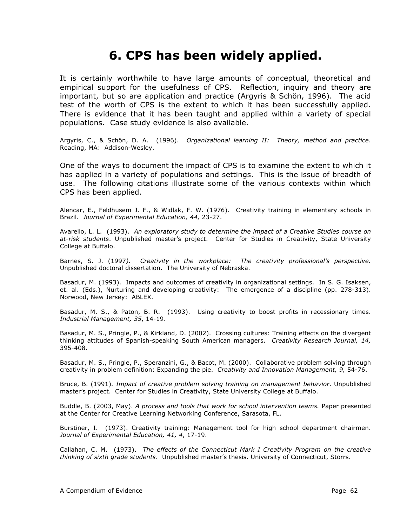## **6. CPS has been widely applied.**

It is certainly worthwhile to have large amounts of conceptual, theoretical and empirical support for the usefulness of CPS. Reflection, inquiry and theory are important, but so are application and practice (Argyris & Schön, 1996). The acid test of the worth of CPS is the extent to which it has been successfully applied. There is evidence that it has been taught and applied within a variety of special populations. Case study evidence is also available.

Argyris, C., & Schön, D. A. (1996). *Organizational learning II: Theory, method and practice*. Reading, MA: Addison-Wesley.

One of the ways to document the impact of CPS is to examine the extent to which it has applied in a variety of populations and settings. This is the issue of breadth of use. The following citations illustrate some of the various contexts within which CPS has been applied.

Alencar, E., Feldhusem J. F., & Widlak, F. W. (1976). Creativity training in elementary schools in Brazil. *Journal of Experimental Education, 44,* 23-27.

Avarello, L. L. (1993). *An exploratory study to determine the impact of a Creative Studies course on at-risk students*. Unpublished master's project. Center for Studies in Creativity, State University College at Buffalo.

Barnes, S. J. (1997*). Creativity in the workplace: The creativity professional's perspective.* Unpublished doctoral dissertation. The University of Nebraska.

Basadur, M. (1993). Impacts and outcomes of creativity in organizational settings. In S. G. Isaksen, et. al. (Eds.), Nurturing and developing creativity: The emergence of a discipline (pp. 278-313). Norwood, New Jersey: ABLEX.

Basadur, M. S., & Paton, B. R. (1993). Using creativity to boost profits in recessionary times. *Industrial Management, 35*, 14-19.

Basadur, M. S., Pringle, P., & Kirkland, D. (2002). Crossing cultures: Training effects on the divergent thinking attitudes of Spanish-speaking South American managers. *Creativity Research Journal, 14,* 395-408.

Basadur, M. S., Pringle, P., Speranzini, G., & Bacot, M. (2000). Collaborative problem solving through creativity in problem definition: Expanding the pie. *Creativity and Innovation Management, 9,* 54-76.

Bruce, B. (1991)*. Impact of creative problem solving training on management behavior*. Unpublished master's project. Center for Studies in Creativity, State University College at Buffalo.

Buddle, B. (2003, May). *A process and tools that work for school intervention teams.* Paper presented at the Center for Creative Learning Networking Conference, Sarasota, FL.

Burstiner, I. (1973). Creativity training: Management tool for high school department chairmen. *Journal of Experimental Education, 41, 4*, 17-19.

Callahan, C. M. (1973). *The effects of the Connecticut Mark I Creativity Program on the creative thinking of sixth grade students*. Unpublished master's thesis. University of Connecticut, Storrs.

A Compendium of Evidence **Page 62**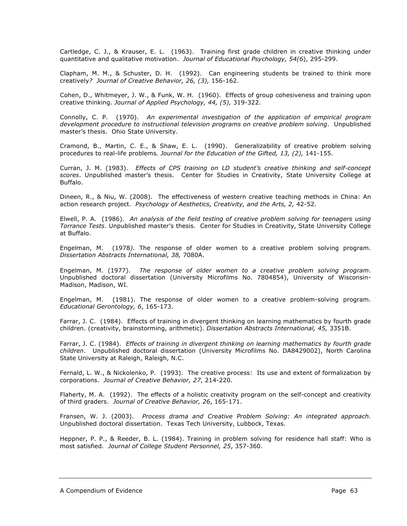Cartledge, C. J., & Krauser, E. L. (1963). Training first grade children in creative thinking under quantitative and qualitative motivation. *Journal of Educational Psychology, 54(6*), 295-299.

Clapham, M. M., & Schuster, D. H. (1992). Can engineering students be trained to think more creatively*? Journal of Creative Behavior, 26, (3),* 156-162.

Cohen, D., Whitmeyer, J. W., & Funk, W. H. (1960). Effects of group cohesiveness and training upon creative thinking. *Journal of Applied Psychology, 44, (5),* 319-322.

Connolly, C. P. (1970). *An experimental investigation of the application of empirical program development procedure to instructional television programs on creative problem solving*. Unpublished master's thesis. Ohio State University.

Cramond, B., Martin, C. E., & Shaw, E. L. (1990). Generalizability of creative problem solving procedures to real-life problems*. Journal for the Education of the Gifted, 13, (2),* 141-155.

Curran, J. M. (1983). *Effects of CPS training on LD student's creative thinking and self-concept scores*. Unpublished master's thesis. Center for Studies in Creativity, State University College at Buffalo.

Dineen, R., & Niu, W. (2008). The effectiveness of western creative teaching methods in China: An action research project. *Psychology of Aesthetics, Creativity, and the Arts, 2,* 42-52.

Elwell, P. A. (1986). *An analysis of the field testing of creative problem solving for teenagers using Torrance Tests*. Unpublished master's thesis. Center for Studies in Creativity, State University College at Buffalo.

Engelman, M. (1978*).* The response of older women to a creative problem solving program. *Dissertation Abstracts International, 38,* 7080A.

Engelman, M. (1977). *The response of older women to a creative problem solving program*. Unpublished doctoral dissertation (University Microfilms No. 7804854), University of Wisconsin-Madison, Madison, WI.

Engelman, M. (1981). The response of older women to a creative problem-solving program. *Educational Gerontology, 6*, 165-173.

Farrar, J. C. (1984). Effects of training in divergent thinking on learning mathematics by fourth grade children. (creativity, brainstorming, arithmetic). *Dissertation Abstracts International, 45,* 3351B.

Farrar, J. C. (1984). *Effects of training in divergent thinking on learning mathematics by fourth grade children*. Unpublished doctoral dissertation (University Microfilms No. DA8429002), North Carolina State University at Raleigh, Raleigh, N.C.

Fernald, L. W., & Nickolenko, P. (1993). The creative process: Its use and extent of formalization by corporations. *Journal of Creative Behavior, 27*, 214-220.

Flaherty, M. A. (1992). The effects of a holistic creativity program on the self-concept and creativity of third graders. *Journal of Creative Behavior, 26*, 165-171.

Fransen, W. J. (2003). *Process drama and Creative Problem Solving: An integrated approach.* Unpublished doctoral dissertation. Texas Tech University, Lubbock, Texas.

Heppner, P. P., & Reeder, B. L. (1984). Training in problem solving for residence hall staff: Who is most satisfied*. Journal of College Student Personnel, 25*, 357-360.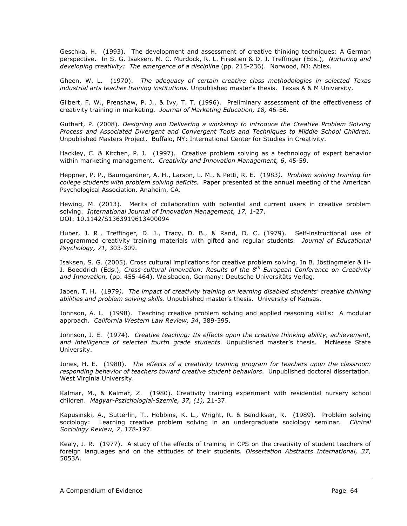Geschka, H. (1993). The development and assessment of creative thinking techniques: A German perspective. In S. G. Isaksen, M. C. Murdock, R. L. Firestien & D. J. Treffinger (Eds.), *Nurturing and developing creativity: The emergence of a discipline* (pp. 215-236). Norwood, NJ: Ablex.

Gheen, W. L. (1970). *The adequacy of certain creative class methodologies in selected Texas industrial arts teacher training institutions*. Unpublished master's thesis. Texas A & M University.

Gilbert, F. W., Prenshaw, P. J., & Ivy, T. T. (1996). Preliminary assessment of the effectiveness of creativity training in marketing. *Journal of Marketing Education, 18,* 46-56.

Guthart, P. (2008). *Designing and Delivering a workshop to introduce the Creative Problem Solving Process and Associated Divergent and Convergent Tools and Techniques to Middle School Children.* Unpublished Masters Project. Buffalo, NY: International Center for Studies in Creativity.

Hackley, C. & Kitchen, P. J. (1997). Creative problem solving as a technology of expert behavior within marketing management. *Creativity and Innovation Management, 6*, 45-59.

Heppner, P. P., Baumgardner, A. H., Larson, L. M., & Petti, R. E. (1983*). Problem solving training for college students with problem solving deficits.* Paper presented at the annual meeting of the American Psychological Association. Anaheim, CA.

Hewing, M. (2013). Merits of collaboration with potential and current users in creative problem solving. *International Journal of Innovation Management, 17,* 1-27. DOI: 10.1142/S1363919613400094

Huber, J. R., Treffinger, D. J., Tracy, D. B., & Rand, D. C. (1979). Self-instructional use of programmed creativity training materials with gifted and regular students. *Journal of Educational Psychology, 71,* 303-309.

Isaksen, S. G. (2005). Cross cultural implications for creative problem solving. In B. Jöstingmeier & H-J. Boeddrich (Eds.), *Cross-cultural innovation: Results of the 8th European Conference on Creativity and Innovation.* (pp. 455-464). Weisbaden, Germany: Deutsche Universitäts Verlag.

Jaben, T. H. (1979*). The impact of creativity training on learning disabled students' creative thinking abilities and problem solving skills*. Unpublished master's thesis. University of Kansas.

Johnson, A. L. (1998). Teaching creative problem solving and applied reasoning skills: A modular approach. *California Western Law Review, 34*, 389-395.

Johnson, J. E. (1974). *Creative teaching: Its effects upon the creative thinking ability, achievement, and intelligence of selected fourth grade students.* Unpublished master's thesis. McNeese State University.

Jones, H. E. (1980). *The effects of a creativity training program for teachers upon the classroom responding behavior of teachers toward creative student behaviors*. Unpublished doctoral dissertation. West Virginia University.

Kalmar, M., & Kalmar, Z. (1980). Creativity training experiment with residential nursery school children. *Magyar-Pszichologiai-Szemle, 37, (1),* 21-37.

Kapusinski, A., Sutterlin, T., Hobbins, K. L., Wright, R. & Bendiksen, R. (1989). Problem solving sociology: Learning creative problem solving in an undergraduate sociology seminar. *Clinical Sociology Review, 7*, 178-197.

Kealy, J. R. (1977). A study of the effects of training in CPS on the creativity of student teachers of foreign languages and on the attitudes of their students*. Dissertation Abstracts International, 37,* 5053A.

A Compendium of Evidence **Page 10** Page 64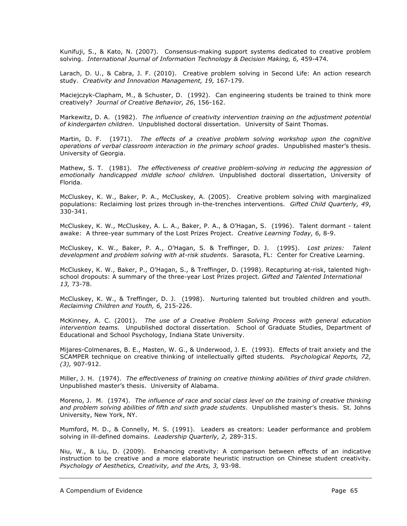Kunifuji, S., & Kato, N. (2007). Consensus-making support systems dedicated to creative problem solving. *International Journal of Information Technology & Decision Making, 6,* 459-474.

Larach, D. U., & Cabra, J. F. (2010). Creative problem solving in Second Life: An action research study. *Creativity and Innovation Management, 19,* 167-179.

Maciejczyk-Clapham, M., & Schuster, D. (1992). Can engineering students be trained to think more creatively? *Journal of Creative Behavior, 26*, 156-162.

Markewitz, D. A. (1982). *The influence of creativity intervention training on the adjustment potential of kindergarten children*. Unpublished doctoral dissertation. University of Saint Thomas.

Martin, D. F. (1971). *The effects of a creative problem solving workshop upon the cognitive operations of verbal classroom interaction in the primary school grades*. Unpublished master's thesis. University of Georgia.

Mathew, S. T. (1981). *The effectiveness of creative problem-solving in reducing the aggression of emotionally handicapped middle school children.* Unpublished doctoral dissertation, University of Florida.

McCluskey, K. W., Baker, P. A., McCluskey, A. (2005). Creative problem solving with marginalized populations: Reclaiming lost prizes through in-the-trenches interventions. *Gifted Child Quarterly, 49*, 330-341.

McCluskey, K. W., McCluskey, A. L. A., Baker, P. A., & O'Hagan, S. (1996). Talent dormant - talent awake: A three-year summary of the Lost Prizes Project. *Creative Learning Today, 6,* 8-9.

McCluskey, K. W., Baker, P. A., O'Hagan, S. & Treffinger, D. J. (1995). *Lost prizes: Talent development and problem solving with at-risk students*. Sarasota, FL: Center for Creative Learning.

McCluskey, K. W., Baker, P., O'Hagan, S., & Treffinger, D. (1998). Recapturing at-risk, talented highschool dropouts: A summary of the three-year Lost Prizes project. *Gifted and Talented International 13,* 73-78.

McCluskey, K. W., & Treffinger, D. J. (1998). Nurturing talented but troubled children and youth. *Reclaiming Children and Youth, 6,* 215-226.

McKinney, A. C. (2001). *The use of a Creative Problem Solving Process with general education intervention teams.* Unpublished doctoral dissertation. School of Graduate Studies, Department of Educational and School Psychology, Indiana State University.

Mijares-Colmenares, B. E., Masten, W. G., & Underwood, J. E. (1993). Effects of trait anxiety and the SCAMPER technique on creative thinking of intellectually gifted students*. Psychological Reports, 72, (3),* 907-912.

Miller, J. H. (1974). *The effectiveness of training on creative thinking abilities of third grade children*. Unpublished master's thesis. University of Alabama.

Moreno, J. M. (1974). *The influence of race and social class level on the training of creative thinking and problem solving abilities of fifth and sixth grade students*. Unpublished master's thesis. St. Johns University, New York, NY.

Mumford, M. D., & Connelly, M. S. (1991). Leaders as creators: Leader performance and problem solving in ill-defined domains. *Leadership Quarterly, 2,* 289-315.

Niu, W., & Liu, D. (2009). Enhancing creativity: A comparison between effects of an indicative instruction to be creative and a more elaborate heuristic instruction on Chinese student creativity. *Psychology of Aesthetics, Creativity, and the Arts, 3,* 93-98.

A Compendium of Evidence **Page 10** Page 65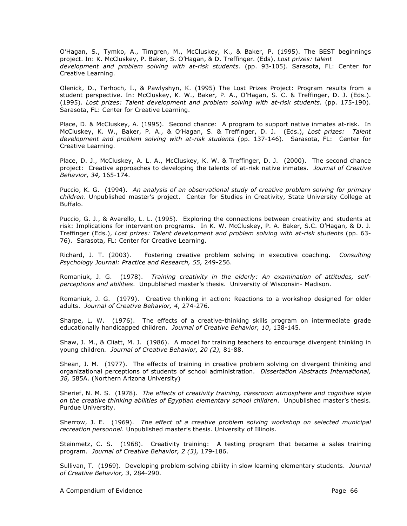O'Hagan, S., Tymko, A., Timgren, M., McCluskey, K., & Baker, P. (1995). The BEST beginnings project. In: K. McCluskey, P. Baker, S. O'Hagan, & D. Treffinger. (Eds), *Lost prizes: talent development and problem solving with at-risk students.* (pp. 93-105). Sarasota, FL: Center for Creative Learning.

Olenick, D., Terhoch, I., & Pawlyshyn, K. (1995) The Lost Prizes Project: Program results from a student perspective. In: McCluskey, K. W., Baker, P. A., O'Hagan, S. C. & Treffinger, D. J. (Eds.). (1995). *Lost prizes: Talent development and problem solving with at-risk students.* (pp. 175-190). Sarasota, FL: Center for Creative Learning.

Place, D. & McCluskey, A. (1995). Second chance: A program to support native inmates at-risk. In McCluskey, K. W., Baker, P. A., & O'Hagan, S. & Treffinger, D. J. (Eds.), *Lost prizes: Talent development and problem solving with at-risk students* (pp. 137-146). Sarasota, FL: Center for Creative Learning.

Place, D. J., McCluskey, A. L. A., McCluskey, K. W. & Treffinger, D. J. (2000). The second chance project: Creative approaches to developing the talents of at-risk native inmates. *Journal of Creative Behavior*, *34,* 165-174.

Puccio, K. G. (1994). *An analysis of an observational study of creative problem solving for primary children*. Unpublished master's project. Center for Studies in Creativity, State University College at Buffalo.

Puccio, G. J., & Avarello, L. L. (1995). Exploring the connections between creativity and students at risk: Implications for intervention programs. In K. W. McCluskey, P. A. Baker, S.C. O'Hagan, & D. J. Treffinger (Eds.), *Lost prizes: Talent development and problem solving with at-risk students* (pp. 63- 76). Sarasota, FL: Center for Creative Learning.

Richard, J. T. (2003). Fostering creative problem solving in executive coaching. *Consulting Psychology Journal: Practice and Research, 55,* 249-256.

Romaniuk, J. G. (1978). *Training creativity in the elderly: An examination of attitudes, selfperceptions and abilities*. Unpublished master's thesis. University of Wisconsin- Madison.

Romaniuk, J. G. (1979). Creative thinking in action: Reactions to a workshop designed for older adults. *Journal of Creative Behavior, 4*, 274-276.

Sharpe, L. W. (1976). The effects of a creative-thinking skills program on intermediate grade educationally handicapped children. *Journal of Creative Behavior, 10*, 138-145.

Shaw, J. M., & Cliatt, M. J. (1986). A model for training teachers to encourage divergent thinking in young children*. Journal of Creative Behavior, 20 (2),* 81-88.

Shean, J. M. (1977). The effects of training in creative problem solving on divergent thinking and organizational perceptions of students of school administration. *Dissertation Abstracts International, 38,* 585A. (Northern Arizona University)

Sherief, N. M. S. (1978). *The effects of creativity training, classroom atmosphere and cognitive style on the creative thinking abilities of Egyptian elementary school children*. Unpublished master's thesis. Purdue University.

Sherrow, J. E. (1969). *The effect of a creative problem solving workshop on selected municipal recreation personnel*. Unpublished master's thesis. University of Illinois.

Steinmetz, C. S. (1968). Creativity training: A testing program that became a sales training program. *Journal of Creative Behavior, 2 (3),* 179-186.

Sullivan, T. (1969). Developing problem-solving ability in slow learning elementary students. *Journal of Creative Behavior, 3*, 284-290.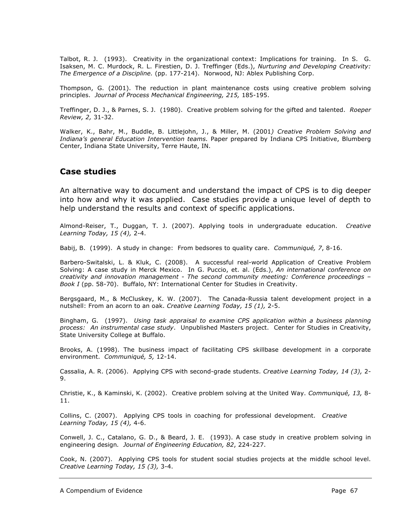Talbot, R. J. (1993). Creativity in the organizational context: Implications for training. In S. G. Isaksen, M. C. Murdock, R. L. Firestien, D. J. Treffinger (Eds.), *Nurturing and Developing Creativity: The Emergence of a Discipline.* (pp. 177-214). Norwood, NJ: Ablex Publishing Corp.

Thompson, G. (2001). The reduction in plant maintenance costs using creative problem solving principles. *Journal of Process Mechanical Engineering, 215,* 185-195.

Treffinger, D. J., & Parnes, S. J. (1980). Creative problem solving for the gifted and talented. *Roeper Review, 2,* 31-32.

Walker, K., Bahr, M., Buddle, B. Littlejohn, J., & Miller, M. (2001*) Creative Problem Solving and Indiana's general Education Intervention teams.* Paper prepared by Indiana CPS Initiative, Blumberg Center, Indiana State University, Terre Haute, IN.

#### **Case studies**

An alternative way to document and understand the impact of CPS is to dig deeper into how and why it was applied. Case studies provide a unique level of depth to help understand the results and context of specific applications.

Almond-Reiser, T., Duggan, T. J. (2007). Applying tools in undergraduate education. *Creative Learning Today, 15 (4),* 2-4.

Babij, B. (1999). A study in change: From bedsores to quality care. *Communiqué, 7*, 8-16.

Barbero-Switalski, L. & Kluk, C. (2008). A successful real-world Application of Creative Problem Solving: A case study in Merck Mexico. In G. Puccio, et. al. (Eds.), *An international conference on creativity and innovation management - The second community meeting: Conference proceedings – Book I* (pp. 58-70). Buffalo, NY: International Center for Studies in Creativity.

Bergsgaard, M., & McCluskey, K. W. (2007). The Canada-Russia talent development project in a nutshell: From an acorn to an oak. *Creative Learning Today, 15 (1),* 2-5.

Bingham, G. (1997). *Using task appraisal to examine CPS application within a business planning process: An instrumental case study*. Unpublished Masters project. Center for Studies in Creativity, State University College at Buffalo.

Brooks, A. (1998). The business impact of facilitating CPS skillbase development in a corporate environment. *Communiqué, 5,* 12-14.

Cassalia, A. R. (2006). Applying CPS with second-grade students. *Creative Learning Today, 14 (3),* 2- 9.

Christie, K., & Kaminski, K. (2002). Creative problem solving at the United Way. *Communiqué, 13,* 8- 11.

Collins, C. (2007). Applying CPS tools in coaching for professional development. *Creative Learning Today, 15 (4),* 4-6.

Conwell, J. C., Catalano, G. D., & Beard, J. E. (1993). A case study in creative problem solving in engineering design*. Journal of Engineering Education, 82*, 224-227.

Cook, N. (2007). Applying CPS tools for student social studies projects at the middle school level. *Creative Learning Today, 15 (3),* 3-4.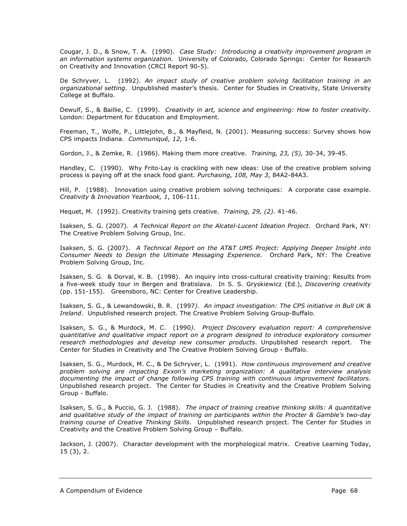Cougar, J. D., & Snow, T. A. (1990). *Case Study: Introducing a creativity improvement program in an information systems organization.* University of Colorado, Colorado Springs: Center for Research on Creativity and Innovation (CRCI Report 90-5).

De Schryver, L. (1992). *An impact study of creative problem solving facilitation training in an organizational setting*. Unpublished master's thesis. Center for Studies in Creativity, State University College at Buffalo.

Dewulf, S., & Baillie, C. (1999). *Creativity in art, science and engineering: How to foster creativity.* London: Department for Education and Employment.

Freeman, T., Wolfe, P., Littlejohn, B., & Mayfleid, N. (2001). Measuring success: Survey shows how CPS impacts Indiana. *Communiqué, 12,* 1-6.

Gordon, J., & Zemke, R. (1986). Making them more creative. *Training, 23, (5),* 30-34, 39-45.

Handley, C. (1990). Why Frito-Lay is crackling with new ideas: Use of the creative problem solving process is paying off at the snack food giant. *Purchasing, 108, May 3*, 84A2-84A3.

Hill, P. (1988). Innovation using creative problem solving techniques: A corporate case example. *Creativity & Innovation Yearbook, 1*, 106-111.

Hequet, M. (1992). Creativity training gets creative. *Training, 29, (2).* 41-46.

Isaksen, S. G. (2007). *A Technical Report on the Alcatel-Lucent Ideation Project.* Orchard Park, NY: The Creative Problem Solving Group, Inc.

Isaksen, S. G. (2007). *A Technical Report on the AT&T UMS Project: Applying Deeper Insight into Consumer Needs to Design the Ultimate Messaging Experience.* Orchard Park, NY: The Creative Problem Solving Group, Inc.

Isaksen, S. G. & Dorval, K. B. (1998). An inquiry into cross-cultural creativity training: Results from a five-week study tour in Bergen and Bratislava. In S. S. Gryskiewicz (Ed.), *Discovering creativity*  (pp. 151-155). Greensboro, NC: Center for Creative Leadership.

Isaksen, S. G., & Lewandowski, B. R. (1997*). An impact investigation: The CPS initiative in Bull UK & Ireland*. Unpublished research project. The Creative Problem Solving Group-Buffalo.

Isaksen, S. G., & Murdock, M. C. (1990*). Project Discovery evaluation report: A comprehensive quantitative and qualitative impact report on a program designed to introduce exploratory consumer research methodologies and develop new consumer products*. Unpublished research report. The Center for Studies in Creativity and The Creative Problem Solving Group - Buffalo.

Isaksen, S. G., Murdock, M. C., & De Schryver, L. (1991). *How continuous improvement and creative problem solving are impacting Exxon's marketing organization: A qualitative interview analysis documenting the impact of change following CPS training with continuous improvement facilitators.* Unpublished research project. The Center for Studies in Creativity and the Creative Problem Solving Group - Buffalo.

Isaksen, S. G., & Puccio, G. J. (1988). *The impact of training creative thinking skills: A quantitative and qualitative study of the impact of training on participants within the Procter & Gamble's two-day training course of Creative Thinking Skills*. Unpublished research project. The Center for Studies in Creativity and the Creative Problem Solving Group – Buffalo.

Jackson, J. (2007). Character development with the morphological matrix. Creative Learning Today, 15 (3), 2.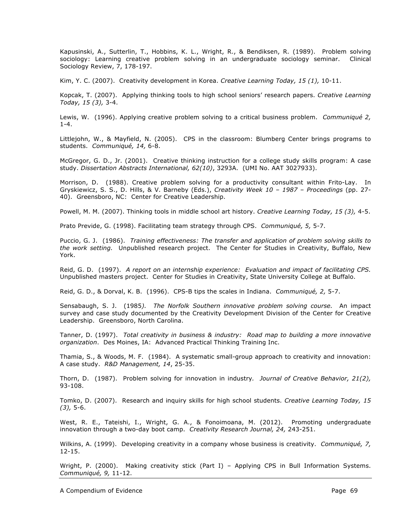Kapusinski, A., Sutterlin, T., Hobbins, K. L., Wright, R., & Bendiksen, R. (1989). Problem solving sociology: Learning creative problem solving in an undergraduate sociology seminar. Clinical Sociology Review, 7, 178-197.

Kim, Y. C. (2007). Creativity development in Korea. *Creative Learning Today, 15 (1),* 10-11.

Kopcak, T. (2007). Applying thinking tools to high school seniors' research papers. *Creative Learning Today, 15 (3),* 3-4.

Lewis, W. (1996). Applying creative problem solving to a critical business problem. *Communiqué 2,* 1-4.

Littlejohn, W., & Mayfield, N. (2005). CPS in the classroom: Blumberg Center brings programs to students. *Communiqué, 14,* 6-8.

McGregor, G. D., Jr. (2001). Creative thinking instruction for a college study skills program: A case study. *Dissertation Abstracts International, 62(10)*, 3293A. (UMI No. AAT 3027933).

Morrison, D. (1988). Creative problem solving for a productivity consultant within Frito-Lay. In Gryskiewicz, S. S., D. Hills, & V. Barneby (Eds.), *Creativity Week 10 – 1987 – Proceedings* (pp. 27- 40). Greensboro, NC: Center for Creative Leadership.

Powell, M. M. (2007). Thinking tools in middle school art history. *Creative Learning Today, 15 (3),* 4-5.

Prato Previde, G. (1998). Facilitating team strategy through CPS. *Communiqué, 5,* 5-7.

Puccio, G. J. (1986). *Training effectiveness: The transfer and application of problem solving skills to the work setting.* Unpublished research project. The Center for Studies in Creativity, Buffalo, New York.

Reid, G. D. (1997). *A report on an internship experience: Evaluation and impact of facilitating CPS.* Unpublished masters project. Center for Studies in Creativity, State University College at Buffalo.

Reid, G. D., & Dorval, K. B. (1996). CPS-B tips the scales in Indiana. *Communiqué, 2,* 5-7.

Sensabaugh, S. J. (1985*). The Norfolk Southern innovative problem solving course.* An impact survey and case study documented by the Creativity Development Division of the Center for Creative Leadership. Greensboro, North Carolina.

Tanner, D. (1997). *Total creativity in business & industry: Road map to building a more innovative organization*. Des Moines, IA: Advanced Practical Thinking Training Inc.

Thamia, S., & Woods, M. F. (1984). A systematic small-group approach to creativity and innovation: A case study. *R&D Management, 14*, 25-35.

Thorn, D. (1987). Problem solving for innovation in industry*. Journal of Creative Behavior, 21(2),* 93-108.

Tomko, D. (2007). Research and inquiry skills for high school students. *Creative Learning Today, 15 (3),* 5-6.

West, R. E., Tateishi, I., Wright, G. A., & Fonoimoana, M. (2012). Promoting undergraduate innovation through a two-day boot camp. *Creativity Research Journal, 24,* 243-251.

Wilkins, A. (1999). Developing creativity in a company whose business is creativity. *Communiqué, 7,* 12-15.

Wright, P. (2000). Making creativity stick (Part I) – Applying CPS in Bull Information Systems. *Communiqué, 9,* 11-12.

A Compendium of Evidence **Page 10** Page 69